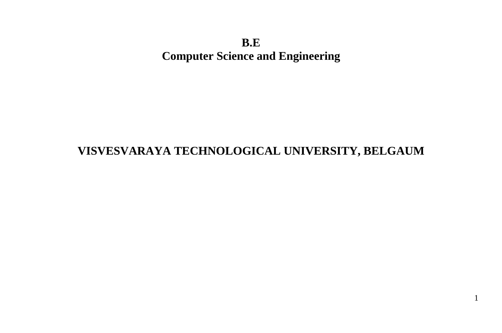**B.E Computer Science and Engineering**

# **VISVESVARAYA TECHNOLOGICAL UNIVERSITY, BELGAUM**

1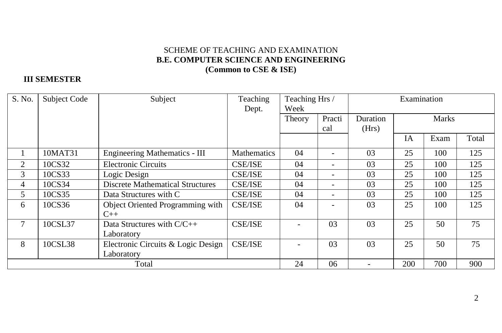### SCHEME OF TEACHING AND EXAMINATION **B.E. COMPUTER SCIENCE AND ENGINEERING (Common to CSE & ISE)**

### **III SEMESTER**

| S. No. | <b>Subject Code</b> | Subject                                   | Teaching<br>Dept. | Teaching Hrs /<br>Week |                          |          | Examination |              |       |  |
|--------|---------------------|-------------------------------------------|-------------------|------------------------|--------------------------|----------|-------------|--------------|-------|--|
|        |                     |                                           |                   | Theory                 | Practi                   | Duration |             | <b>Marks</b> |       |  |
|        |                     |                                           |                   |                        | cal                      | (Hrs)    |             |              |       |  |
|        |                     |                                           |                   |                        |                          |          | <b>IA</b>   | Exam         | Total |  |
|        | 10MAT31             | <b>Engineering Mathematics - III</b>      | Mathematics       | 04                     |                          | 03       | 25          | 100          | 125   |  |
| 2      | 10CS32              | <b>Electronic Circuits</b>                | <b>CSE/ISE</b>    | 04                     |                          | 03       | 25          | 100          | 125   |  |
| 3      | 10CS33              | Logic Design                              | <b>CSE/ISE</b>    | 04                     | -                        | 03       | 25          | 100          | 125   |  |
| 4      | 10CS34              | <b>Discrete Mathematical Structures</b>   | <b>CSE/ISE</b>    | 04                     | -                        | 03       | 25          | 100          | 125   |  |
| 5      | 10CS35              | Data Structures with C                    | <b>CSE/ISE</b>    | 04                     | -                        | 03       | 25          | 100          | 125   |  |
| 6      | 10CS36              | Object Oriented Programming with<br>$C++$ | <b>CSE/ISE</b>    | 04                     |                          | 03       | 25          | 100          | 125   |  |
|        | 10CSL37             | Data Structures with C/C++<br>Laboratory  | <b>CSE/ISE</b>    |                        | 03                       | 03       | 25          | 50           | 75    |  |
| 8      | 10CSL38             | Electronic Circuits & Logic Design        | <b>CSE/ISE</b>    |                        | 03                       | 03       | 25          | 50           | 75    |  |
|        |                     | Laboratory                                |                   |                        |                          |          |             |              |       |  |
| Total  |                     |                                           | 24                | 06                     | $\overline{\phantom{a}}$ | 200      | 700         | 900          |       |  |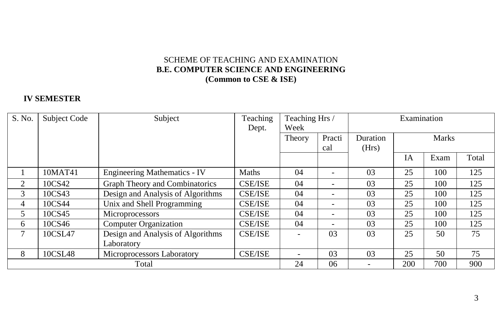### SCHEME OF TEACHING AND EXAMINATION **B.E. COMPUTER SCIENCE AND ENGINEERING (Common to CSE & ISE)**

### **IV SEMESTER**

| S. No. | Subject Code | Subject                             | Teaching       | Teaching Hrs / |        |       | Examination |              |       |  |
|--------|--------------|-------------------------------------|----------------|----------------|--------|-------|-------------|--------------|-------|--|
|        |              |                                     | Dept.          | Week           |        |       |             |              |       |  |
|        |              |                                     |                | Theory         | Practi |       |             | <b>Marks</b> |       |  |
|        |              |                                     |                |                | cal    | (Hrs) |             |              |       |  |
|        |              |                                     |                |                |        |       | IA          | Exam         | Total |  |
|        | 10MAT41      | <b>Engineering Mathematics - IV</b> | <b>Maths</b>   | 04             |        | 03    | 25          | 100          | 125   |  |
| 2      | 10CS42       | Graph Theory and Combinatorics      | <b>CSE/ISE</b> | 04             |        | 03    | 25          | 100          | 125   |  |
| 3      | 10CS43       | Design and Analysis of Algorithms   | <b>CSE/ISE</b> | 04             |        | 03    | 25          | 100          | 125   |  |
| 4      | 10CS44       | Unix and Shell Programming          | <b>CSE/ISE</b> | 04             |        | 03    | 25          | 100          | 125   |  |
| 5      | 10CS45       | Microprocessors                     | <b>CSE/ISE</b> | 04             |        | 03    | 25          | 100          | 125   |  |
| 6      | 10CS46       | <b>Computer Organization</b>        | <b>CSE/ISE</b> | 04             |        | 03    | 25          | 100          | 125   |  |
|        | 10CSL47      | Design and Analysis of Algorithms   | <b>CSE/ISE</b> |                | 03     | 03    | 25          | 50           | 75    |  |
|        |              | Laboratory                          |                |                |        |       |             |              |       |  |
| 8      | 10CSL48      | Microprocessors Laboratory          | <b>CSE/ISE</b> |                | 03     | 03    | 25          | 50           | 75    |  |
| Total  |              | 24                                  | 06             |                | 200    | 700   | 900         |              |       |  |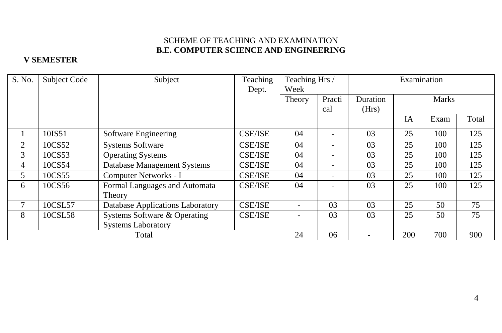### SCHEME OF TEACHING AND EXAMINATION **B.E. COMPUTER SCIENCE AND ENGINEERING**

### **V SEMESTER**

| S. No. | Subject Code | Subject                                 | Teaching<br>Dept. | Teaching Hrs /<br>Week |               | Examination              |           |              |       |
|--------|--------------|-----------------------------------------|-------------------|------------------------|---------------|--------------------------|-----------|--------------|-------|
|        |              |                                         |                   | Theory                 | Practi<br>cal | Duration<br>(Hrs)        |           | <b>Marks</b> |       |
|        |              |                                         |                   |                        |               |                          | <b>IA</b> | Exam         | Total |
|        | 10IS51       | Software Engineering                    | <b>CSE/ISE</b>    | 04                     |               | 03                       | 25        | 100          | 125   |
| 2      | 10CS52       | <b>Systems Software</b>                 | <b>CSE/ISE</b>    | 04                     | -             | 03                       | 25        | 100          | 125   |
| 3      | 10CS53       | <b>Operating Systems</b>                | <b>CSE/ISE</b>    | 04                     | ۰             | 03                       | 25        | 100          | 125   |
| 4      | 10CS54       | Database Management Systems             | <b>CSE/ISE</b>    | 04                     | ۰             | 03                       | 25        | 100          | 125   |
| 5      | 10CS55       | Computer Networks - I                   | <b>CSE/ISE</b>    | 04                     | -             | 03                       | 25        | 100          | 125   |
| 6      | 10CS56       | Formal Languages and Automata<br>Theory | <b>CSE/ISE</b>    | 04                     |               | 03                       | 25        | 100          | 125   |
| 7      | 10CSL57      | Database Applications Laboratory        | <b>CSE/ISE</b>    |                        | 03            | 03                       | 25        | 50           | 75    |
| 8      | 10CSL58      | Systems Software & Operating            | <b>CSE/ISE</b>    |                        | 03            | 03                       | 25        | 50           | 75    |
|        |              | <b>Systems Laboratory</b>               |                   |                        |               |                          |           |              |       |
|        |              | Total                                   |                   | 24                     | 06            | $\overline{\phantom{a}}$ | 200       | 700          | 900   |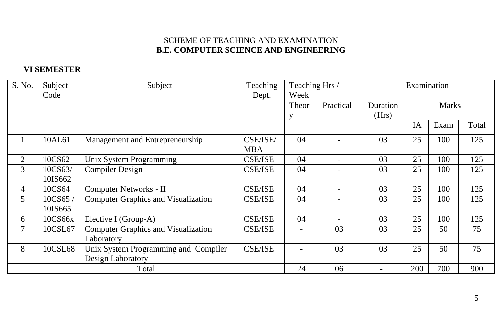### SCHEME OF TEACHING AND EXAMINATION **B.E. COMPUTER SCIENCE AND ENGINEERING**

### **VI SEMESTER**

| S. No. | Subject | Subject                                    | Teaching       | Teaching Hrs / |           | Examination |     |              |       |
|--------|---------|--------------------------------------------|----------------|----------------|-----------|-------------|-----|--------------|-------|
|        | Code    |                                            | Dept.          | Week           |           |             |     |              |       |
|        |         |                                            |                | Theor          | Practical | Duration    |     | <b>Marks</b> |       |
|        |         |                                            |                |                |           | (Hrs)       |     |              |       |
|        |         |                                            |                |                |           |             | IA  | Exam         | Total |
|        | 10AL61  | Management and Entrepreneurship            | CSE/ISE/       | 04             |           | 03          | 25  | 100          | 125   |
|        |         |                                            | <b>MBA</b>     |                |           |             |     |              |       |
| 2      | 10CS62  | Unix System Programming                    | <b>CSE/ISE</b> | 04             |           | 03          | 25  | 100          | 125   |
| 3      | 10CS63/ | <b>Compiler Design</b>                     | <b>CSE/ISE</b> | 04             |           | 03          | 25  | 100          | 125   |
|        | 10IS662 |                                            |                |                |           |             |     |              |       |
| 4      | 10CS64  | Computer Networks - II                     | <b>CSE/ISE</b> | 04             |           | 03          | 25  | 100          | 125   |
| 5      | 10CS65  | <b>Computer Graphics and Visualization</b> | <b>CSE/ISE</b> | 04             |           | 03          | 25  | 100          | 125   |
|        | 10IS665 |                                            |                |                |           |             |     |              |       |
| 6      | 10CS66x | Elective I (Group-A)                       | <b>CSE/ISE</b> | 04             |           | 03          | 25  | 100          | 125   |
| 7      | 10CSL67 | Computer Graphics and Visualization        | <b>CSE/ISE</b> |                | 03        | 03          | 25  | 50           | 75    |
|        |         | Laboratory                                 |                |                |           |             |     |              |       |
| 8      | 10CSL68 | Unix System Programming and Compiler       | <b>CSE/ISE</b> |                | 03        | 03          | 25  | 50           | 75    |
|        |         | Design Laboratory                          |                |                |           |             |     |              |       |
|        |         | Total                                      |                | 24             | 06        |             | 200 | 700          | 900   |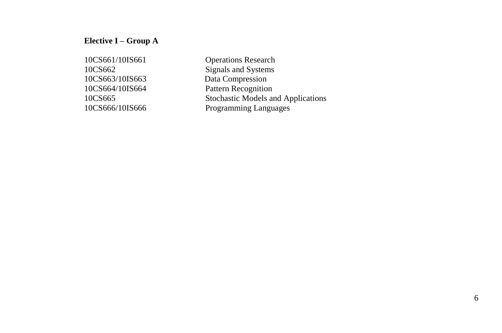### **Elective I – Group A**

10CS661/10IS661 Operations Research 10CS662 Signals and Systems 10CS663/10IS663 Data Compression 10CS664/10IS664 Pattern Recognition 10CS665 Stochastic Models and Applications 10CS666/10IS666 Programming Languages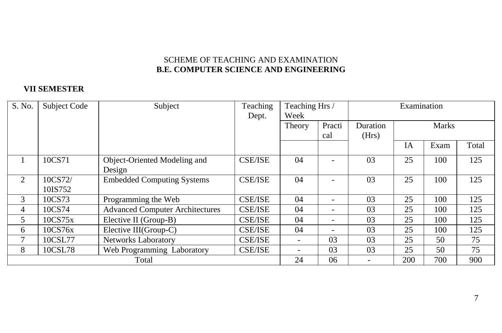### SCHEME OF TEACHING AND EXAMINATION **B.E. COMPUTER SCIENCE AND ENGINEERING**

### **VII SEMESTER**

| S. No. | Subject Code | Subject                                | Teaching       | Teaching Hrs /           |     |          | Examination |              |       |  |
|--------|--------------|----------------------------------------|----------------|--------------------------|-----|----------|-------------|--------------|-------|--|
|        |              |                                        | Dept.          | Week                     |     |          |             |              |       |  |
|        |              |                                        |                | Practi<br>Theory         |     | Duration |             | <b>Marks</b> |       |  |
|        |              |                                        |                |                          | cal | (Hrs)    |             |              |       |  |
|        |              |                                        |                |                          |     |          | <b>IA</b>   | Exam         | Total |  |
|        | 10CS71       | Object-Oriented Modeling and           | <b>CSE/ISE</b> | 04                       |     | 03       | 25          | 100          | 125   |  |
|        |              | Design                                 |                |                          |     |          |             |              |       |  |
| 2      | 10CS72/      | <b>Embedded Computing Systems</b>      | <b>CSE/ISE</b> | 04                       |     | 03       | 25          | 100          | 125   |  |
|        | 10IS752      |                                        |                |                          |     |          |             |              |       |  |
| 3      | 10CS73       | Programming the Web                    | <b>CSE/ISE</b> | 04                       |     | 03       | 25          | 100          | 125   |  |
| 4      | 10CS74       | <b>Advanced Computer Architectures</b> | <b>CSE/ISE</b> | 04                       |     | 03       | 25          | 100          | 125   |  |
| 5.     | 10CS75x      | Elective II (Group-B)                  | <b>CSE/ISE</b> | 04                       |     | 03       | 25          | 100          | 125   |  |
| 6      | 10CS76x      | Elective III(Group-C)                  | <b>CSE/ISE</b> | 04                       |     | 03       | 25          | 100          | 125   |  |
| 7      | 10CSL77      | <b>Networks Laboratory</b>             | <b>CSE/ISE</b> | $\overline{\phantom{a}}$ | 03  | 03       | 25          | 50           | 75    |  |
| 8      | 10CSL78      | Web Programming Laboratory             | <b>CSE/ISE</b> | $\overline{\phantom{a}}$ | 03  | 03       | 25          | 50           | 75    |  |
|        |              | Total                                  |                | 24                       | 06  |          | 200         | 700          | 900   |  |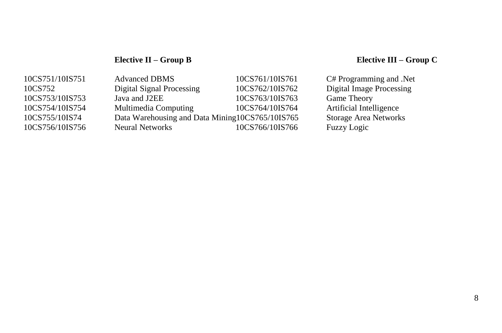# **Elective II – Group B Elective III – Group C**

| 10CS751/10IS751 | <b>Advanced DBMS</b>                            | 10CS761/10IS761 | C# Programming and .Net         |
|-----------------|-------------------------------------------------|-----------------|---------------------------------|
| 10CS752         | Digital Signal Processing                       | 10CS762/10IS762 | <b>Digital Image Processing</b> |
| 10CS753/10IS753 | Java and J2EE                                   | 10CS763/10IS763 | <b>Game Theory</b>              |
| 10CS754/10IS754 | Multimedia Computing                            | 10CS764/10IS764 | Artificial Intelligence         |
| 10CS755/10IS74  | Data Warehousing and Data Mining10CS765/10IS765 |                 | Storage Area Networks           |
| 10CS756/10IS756 | <b>Neural Networks</b>                          | 10CS766/10IS766 | Fuzzy Logic                     |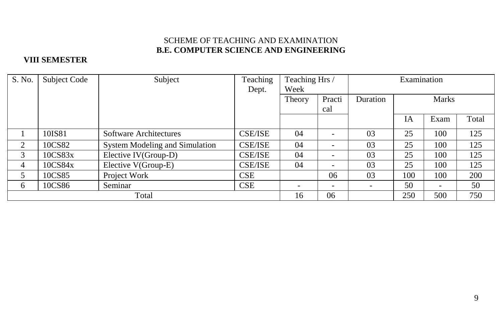### SCHEME OF TEACHING AND EXAMINATION **B.E. COMPUTER SCIENCE AND ENGINEERING**

### **VIII SEMESTER**

| S. No. | Subject Code | Subject                        | Teaching       | Teaching Hrs /           |                          |        | Examination |                          |       |  |
|--------|--------------|--------------------------------|----------------|--------------------------|--------------------------|--------|-------------|--------------------------|-------|--|
|        |              |                                | Dept.          | Week                     |                          |        |             |                          |       |  |
|        |              |                                |                | Theory                   | Practi                   |        |             | <b>Marks</b>             |       |  |
|        |              |                                |                |                          | cal                      |        |             |                          |       |  |
|        |              |                                |                |                          |                          |        | IA          | Exam                     | Total |  |
|        | 10IS81       | Software Architectures         | <b>CSE/ISE</b> | 04                       | ۰                        | 03     | 25          | 100                      | 125   |  |
| 2      | 10CS82       | System Modeling and Simulation | <b>CSE/ISE</b> | 04                       | $\overline{\phantom{0}}$ | 03     | 25          | 100                      | 125   |  |
| 3      | 10CS83x      | Elective IV(Group-D)           | <b>CSE/ISE</b> | 04                       | $\overline{\phantom{a}}$ | 03     | 25          | 100                      | 125   |  |
| 4      | 10CS84x      | Elective V(Group-E)            | <b>CSE/ISE</b> | 04                       | $\overline{\phantom{a}}$ | 03     | 25          | 100                      | 125   |  |
| 5      | 10CS85       | Project Work                   | <b>CSE</b>     |                          | 06                       | 03     | 100         | 100                      | 200   |  |
| 6      | 10CS86       | Seminar                        | <b>CSE</b>     | $\overline{\phantom{a}}$ | $\overline{\phantom{a}}$ | $\sim$ | 50          | $\overline{\phantom{a}}$ | 50    |  |
|        |              | Total                          |                | 16                       | 06                       |        | 250         | 500                      | 750   |  |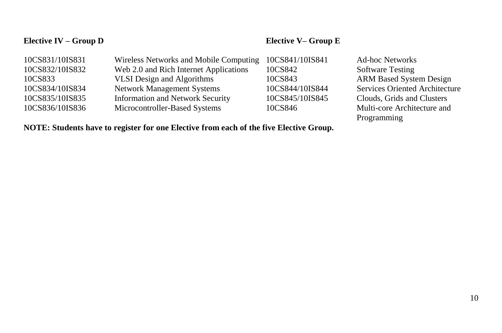# **Elective IV – Group D Elective V– Group E**

| 10CS831/10IS831 | Wireless Networks and Mobile Computing  | 10CS841/10IS841 | <b>Ad-hoc Networks</b>                |
|-----------------|-----------------------------------------|-----------------|---------------------------------------|
| 10CS832/10IS832 | Web 2.0 and Rich Internet Applications  | 10CS842         | <b>Software Testing</b>               |
| 10CS833         | <b>VLSI</b> Design and Algorithms       | 10CS843         | <b>ARM Based System Design</b>        |
| 10CS834/10IS834 | <b>Network Management Systems</b>       | 10CS844/10IS844 | <b>Services Oriented Architecture</b> |
| 10CS835/10IS835 | <b>Information and Network Security</b> | 10CS845/10IS845 | Clouds, Grids and Clusters            |
| 10CS836/10IS836 | Microcontroller-Based Systems           | 10CS846         | Multi-core Architecture and           |
|                 |                                         |                 | Programming                           |

# **NOTE: Students have to register for one Elective from each of the five Elective Group.**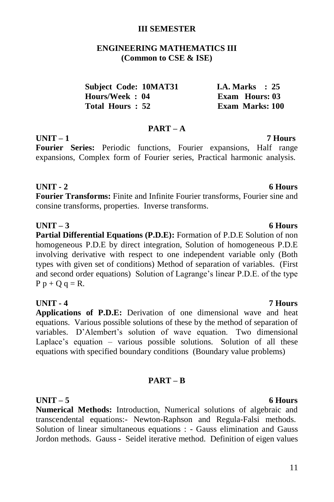### **III SEMESTER**

### **ENGINEERING MATHEMATICS III (Common to CSE & ISE)**

| <b>Subject Code: 10MAT31</b> |  | I.A. Marks $\therefore$ 25 |  |
|------------------------------|--|----------------------------|--|
| Hours/Week: 04               |  | Exam Hours: 03             |  |
| Total Hours: 52              |  | <b>Exam Marks: 100</b>     |  |

### **PART – A**

# **UNIT – 1 7 Hours**

**Fourier Series:** Periodic functions, Fourier expansions, Half range expansions, Complex form of Fourier series, Practical harmonic analysis.

### **UNIT - 2 6 Hours**

**Fourier Transforms:** Finite and Infinite Fourier transforms, Fourier sine and consine transforms, properties. Inverse transforms.

### **UNIT – 3 6 Hours**

**Partial Differential Equations (P.D.E):** Formation of P.D.E Solution of non homogeneous P.D.E by direct integration, Solution of homogeneous P.D.E involving derivative with respect to one independent variable only (Both types with given set of conditions) Method of separation of variables. (First and second order equations) Solution of Lagrange's linear P.D.E. of the type  $P p + Q q = R$ .

**UNIT - 4 7 Hours Applications of P.D.E:** Derivation of one dimensional wave and heat equations. Various possible solutions of these by the method of separation of variables. D"Alembert"s solution of wave equation. Two dimensional Laplace's equation – various possible solutions. Solution of all these equations with specified boundary conditions (Boundary value problems)

### **PART – B**

**UNIT – 5 6 Hours Numerical Methods:** Introduction, Numerical solutions of algebraic and transcendental equations:- Newton-Raphson and Regula-Falsi methods. Solution of linear simultaneous equations : - Gauss elimination and Gauss Jordon methods. Gauss - Seidel iterative method. Definition of eigen values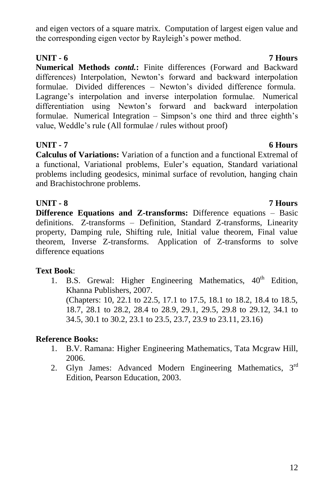12

### and eigen vectors of a square matrix. Computation of largest eigen value and the corresponding eigen vector by Rayleigh"s power method.

# **UNIT - 6 7 Hours**

**Numerical Methods** *contd.***:** Finite differences (Forward and Backward differences) Interpolation, Newton's forward and backward interpolation formulae. Divided differences – Newton"s divided difference formula. Lagrange's interpolation and inverse interpolation formulae. Numerical differentiation using Newton"s forward and backward interpolation formulae. Numerical Integration – Simpson's one third and three eighth's value, Weddle"s rule (All formulae / rules without proof)

# **UNIT - 7 6 Hours**

**Calculus of Variations:** Variation of a function and a functional Extremal of a functional, Variational problems, Euler"s equation, Standard variational problems including geodesics, minimal surface of revolution, hanging chain and Brachistochrone problems.

# **UNIT - 8 7 Hours**

**Difference Equations and Z-transforms:** Difference equations – Basic definitions. Z-transforms – Definition, Standard Z-transforms, Linearity property, Damping rule, Shifting rule, Initial value theorem, Final value theorem, Inverse Z-transforms. Application of Z-transforms to solve difference equations

# **Text Book**:

1. B.S. Grewal: Higher Engineering Mathematics,  $40<sup>th</sup>$  Edition. Khanna Publishers, 2007. (Chapters: 10, 22.1 to 22.5, 17.1 to 17.5, 18.1 to 18.2, 18.4 to 18.5, 18.7, 28.1 to 28.2, 28.4 to 28.9, 29.1, 29.5, 29.8 to 29.12, 34.1 to 34.5, 30.1 to 30.2, 23.1 to 23.5, 23.7, 23.9 to 23.11, 23.16)

# **Reference Books:**

- 1. B.V. Ramana: Higher Engineering Mathematics, Tata Mcgraw Hill, 2006.
- 2. Glyn James: Advanced Modern Engineering Mathematics, 3<sup>rd</sup> Edition, Pearson Education, 2003.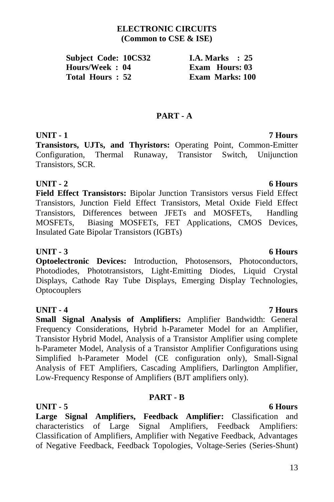# 13

### **ELECTRONIC CIRCUITS (Common to CSE & ISE)**

| <b>Subject Code: 10CS32</b> |  | I.A. Marks $\therefore$ 25 |  |
|-----------------------------|--|----------------------------|--|
| Hours/Week : 04             |  | Exam Hours: 03             |  |
| Total Hours : 52            |  | <b>Exam Marks: 100</b>     |  |

### **PART - A**

# **UNIT - 1 7 Hours**

**Transistors, UJTs, and Thyristors:** Operating Point, Common-Emitter Configuration, Thermal Runaway, Transistor Switch, Unijunction Transistors, SCR.

### **UNIT - 2 6 Hours**

**Field Effect Transistors:** Bipolar Junction Transistors versus Field Effect Transistors, Junction Field Effect Transistors, Metal Oxide Field Effect Transistors, Differences between JFETs and MOSFETs, Handling MOSFETs, Biasing MOSFETs, FET Applications, CMOS Devices, Insulated Gate Bipolar Transistors (IGBTs)

### **UNIT - 3 6 Hours**

**Optoelectronic Devices:** Introduction, Photosensors, Photoconductors, Photodiodes, Phototransistors, Light-Emitting Diodes, Liquid Crystal Displays, Cathode Ray Tube Displays, Emerging Display Technologies, **Optocouplers** 

### **UNIT - 4 7 Hours**

**Small Signal Analysis of Amplifiers:** Amplifier Bandwidth: General Frequency Considerations, Hybrid h-Parameter Model for an Amplifier, Transistor Hybrid Model, Analysis of a Transistor Amplifier using complete h-Parameter Model, Analysis of a Transistor Amplifier Configurations using Simplified h-Parameter Model (CE configuration only), Small-Signal Analysis of FET Amplifiers, Cascading Amplifiers, Darlington Amplifier, Low-Frequency Response of Amplifiers (BJT amplifiers only).

### **PART - B**

**UNIT - 5 6 Hours Large Signal Amplifiers, Feedback Amplifier:** Classification and characteristics of Large Signal Amplifiers, Feedback Amplifiers: Classification of Amplifiers, Amplifier with Negative Feedback, Advantages of Negative Feedback, Feedback Topologies, Voltage-Series (Series-Shunt)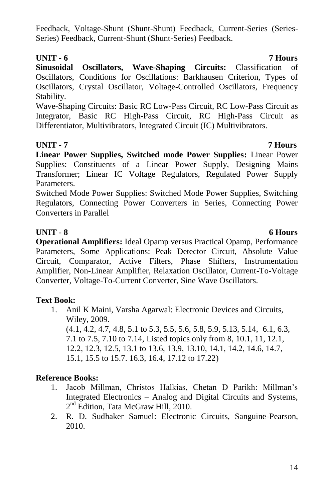Feedback, Voltage-Shunt (Shunt-Shunt) Feedback, Current-Series (Series-Series) Feedback, Current-Shunt (Shunt-Series) Feedback.

# **UNIT - 6 7 Hours**

**Sinusoidal Oscillators, Wave-Shaping Circuits:** Classification of Oscillators, Conditions for Oscillations: Barkhausen Criterion, Types of Oscillators, Crystal Oscillator, Voltage-Controlled Oscillators, Frequency Stability.

Wave-Shaping Circuits: Basic RC Low-Pass Circuit, RC Low-Pass Circuit as Integrator, Basic RC High-Pass Circuit, RC High-Pass Circuit as Differentiator, Multivibrators, Integrated Circuit (IC) Multivibrators.

# **UNIT - 7 7 Hours**

**Linear Power Supplies, Switched mode Power Supplies:** Linear Power Supplies: Constituents of a Linear Power Supply, Designing Mains Transformer; Linear IC Voltage Regulators, Regulated Power Supply Parameters.

Switched Mode Power Supplies: Switched Mode Power Supplies, Switching Regulators, Connecting Power Converters in Series, Connecting Power Converters in Parallel

# **UNIT - 8 6 Hours**

**Operational Amplifiers:** Ideal Opamp versus Practical Opamp, Performance Parameters, Some Applications: Peak Detector Circuit, Absolute Value Circuit, Comparator, Active Filters, Phase Shifters, Instrumentation Amplifier, Non-Linear Amplifier, Relaxation Oscillator, Current-To-Voltage Converter, Voltage-To-Current Converter, Sine Wave Oscillators.

# **Text Book:**

1. Anil K Maini, Varsha Agarwal: Electronic Devices and Circuits, Wiley, 2009. (4.1, 4.2, 4.7, 4.8, 5.1 to 5.3, 5.5, 5.6, 5.8, 5.9, 5.13, 5.14, 6.1, 6.3, 7.1 to 7.5, 7.10 to 7.14, Listed topics only from 8, 10.1, 11, 12.1, 12.2, 12.3, 12.5, 13.1 to 13.6, 13.9, 13.10, 14.1, 14.2, 14.6, 14.7, 15.1, 15.5 to 15.7. 16.3, 16.4, 17.12 to 17.22)

# **Reference Books:**

- 1. Jacob Millman, Christos Halkias, Chetan D Parikh: Millman"s Integrated Electronics – Analog and Digital Circuits and Systems, 2<sup>nd</sup> Edition, Tata McGraw Hill, 2010.
- 2. R. D. Sudhaker Samuel: Electronic Circuits, Sanguine-Pearson, 2010.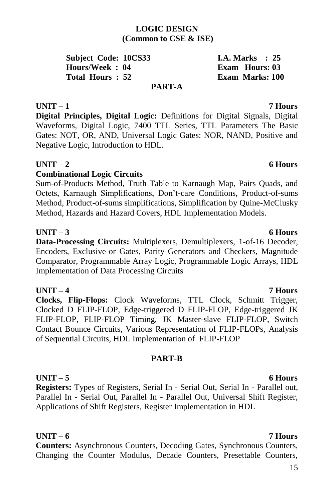### **LOGIC DESIGN (Common to CSE & ISE)**

**Subject Code: 10CS33 I.A. Marks** : 25 **Hours/Week : 04 Exam Hours: 03 Total Hours : 52 Exam Marks: 100 PART-A**

**UNIT – 1 7 Hours Digital Principles, Digital Logic:** Definitions for Digital Signals, Digital Waveforms, Digital Logic, 7400 TTL Series, TTL Parameters The Basic Gates: NOT, OR, AND, Universal Logic Gates: NOR, NAND, Positive and Negative Logic, Introduction to HDL.

### **UNIT – 2 6 Hours**

### **Combinational Logic Circuits**

Sum-of-Products Method, Truth Table to Karnaugh Map, Pairs Quads, and Octets, Karnaugh Simplifications, Don"t-care Conditions, Product-of-sums Method, Product-of-sums simplifications, Simplification by Quine-McClusky Method, Hazards and Hazard Covers, HDL Implementation Models.

### **UNIT – 3 6 Hours**

**Data-Processing Circuits:** Multiplexers, Demultiplexers, 1-of-16 Decoder, Encoders, Exclusive-or Gates, Parity Generators and Checkers, Magnitude Comparator, Programmable Array Logic, Programmable Logic Arrays, HDL Implementation of Data Processing Circuits

**UNIT – 4 7 Hours**

**Clocks, Flip-Flops:** Clock Waveforms, TTL Clock, Schmitt Trigger, Clocked D FLIP-FLOP, Edge-triggered D FLIP-FLOP, Edge-triggered JK FLIP-FLOP, FLIP-FLOP Timing, JK Master-slave FLIP-FLOP, Switch Contact Bounce Circuits, Various Representation of FLIP-FLOPs, Analysis of Sequential Circuits, HDL Implementation of FLIP-FLOP

### **PART-B**

# **UNIT – 5 6 Hours**

**Registers:** Types of Registers, Serial In - Serial Out, Serial In - Parallel out, Parallel In - Serial Out, Parallel In - Parallel Out, Universal Shift Register, Applications of Shift Registers, Register Implementation in HDL

**UNIT – 6 7 Hours**

**Counters:** Asynchronous Counters, Decoding Gates, Synchronous Counters, Changing the Counter Modulus, Decade Counters, Presettable Counters,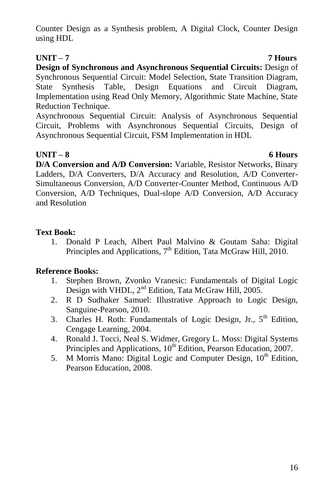Counter Design as a Synthesis problem, A Digital Clock, Counter Design using HDL

# **UNIT – 7 7 Hours**

**Design of Synchronous and Asynchronous Sequential Circuits:** Design of Synchronous Sequential Circuit: Model Selection, State Transition Diagram, State Synthesis Table, Design Equations and Circuit Diagram, Implementation using Read Only Memory, Algorithmic State Machine, State Reduction Technique.

Asynchronous Sequential Circuit: Analysis of Asynchronous Sequential Circuit, Problems with Asynchronous Sequential Circuits, Design of Asynchronous Sequential Circuit, FSM Implementation in HDL

# **UNIT – 8 6 Hours**

**D/A Conversion and A/D Conversion:** Variable, Resistor Networks, Binary Ladders, D/A Converters, D/A Accuracy and Resolution, A/D Converter-Simultaneous Conversion, A/D Converter-Counter Method, Continuous A/D Conversion, A/D Techniques, Dual-slope A/D Conversion, A/D Accuracy and Resolution

# **Text Book:**

1. Donald P Leach, Albert Paul Malvino & Goutam Saha: Digital Principles and Applications,  $7<sup>th</sup>$  Edition, Tata McGraw Hill, 2010.

# **Reference Books:**

- 1. Stephen Brown, Zvonko Vranesic: Fundamentals of Digital Logic Design with VHDL, 2<sup>nd</sup> Edition, Tata McGraw Hill, 2005.
- 2. R D Sudhaker Samuel: Illustrative Approach to Logic Design, Sanguine-Pearson, 2010.
- 3. Charles H. Roth: Fundamentals of Logic Design, Jr.,  $5<sup>th</sup>$  Edition, Cengage Learning, 2004.
- 4. Ronald J. Tocci, Neal S. Widmer, Gregory L. Moss: Digital Systems Principles and Applications, 10<sup>th</sup> Edition, Pearson Education, 2007.
- 5. M Morris Mano: Digital Logic and Computer Design,  $10<sup>th</sup>$  Edition, Pearson Education, 2008.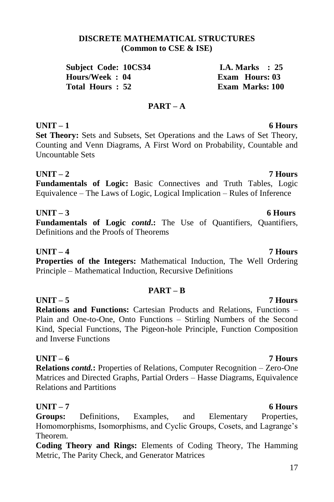### **DISCRETE MATHEMATICAL STRUCTURES (Common to CSE & ISE)**

**Subject Code: 10CS34 1.4. Marks : 25**<br> **Hours/Week : 04** Exam Hours: 03 **Hours/Week: 04 Total Hours : 52 Exam Marks: 100**

# **PART – A**

# **UNIT – 1 6 Hours**

**Set Theory:** Sets and Subsets, Set Operations and the Laws of Set Theory, Counting and Venn Diagrams, A First Word on Probability, Countable and Uncountable Sets

**UNIT – 2 7 Hours Fundamentals of Logic:** Basic Connectives and Truth Tables, Logic Equivalence – The Laws of Logic, Logical Implication – Rules of Inference

# **UNIT – 3 6 Hours**

**Fundamentals of Logic** *contd***.:** The Use of Quantifiers, Quantifiers, Definitions and the Proofs of Theorems

### **UNIT – 4 7 Hours**

**Properties of the Integers:** Mathematical Induction, The Well Ordering Principle – Mathematical Induction, Recursive Definitions

# **PART – B**

### **UNIT – 5 7 Hours Relations and Functions:** Cartesian Products and Relations, Functions – Plain and One-to-One, Onto Functions – Stirling Numbers of the Second Kind, Special Functions, The Pigeon-hole Principle, Function Composition and Inverse Functions

# **UNIT – 6 7 Hours**

**Relations** *contd.***:** Properties of Relations, Computer Recognition – Zero-One Matrices and Directed Graphs, Partial Orders – Hasse Diagrams, Equivalence Relations and Partitions

# **UNIT – 7 6 Hours**

**Groups:** Definitions, Examples, and Elementary Properties, Homomorphisms, Isomorphisms, and Cyclic Groups, Cosets, and Lagrange"s Theorem.

**Coding Theory and Rings:** Elements of Coding Theory, The Hamming Metric, The Parity Check, and Generator Matrices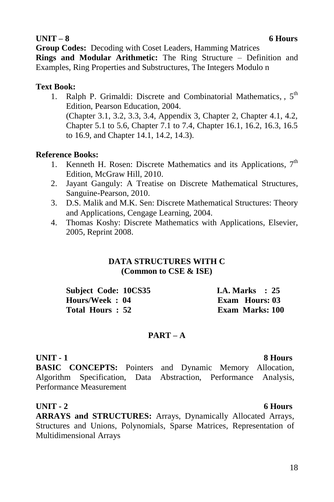### **UNIT – 8 6 Hours**

**Group Codes:** Decoding with Coset Leaders, Hamming Matrices

**Rings and Modular Arithmetic:** The Ring Structure – Definition and Examples, Ring Properties and Substructures, The Integers Modulo n

### **Text Book:**

1. Ralph P. Grimaldi: Discrete and Combinatorial Mathematics,  $5<sup>th</sup>$ Edition, Pearson Education, 2004. (Chapter 3.1, 3.2, 3.3, 3.4, Appendix 3, Chapter 2, Chapter 4.1, 4.2, Chapter 5.1 to 5.6, Chapter 7.1 to 7.4, Chapter 16.1, 16.2, 16.3, 16.5 to 16.9, and Chapter 14.1, 14.2, 14.3).

### **Reference Books:**

- 1. Kenneth H. Rosen: Discrete Mathematics and its Applications,  $7<sup>th</sup>$ Edition, McGraw Hill, 2010.
- 2. Jayant Ganguly: A Treatise on Discrete Mathematical Structures, Sanguine-Pearson, 2010.
- 3. D.S. Malik and M.K. Sen: Discrete Mathematical Structures: Theory and Applications, Cengage Learning, 2004.
- 4. Thomas Koshy: Discrete Mathematics with Applications, Elsevier, 2005, Reprint 2008.

### **DATA STRUCTURES WITH C (Common to CSE & ISE)**

| <b>Subject Code: 10CS35</b> | <b>I.A. Marks</b> : 25 |
|-----------------------------|------------------------|
| Hours/Week: 04              | Exam Hours: 03         |
| Total Hours: 52             | Exam Marks: 100        |

### **PART – A**

### **UNIT - 1 8 Hours**

**BASIC CONCEPTS:** Pointers and Dynamic Memory Allocation, Algorithm Specification, Data Abstraction, Performance Analysis, Performance Measurement

### **UNIT - 2 6 Hours**

**ARRAYS and STRUCTURES:** Arrays, Dynamically Allocated Arrays, Structures and Unions, Polynomials, Sparse Matrices, Representation of Multidimensional Arrays

### 18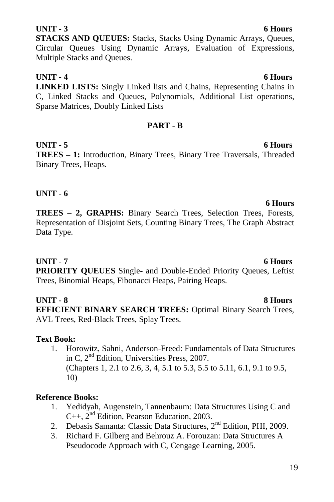### 19

### **UNIT - 3 6 Hours**

**STACKS AND QUEUES:** Stacks, Stacks Using Dynamic Arrays, Queues, Circular Queues Using Dynamic Arrays, Evaluation of Expressions, Multiple Stacks and Queues.

**UNIT - 4 6 Hours LINKED LISTS:** Singly Linked lists and Chains, Representing Chains in C, Linked Stacks and Queues, Polynomials, Additional List operations, Sparse Matrices, Doubly Linked Lists

### **PART - B**

**UNIT - 5 6 Hours TREES – 1:** Introduction, Binary Trees, Binary Tree Traversals, Threaded Binary Trees, Heaps.

## **UNIT - 6**

**TREES – 2, GRAPHS:** Binary Search Trees, Selection Trees, Forests, Representation of Disjoint Sets, Counting Binary Trees, The Graph Abstract Data Type.

# **UNIT - 7 6 Hours**

**PRIORITY QUEUES** Single- and Double-Ended Priority Queues, Leftist Trees, Binomial Heaps, Fibonacci Heaps, Pairing Heaps.

### **UNIT - 8 8 Hours**

**EFFICIENT BINARY SEARCH TREES:** Optimal Binary Search Trees, AVL Trees, Red-Black Trees, Splay Trees.

### **Text Book:**

1. Horowitz, Sahni, Anderson-Freed: Fundamentals of Data Structures in C, 2nd Edition, Universities Press, 2007. (Chapters 1, 2.1 to 2.6, 3, 4, 5.1 to 5.3, 5.5 to 5.11, 6.1, 9.1 to 9.5, 10)

# **Reference Books:**

- 1. Yedidyah, Augenstein, Tannenbaum: Data Structures Using C and C++, 2<sup>nd</sup> Edition, Pearson Education, 2003.
- 2. Debasis Samanta: Classic Data Structures,  $2<sup>nd</sup>$  Edition, PHI, 2009.
- 3. Richard F. Gilberg and Behrouz A. Forouzan: Data Structures A Pseudocode Approach with C, Cengage Learning, 2005.

# **6 Hours**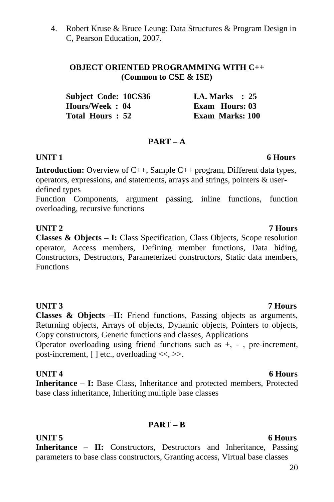4. Robert Kruse & Bruce Leung: Data Structures & Program Design in C, Pearson Education, 2007.

### **OBJECT ORIENTED PROGRAMMING WITH C++ (Common to CSE & ISE)**

| Subject Code: 10CS36 | I.A. Marks $\therefore$ 25 |
|----------------------|----------------------------|
| Hours/Week: 04       | <b>Exam</b> Hours: 03      |
| Total Hours: 52      | <b>Exam Marks: 100</b>     |

### **PART – A**

### **UNIT 1 6 Hours**

**Introduction:** Overview of C++, Sample C++ program, Different data types, operators, expressions, and statements, arrays and strings, pointers & userdefined types

Function Components, argument passing, inline functions, function overloading, recursive functions

## **UNIT 2 7 Hours**

**Classes & Objects – I:** Class Specification, Class Objects, Scope resolution operator, Access members, Defining member functions, Data hiding, Constructors, Destructors, Parameterized constructors, Static data members, Functions

### **UNIT 3 7 Hours**

**Classes & Objects –II:** Friend functions, Passing objects as arguments, Returning objects, Arrays of objects, Dynamic objects, Pointers to objects, Copy constructors, Generic functions and classes, Applications

Operator overloading using friend functions such as +, - , pre-increment, post-increment,  $[ \ ]$  etc., overloading  $\ll, \gg$ .

### **UNIT 4** 6 Hours

**Inheritance – I:** Base Class, Inheritance and protected members, Protected base class inheritance, Inheriting multiple base classes

### **PART – B**

**UNIT 5** 6 Hours **Inheritance – II:** Constructors, Destructors and Inheritance, Passing parameters to base class constructors, Granting access, Virtual base classes

### 20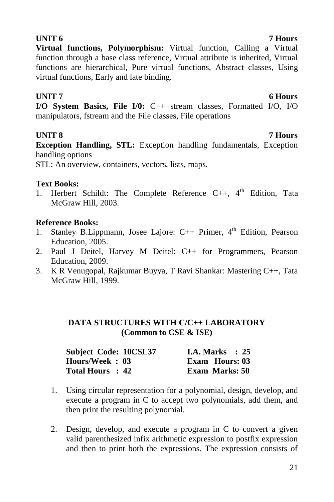# **UNIT 6 7 Hours**

**Virtual functions, Polymorphism:** Virtual function, Calling a Virtual function through a base class reference, Virtual attribute is inherited, Virtual functions are hierarchical, Pure virtual functions, Abstract classes, Using virtual functions, Early and late binding.

### **UNIT 7** 6 Hours

**I/O System Basics, File I/0:** C++ stream classes, Formatted I/O, I/O manipulators, fstream and the File classes, File operations

# **UNIT 8 7 Hours**

**Exception Handling, STL:** Exception handling fundamentals, Exception handling options

STL: An overview, containers, vectors, lists, maps.

# **Text Books:**

1. Herbert Schildt: The Complete Reference C++, 4<sup>th</sup> Edition, Tata McGraw Hill, 2003.

# **Reference Books:**

- 1. Stanley B.Lippmann, Josee Lajore:  $C_{++}$  Primer,  $4^{th}$  Edition, Pearson Education, 2005.
- 2. Paul J Deitel, Harvey M Deitel: C++ for Programmers, Pearson Education, 2009.
- 3. K R Venugopal, Rajkumar Buyya, T Ravi Shankar: Mastering C++, Tata McGraw Hill, 1999.

### **DATA STRUCTURES WITH C/C++ LABORATORY (Common to CSE & ISE)**

| Subject Code: 10CSL37 | <b>I.A. Marks</b> : 25 |
|-----------------------|------------------------|
| Hours/Week: 03        | <b>Exam Hours: 03</b>  |
| Total Hours : 42      | <b>Exam Marks: 50</b>  |

- 1. Using circular representation for a polynomial, design, develop, and execute a program in C to accept two polynomials, add them, and then print the resulting polynomial.
- 2. Design, develop, and execute a program in C to convert a given valid parenthesized infix arithmetic expression to postfix expression and then to print both the expressions. The expression consists of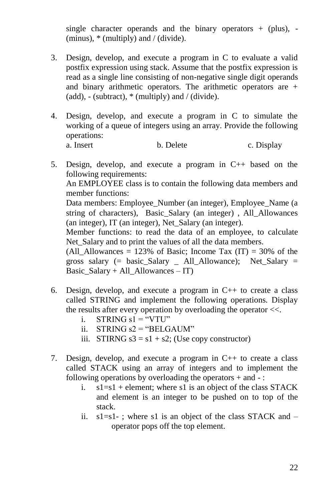single character operands and the binary operators  $+$  (plus), -(minus),  $*$  (multiply) and / (divide).

- 3. Design, develop, and execute a program in C to evaluate a valid postfix expression using stack. Assume that the postfix expression is read as a single line consisting of non-negative single digit operands and binary arithmetic operators. The arithmetic operators are + (add),  $-$  (subtract),  $*$  (multiply) and / (divide).
- 4. Design, develop, and execute a program in C to simulate the working of a queue of integers using an array. Provide the following operations: b. Delete c. Display
- 5. Design, develop, and execute a program in C++ based on the following requirements: An EMPLOYEE class is to contain the following data members and member functions: Data members: Employee Number (an integer), Employee Name (a string of characters), Basic\_Salary (an integer) , All\_Allowances (an integer), IT (an integer), Net\_Salary (an integer). Member functions: to read the data of an employee, to calculate Net Salary and to print the values of all the data members. (All Allowances = 123% of Basic; Income Tax (IT) = 30% of the gross salary  $(=$  basic Salary  $=$  All Allowance); Net Salary  $=$ Basic Salary + All Allowances – IT)
- 6. Design, develop, and execute a program in C++ to create a class called STRING and implement the following operations. Display the results after every operation by overloading the operator <<.
	- i. STRING  $s1 = "VTU"$
	- ii. STRING  $s2 =$  "BELGAUM"
	- iii. STIRNG  $s3 = s1 + s2$ ; (Use copy constructor)
- 7. Design, develop, and execute a program in C++ to create a class called STACK using an array of integers and to implement the following operations by overloading the operators + and - :
	- i.  $s1=s1 + element$ : where s1 is an object of the class STACK and element is an integer to be pushed on to top of the stack.
	- ii.  $s1 = s1 -$ ; where s1 is an object of the class STACK and  $$ operator pops off the top element.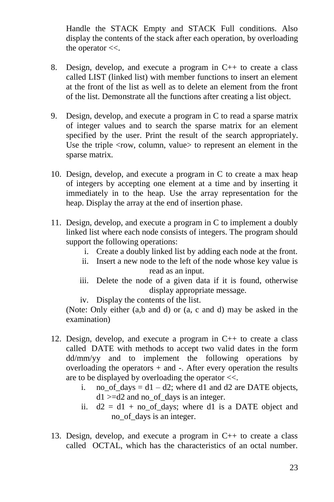Handle the STACK Empty and STACK Full conditions. Also display the contents of the stack after each operation, by overloading the operator  $<<$ .

- 8. Design, develop, and execute a program in C++ to create a class called LIST (linked list) with member functions to insert an element at the front of the list as well as to delete an element from the front of the list. Demonstrate all the functions after creating a list object.
- 9. Design, develop, and execute a program in C to read a sparse matrix of integer values and to search the sparse matrix for an element specified by the user. Print the result of the search appropriately. Use the triple  $\langle$ row, column, value $>$  to represent an element in the sparse matrix.
- 10. Design, develop, and execute a program in C to create a max heap of integers by accepting one element at a time and by inserting it immediately in to the heap. Use the array representation for the heap. Display the array at the end of insertion phase.
- 11. Design, develop, and execute a program in C to implement a doubly linked list where each node consists of integers. The program should support the following operations:
	- i. Create a doubly linked list by adding each node at the front.
	- ii. Insert a new node to the left of the node whose key value is read as an input.
	- iii. Delete the node of a given data if it is found, otherwise display appropriate message.
	- iv. Display the contents of the list.

(Note: Only either (a,b and d) or (a, c and d) may be asked in the examination)

- 12. Design, develop, and execute a program in C++ to create a class called DATE with methods to accept two valid dates in the form dd/mm/yy and to implement the following operations by overloading the operators  $+$  and  $-$ . After every operation the results are to be displayed by overloading the operator <<.
	- i. no of days =  $d1 d2$ ; where d1 and d2 are DATE objects,  $d1$  >=d2 and no of days is an integer.
	- ii.  $d2 = d1 + no_of_days$ ; where d1 is a DATE object and no\_of\_days is an integer.
- 13. Design, develop, and execute a program in C++ to create a class called OCTAL, which has the characteristics of an octal number.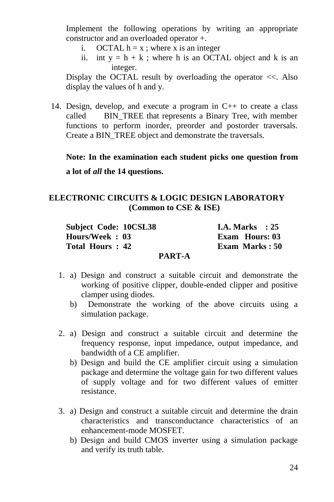Implement the following operations by writing an appropriate constructor and an overloaded operator +.

- i. OCTAL  $h = x$ ; where x is an integer
- ii. int  $y = h + k$ ; where h is an OCTAL object and k is an integer.

Display the OCTAL result by overloading the operator  $\ll$ . Also display the values of h and y.

14. Design, develop, and execute a program in C++ to create a class called BIN\_TREE that represents a Binary Tree, with member functions to perform inorder, preorder and postorder traversals. Create a BIN\_TREE object and demonstrate the traversals.

**Note: In the examination each student picks one question from a lot of** *all* **the 14 questions.**

### **ELECTRONIC CIRCUITS & LOGIC DESIGN LABORATORY (Common to CSE & ISE)**

| <b>Subject Code: 10CSL38</b> | <b>I.A. Marks</b> : $25$ |
|------------------------------|--------------------------|
| Hours/Week: 03               | <b>Exam Hours: 03</b>    |
| Total Hours: 42              | Exam Marks: 50           |
| <b>PART-A</b>                |                          |

- 1. a) Design and construct a suitable circuit and demonstrate the working of positive clipper, double-ended clipper and positive clamper using diodes.
	- b) Demonstrate the working of the above circuits using a simulation package.
- 2. a) Design and construct a suitable circuit and determine the frequency response, input impedance, output impedance, and bandwidth of a CE amplifier.
	- b) Design and build the CE amplifier circuit using a simulation package and determine the voltage gain for two different values of supply voltage and for two different values of emitter resistance.
- 3. a) Design and construct a suitable circuit and determine the drain characteristics and transconductance characteristics of an enhancement-mode MOSFET.
	- b) Design and build CMOS inverter using a simulation package and verify its truth table.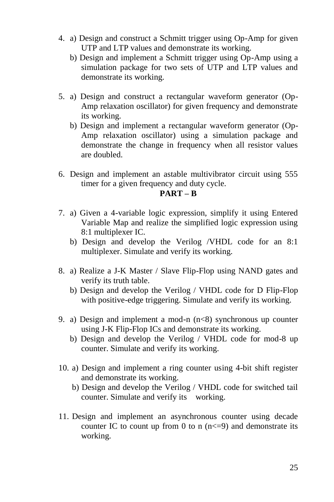- 4. a) Design and construct a Schmitt trigger using Op-Amp for given UTP and LTP values and demonstrate its working.
	- b) Design and implement a Schmitt trigger using Op-Amp using a simulation package for two sets of UTP and LTP values and demonstrate its working.
- 5. a) Design and construct a rectangular waveform generator (Op-Amp relaxation oscillator) for given frequency and demonstrate its working.
	- b) Design and implement a rectangular waveform generator (Op-Amp relaxation oscillator) using a simulation package and demonstrate the change in frequency when all resistor values are doubled.
- 6. Design and implement an astable multivibrator circuit using 555 timer for a given frequency and duty cycle.

### **PART – B**

- 7. a) Given a 4-variable logic expression, simplify it using Entered Variable Map and realize the simplified logic expression using 8:1 multiplexer IC.
	- b) Design and develop the Verilog /VHDL code for an 8:1 multiplexer. Simulate and verify its working.
- 8. a) Realize a J-K Master / Slave Flip-Flop using NAND gates and verify its truth table.
	- b) Design and develop the Verilog / VHDL code for D Flip-Flop with positive-edge triggering. Simulate and verify its working.
- 9. a) Design and implement a mod-n  $(n<8)$  synchronous up counter using J-K Flip-Flop ICs and demonstrate its working.
	- b) Design and develop the Verilog / VHDL code for mod-8 up counter. Simulate and verify its working.
- 10. a) Design and implement a ring counter using 4-bit shift register and demonstrate its working.
	- b) Design and develop the Verilog / VHDL code for switched tail counter. Simulate and verify its working.
- 11. Design and implement an asynchronous counter using decade counter IC to count up from 0 to n  $(n \leq -9)$  and demonstrate its working.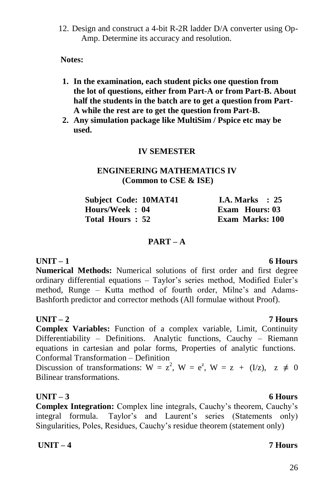12. Design and construct a 4-bit R-2R ladder D/A converter using Op-Amp. Determine its accuracy and resolution.

**Notes:**

- **1. In the examination, each student picks one question from the lot of questions, either from Part-A or from Part-B. About half the students in the batch are to get a question from Part-A while the rest are to get the question from Part-B.**
- **2. Any simulation package like MultiSim / Pspice etc may be used.**

### **IV SEMESTER**

### **ENGINEERING MATHEMATICS IV (Common to CSE & ISE)**

| <b>Subject Code: 10MAT41</b> | <b>I.A. Marks</b> : $25$ |
|------------------------------|--------------------------|
| Hours/Week: 04               | Exam Hours: 03           |
| Total Hours: 52              | <b>Exam Marks: 100</b>   |

### **PART – A**

**UNIT – 1 6 Hours Numerical Methods:** Numerical solutions of first order and first degree ordinary differential equations – Taylor's series method, Modified Euler's method, Runge – Kutta method of fourth order, Milne's and Adams-Bashforth predictor and corrector methods (All formulae without Proof).

### **UNIT – 2 7 Hours**

**Complex Variables:** Function of a complex variable, Limit, Continuity Differentiability – Definitions. Analytic functions, Cauchy – Riemann equations in cartesian and polar forms, Properties of analytic functions. Conformal Transformation – Definition

Discussion of transformations:  $W = z^2$ ,  $W = e^z$ ,  $W = z + (I/z)$ ,  $z \neq 0$ Bilinear transformations.

### **UNIT – 3 6 Hours**

**Complex Integration:** Complex line integrals, Cauchy's theorem, Cauchy's integral formula. Taylor's and Laurent's series (Statements only) Singularities, Poles, Residues, Cauchy"s residue theorem (statement only)

**UNIT – 4 7 Hours**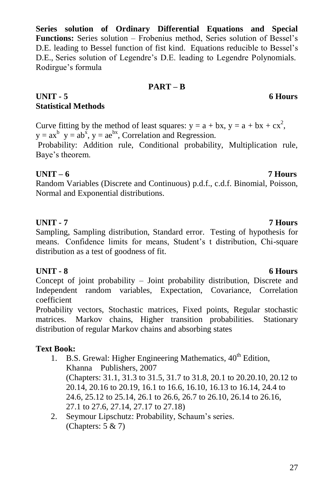27

**Series solution of Ordinary Differential Equations and Special**  Functions: Series solution – Frobenius method, Series solution of Bessel's D.E. leading to Bessel function of fist kind. Equations reducible to Bessel"s D.E., Series solution of Legendre's D.E. leading to Legendre Polynomials. Rodirgue"s formula

### **PART – B**

# **UNIT - 5 6 Hours Statistical Methods**

Curve fitting by the method of least squares:  $y = a + bx$ ,  $y = a + bx + cx^2$ ,  $y = ax^b$   $y = ab^x$ ,  $y = ae^{bx}$ , Correlation and Regression.

Probability: Addition rule, Conditional probability, Multiplication rule, Baye"s theorem.

### **UNIT – 6 7 Hours**

Random Variables (Discrete and Continuous) p.d.f., c.d.f. Binomial, Poisson, Normal and Exponential distributions.

### **UNIT - 7 7 Hours**

Sampling, Sampling distribution, Standard error. Testing of hypothesis for means. Confidence limits for means, Student's t distribution, Chi-square distribution as a test of goodness of fit.

### **UNIT - 8 6 Hours**

Concept of joint probability – Joint probability distribution, Discrete and Independent random variables, Expectation, Covariance, Correlation coefficient

Probability vectors, Stochastic matrices, Fixed points, Regular stochastic matrices. Markov chains, Higher transition probabilities. Stationary distribution of regular Markov chains and absorbing states

### **Text Book:**

- 1. B.S. Grewal: Higher Engineering Mathematics,  $40<sup>th</sup>$  Edition, Khanna Publishers, 2007 (Chapters: 31.1, 31.3 to 31.5, 31.7 to 31.8, 20.1 to 20.20.10, 20.12 to 20.14, 20.16 to 20.19, 16.1 to 16.6, 16.10, 16.13 to 16.14, 24.4 to 24.6, 25.12 to 25.14, 26.1 to 26.6, 26.7 to 26.10, 26.14 to 26.16, 27.1 to 27.6, 27.14, 27.17 to 27.18)
- 2. Seymour Lipschutz: Probability, Schaum"s series. (Chapters: 5 & 7)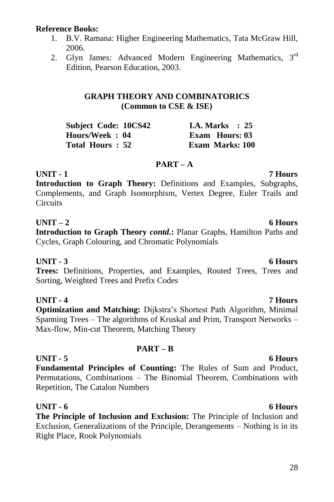### **Reference Books:**

- 1. B.V. Ramana: Higher Engineering Mathematics, Tata McGraw Hill, 2006.
- 2. Glyn James: Advanced Modern Engineering Mathematics, 3<sup>rd</sup> Edition, Pearson Education, 2003.

### **GRAPH THEORY AND COMBINATORICS (Common to CSE & ISE)**

| <b>Subject Code: 10CS42</b> | I.A. Marks $\therefore$ 25 |
|-----------------------------|----------------------------|
| Hours/Week: 04              | Exam Hours: 03             |
| Total Hours : 52            | <b>Exam Marks: 100</b>     |

### **PART – A**

**UNIT - 1 7 Hours Introduction to Graph Theory:** Definitions and Examples, Subgraphs, Complements, and Graph Isomorphism, Vertex Degree, Euler Trails and **Circuits** 

### **UNIT – 2 6 Hours**

**Introduction to Graph Theory** *contd***.:** Planar Graphs, Hamilton Paths and Cycles, Graph Colouring, and Chromatic Polynomials

### **UNIT - 3 6 Hours**

**Trees:** Definitions, Properties, and Examples, Routed Trees, Trees and Sorting, Weighted Trees and Prefix Codes

### **UNIT - 4 7 Hours**

**Optimization and Matching:** Dijkstra's Shortest Path Algorithm, Minimal Spanning Trees – The algorithms of Kruskal and Prim, Transport Networks – Max-flow, Min-cut Theorem, Matching Theory

### **PART – B**

### **UNIT - 5 6 Hours Fundamental Principles of Counting:** The Rules of Sum and Product, Permutations, Combinations – The Binomial Theorem, Combinations with Repetition, The Catalon Numbers

### **UNIT - 6 6 Hours**

**The Principle of Inclusion and Exclusion:** The Principle of Inclusion and Exclusion, Generalizations of the Principle, Derangements – Nothing is in its Right Place, Rook Polynomials

### 28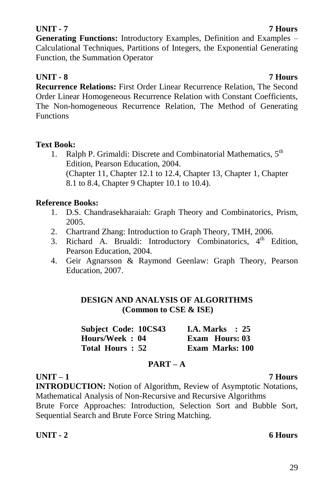### **UNIT - 7 7 Hours**

**Generating Functions:** Introductory Examples, Definition and Examples – Calculational Techniques, Partitions of Integers, the Exponential Generating Function, the Summation Operator

# **UNIT - 8 7 Hours**

**Recurrence Relations:** First Order Linear Recurrence Relation, The Second Order Linear Homogeneous Recurrence Relation with Constant Coefficients, The Non-homogeneous Recurrence Relation, The Method of Generating **Functions** 

### **Text Book:**

1. Ralph P. Grimaldi: Discrete and Combinatorial Mathematics, 5<sup>th</sup> Edition, Pearson Education, 2004. (Chapter 11, Chapter 12.1 to 12.4, Chapter 13, Chapter 1, Chapter 8.1 to 8.4, Chapter 9 Chapter 10.1 to 10.4).

### **Reference Books:**

- 1. D.S. Chandrasekharaiah: Graph Theory and Combinatorics, Prism, 2005.
- 2. Chartrand Zhang: Introduction to Graph Theory, TMH, 2006.
- 3. Richard A. Brualdi: Introductory Combinatorics, 4<sup>th</sup> Edition, Pearson Education, 2004.
- 4. Geir Agnarsson & Raymond Geenlaw: Graph Theory, Pearson Education, 2007.

### **DESIGN AND ANALYSIS OF ALGORITHMS (Common to CSE & ISE)**

| Subject Code: 10CS43 | <b>I.A.</b> Marks $\therefore$ 25 |
|----------------------|-----------------------------------|
| Hours/Week: 04       | <b>Exam</b> Hours: 03             |
| Total Hours: 52      | <b>Exam Marks: 100</b>            |

### **PART – A**

### **UNIT – 1 7 Hours INTRODUCTION:** Notion of Algorithm, Review of Asymptotic Notations, Mathematical Analysis of Non-Recursive and Recursive Algorithms Brute Force Approaches: Introduction, Selection Sort and Bubble Sort, Sequential Search and Brute Force String Matching.

### **UNIT - 2 6 Hours**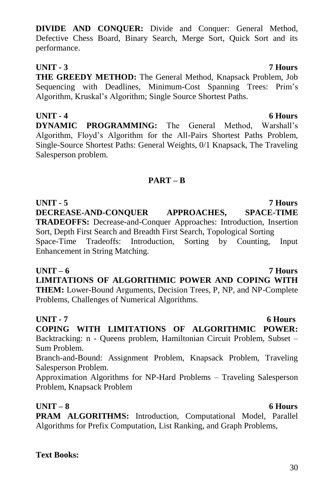30

**DIVIDE AND CONQUER:** Divide and Conquer: General Method, Defective Chess Board, Binary Search, Merge Sort, Quick Sort and its performance.

# **UNIT - 3 7 Hours**

**THE GREEDY METHOD:** The General Method, Knapsack Problem, Job Sequencing with Deadlines, Minimum-Cost Spanning Trees: Prim's Algorithm, Kruskal"s Algorithm; Single Source Shortest Paths.

**UNIT - 4 6 Hours DYNAMIC PROGRAMMING:** The General Method, Warshall's Algorithm, Floyd"s Algorithm for the All-Pairs Shortest Paths Problem, Single-Source Shortest Paths: General Weights, 0/1 Knapsack, The Traveling Salesperson problem.

### **PART – B**

**UNIT - 5 7 Hours DECREASE-AND-CONQUER APPROACHES, SPACE-TIME TRADEOFFS:** Decrease-and-Conquer Approaches: Introduction, Insertion Sort, Depth First Search and Breadth First Search, Topological Sorting Space-Time Tradeoffs: Introduction, Sorting by Counting, Input Enhancement in String Matching.

### **UNIT – 6 7 Hours**

**LIMITATIONS OF ALGORITHMIC POWER AND COPING WITH THEM:** Lower-Bound Arguments, Decision Trees, P, NP, and NP-Complete Problems, Challenges of Numerical Algorithms.

## **UNIT - 7 6 Hours**

**COPING WITH LIMITATIONS OF ALGORITHMIC POWER:**  Backtracking: n - Queens problem, Hamiltonian Circuit Problem, Subset – Sum Problem.

Branch-and-Bound: Assignment Problem, Knapsack Problem, Traveling Salesperson Problem.

Approximation Algorithms for NP-Hard Problems – Traveling Salesperson Problem, Knapsack Problem

### **UNIT – 8 6 Hours**

**PRAM ALGORITHMS:** Introduction, Computational Model, Parallel Algorithms for Prefix Computation, List Ranking, and Graph Problems,

# **Text Books:**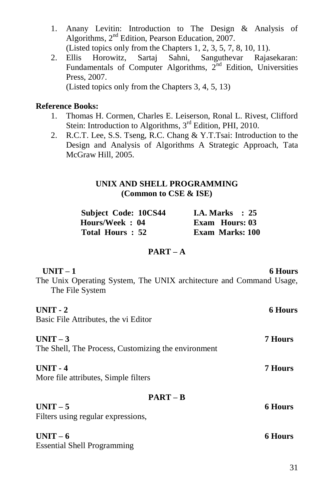- 1. Anany Levitin: Introduction to The Design & Analysis of Algorithms, 2<sup>nd</sup> Edition, Pearson Education, 2007. (Listed topics only from the Chapters 1, 2, 3, 5, 7, 8, 10, 11).
- 2. Ellis Horowitz, Sartaj Sahni, Sanguthevar Rajasekaran: Fundamentals of Computer Algorithms, 2<sup>nd</sup> Edition, Universities Press, 2007. (Listed topics only from the Chapters 3, 4, 5, 13)

### **Reference Books:**

- 1. Thomas H. Cormen, Charles E. Leiserson, Ronal L. Rivest, Clifford Stein: Introduction to Algorithms, 3<sup>rd</sup> Edition, PHI, 2010.
- 2. R.C.T. Lee, S.S. Tseng, R.C. Chang & Y.T.Tsai: Introduction to the Design and Analysis of Algorithms A Strategic Approach, Tata McGraw Hill, 2005.

### **UNIX AND SHELL PROGRAMMING (Common to CSE & ISE)**

| Subject Code: 10CS44 |  | <b>I.A. Marks</b> : 25 |  |
|----------------------|--|------------------------|--|
| Hours/Week: 04       |  | <b>Exam</b> Hours: 03  |  |
| Total Hours: 52      |  | <b>Exam Marks: 100</b> |  |

### **PART – A**

| <b>6 Hours</b>                                                      |
|---------------------------------------------------------------------|
| The Unix Operating System, The UNIX architecture and Command Usage, |
| <b>6 Hours</b>                                                      |
|                                                                     |
| 7 Hours                                                             |
|                                                                     |
| 7 Hours                                                             |
|                                                                     |
|                                                                     |
| <b>6 Hours</b>                                                      |
|                                                                     |
| <b>6 Hours</b>                                                      |
|                                                                     |
|                                                                     |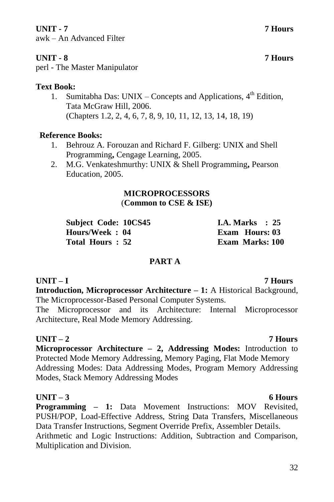### **UNIT - 7 7 Hours**

awk – An Advanced Filter

# **UNIT - 8 7 Hours**

# **Text Book:**

1. Sumitabha Das: UNIX – Concepts and Applications, 4<sup>th</sup> Edition, Tata McGraw Hill, 2006. (Chapters 1.2, 2, 4, 6, 7, 8, 9, 10, 11, 12, 13, 14, 18, 19)

## **Reference Books:**

- 1. Behrouz A. Forouzan and Richard F. Gilberg: UNIX and Shell Programming**,** Cengage Learning, 2005.
- 2. M.G. Venkateshmurthy: UNIX & Shell Programming**,** Pearson Education, 2005.

### **MICROPROCESSORS** (**Common to CSE & ISE)**

| <b>Subject Code: 10CS45</b> | I.A. Marks $\therefore$ 25 |
|-----------------------------|----------------------------|
| Hours/Week : 04             | <b>Exam Hours: 03</b>      |
| Total Hours : 52            | <b>Exam Marks: 100</b>     |

### **PART A**

### **UNIT – I 7 Hours**

**Introduction, Microprocessor Architecture – 1:** A Historical Background, The Microprocessor-Based Personal Computer Systems.

The Microprocessor and its Architecture: Internal Microprocessor Architecture, Real Mode Memory Addressing.

### **UNIT – 2 7 Hours**

**Microprocessor Architecture – 2, Addressing Modes:** Introduction to Protected Mode Memory Addressing, Memory Paging, Flat Mode Memory Addressing Modes: Data Addressing Modes, Program Memory Addressing Modes, Stack Memory Addressing Modes

### **UNIT – 3 6 Hours**

**Programming – 1:** Data Movement Instructions: MOV Revisited, PUSH/POP, Load-Effective Address, String Data Transfers, Miscellaneous Data Transfer Instructions, Segment Override Prefix, Assembler Details. Arithmetic and Logic Instructions: Addition, Subtraction and Comparison, Multiplication and Division.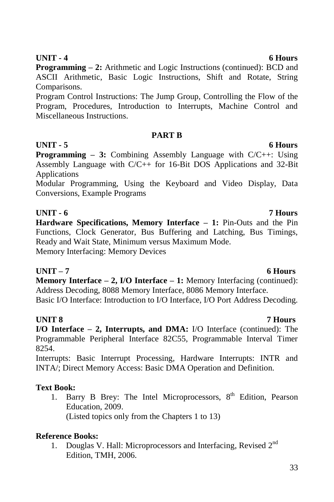**UNIT - 4 6 Hours Programming – 2:** Arithmetic and Logic Instructions (continued): BCD and ASCII Arithmetic, Basic Logic Instructions, Shift and Rotate, String Comparisons.

Program Control Instructions: The Jump Group, Controlling the Flow of the Program, Procedures, Introduction to Interrupts, Machine Control and Miscellaneous Instructions.

### **PART B**

**UNIT - 5 6 Hours**

**Programming – 3:** Combining Assembly Language with C/C++: Using Assembly Language with C/C++ for 16-Bit DOS Applications and 32-Bit Applications

Modular Programming, Using the Keyboard and Video Display, Data Conversions, Example Programs

**UNIT - 6 7 Hours Hardware Specifications, Memory Interface – 1:** Pin-Outs and the Pin Functions, Clock Generator, Bus Buffering and Latching, Bus Timings, Ready and Wait State, Minimum versus Maximum Mode. Memory Interfacing: Memory Devices

# **UNIT – 7 6 Hours**

**Memory Interface – 2, I/O Interface – 1:** Memory Interfacing (continued): Address Decoding, 8088 Memory Interface, 8086 Memory Interface.

Basic I/O Interface: Introduction to I/O Interface, I/O Port Address Decoding.

# **UNIT 8 7 Hours**

**I/O Interface – 2, Interrupts, and DMA:** I/O Interface (continued): The Programmable Peripheral Interface 82C55, Programmable Interval Timer 8254.

Interrupts: Basic Interrupt Processing, Hardware Interrupts: INTR and INTA/; Direct Memory Access: Basic DMA Operation and Definition.

# **Text Book:**

1. Barry B Brey: The Intel Microprocessors, 8<sup>th</sup> Edition, Pearson Education, 2009. (Listed topics only from the Chapters 1 to 13)

### **Reference Books:**

1. Douglas V. Hall: Microprocessors and Interfacing, Revised 2<sup>nd</sup> Edition, TMH, 2006.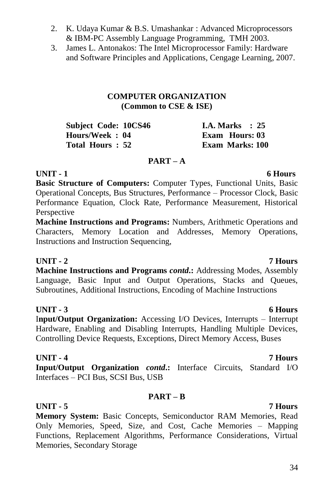- 2. K. Udaya Kumar & B.S. Umashankar : Advanced Microprocessors & IBM-PC Assembly Language Programming, TMH 2003.
- 3. James L. Antonakos: The Intel Microprocessor Family: Hardware and Software Principles and Applications, Cengage Learning, 2007.

### **COMPUTER ORGANIZATION (Common to CSE & ISE)**

| Subject Code: 10CS46 | <b>I.A. Marks</b> : 25 |
|----------------------|------------------------|
| Hours/Week: 04       | Exam Hours: 03         |
| Total Hours: 52      | <b>Exam Marks: 100</b> |

### **PART – A**

### **UNIT - 1 6 Hours**

**Basic Structure of Computers:** Computer Types, Functional Units, Basic Operational Concepts, Bus Structures, Performance – Processor Clock, Basic Performance Equation, Clock Rate, Performance Measurement, Historical Perspective

**Machine Instructions and Programs:** Numbers, Arithmetic Operations and Characters, Memory Location and Addresses, Memory Operations, Instructions and Instruction Sequencing,

### **UNIT - 2 7 Hours**

**Machine Instructions and Programs** *contd***.:** Addressing Modes, Assembly Language, Basic Input and Output Operations, Stacks and Queues, Subroutines, Additional Instructions, Encoding of Machine Instructions

### **UNIT - 3 6 Hours**

I**nput/Output Organization:** Accessing I/O Devices, Interrupts – Interrupt Hardware, Enabling and Disabling Interrupts, Handling Multiple Devices, Controlling Device Requests, Exceptions, Direct Memory Access, Buses

### **UNIT - 4 7 Hours**

**Input/Output Organization** *contd***.:** Interface Circuits, Standard I/O Interfaces – PCI Bus, SCSI Bus, USB

### **PART – B**

### **UNIT - 5 7 Hours**

**Memory System:** Basic Concepts, Semiconductor RAM Memories, Read Only Memories, Speed, Size, and Cost, Cache Memories – Mapping Functions, Replacement Algorithms, Performance Considerations, Virtual Memories, Secondary Storage

### 34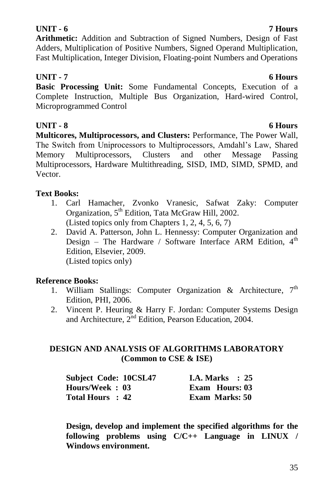### **UNIT - 6 7 Hours**

**Arithmetic:** Addition and Subtraction of Signed Numbers, Design of Fast Adders, Multiplication of Positive Numbers, Signed Operand Multiplication, Fast Multiplication, Integer Division, Floating-point Numbers and Operations

## **UNIT - 7 6 Hours**

**Basic Processing Unit:** Some Fundamental Concepts, Execution of a Complete Instruction, Multiple Bus Organization, Hard-wired Control, Microprogrammed Control

**UNIT - 8 6 Hours Multicores, Multiprocessors, and Clusters:** Performance, The Power Wall, The Switch from Uniprocessors to Multiprocessors, Amdahl"s Law, Shared Memory Multiprocessors, Clusters and other Message Passing Multiprocessors, Hardware Multithreading, SISD, IMD, SIMD, SPMD, and Vector.

### **Text Books:**

- 1. Carl Hamacher, Zvonko Vranesic, Safwat Zaky: Computer Organization, 5<sup>th</sup> Edition, Tata McGraw Hill, 2002. (Listed topics only from Chapters 1, 2, 4, 5, 6, 7)
- 2. David A. Patterson, John L. Hennessy: Computer Organization and Design – The Hardware / Software Interface ARM Edition.  $4<sup>th</sup>$ Edition, Elsevier, 2009. (Listed topics only)

### **Reference Books:**

- 1. William Stallings: Computer Organization & Architecture,  $7<sup>th</sup>$ Edition, PHI, 2006.
- 2. Vincent P. Heuring & Harry F. Jordan: Computer Systems Design and Architecture, 2<sup>nd</sup> Edition, Pearson Education, 2004.

### **DESIGN AND ANALYSIS OF ALGORITHMS LABORATORY (Common to CSE & ISE)**

| <b>Subject Code: 10CSL47</b> | I.A. Marks $\therefore$ 25 |  |
|------------------------------|----------------------------|--|
| Hours/Week: 03               | Exam Hours: 03             |  |
| Total Hours : 42             | <b>Exam Marks: 50</b>      |  |

**Design, develop and implement the specified algorithms for the following problems using C/C++ Language in LINUX / Windows environment.**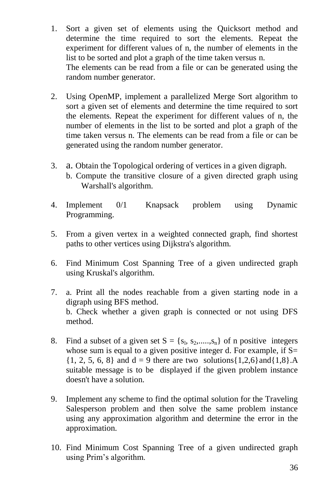- 1. Sort a given set of elements using the Quicksort method and determine the time required to sort the elements. Repeat the experiment for different values of n, the number of elements in the list to be sorted and plot a graph of the time taken versus n. The elements can be read from a file or can be generated using the random number generator.
- 2. Using OpenMP, implement a parallelized Merge Sort algorithm to sort a given set of elements and determine the time required to sort the elements. Repeat the experiment for different values of n, the number of elements in the list to be sorted and plot a graph of the time taken versus n. The elements can be read from a file or can be generated using the random number generator.
- 3. a. Obtain the Topological ordering of vertices in a given digraph.
	- b. Compute the transitive closure of a given directed graph using Warshall's algorithm.
- 4. Implement 0/1 Knapsack problem using Dynamic Programming.
- 5. From a given vertex in a weighted connected graph, find shortest paths to other vertices using Dijkstra's algorithm.
- 6. Find Minimum Cost Spanning Tree of a given undirected graph using Kruskal's algorithm.
- 7. a. Print all the nodes reachable from a given starting node in a digraph using BFS method. b. Check whether a given graph is connected or not using DFS method.
- 8. Find a subset of a given set  $S = \{s_1, s_2, \dots, s_n\}$  of n positive integers whose sum is equal to a given positive integer d. For example, if  $S=$  $\{1, 2, 5, 6, 8\}$  and  $d = 9$  there are two solutions $\{1,2,6\}$  and  $\{1,8\}$ .A suitable message is to be displayed if the given problem instance doesn't have a solution.
- 9. Implement any scheme to find the optimal solution for the Traveling Salesperson problem and then solve the same problem instance using any approximation algorithm and determine the error in the approximation.
- 10. Find Minimum Cost Spanning Tree of a given undirected graph using Prim"s algorithm.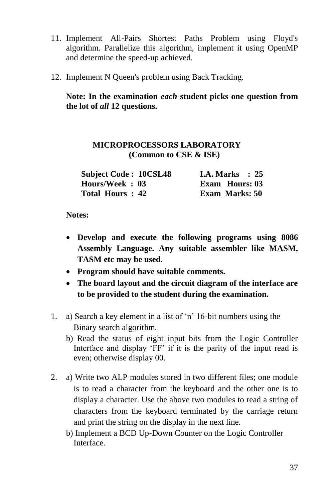- 11. Implement All-Pairs Shortest Paths Problem using Floyd's algorithm. Parallelize this algorithm, implement it using OpenMP and determine the speed-up achieved.
- 12. Implement N Queen's problem using Back Tracking.

**Note: In the examination** *each* **student picks one question from the lot of** *all* **12 questions.**

### **MICROPROCESSORS LABORATORY (Common to CSE & ISE)**

| <b>Subject Code: 10CSL48</b> | <b>I.A. Marks</b> : $25$ |
|------------------------------|--------------------------|
| Hours/Week: 03               | <b>Exam</b> Hours: 03    |
| Total Hours: 42              | <b>Exam Marks: 50</b>    |

#### **Notes:**

- **Develop and execute the following programs using 8086 Assembly Language. Any suitable assembler like MASM, TASM etc may be used.**
- **Program should have suitable comments.**
- **The board layout and the circuit diagram of the interface are to be provided to the student during the examination.**
- 1. a) Search a key element in a list of "n" 16-bit numbers using the Binary search algorithm.
	- b) Read the status of eight input bits from the Logic Controller Interface and display 'FF' if it is the parity of the input read is even; otherwise display 00.
- 2. a) Write two ALP modules stored in two different files; one module is to read a character from the keyboard and the other one is to display a character. Use the above two modules to read a string of characters from the keyboard terminated by the carriage return and print the string on the display in the next line.
	- b) Implement a BCD Up-Down Counter on the Logic Controller Interface.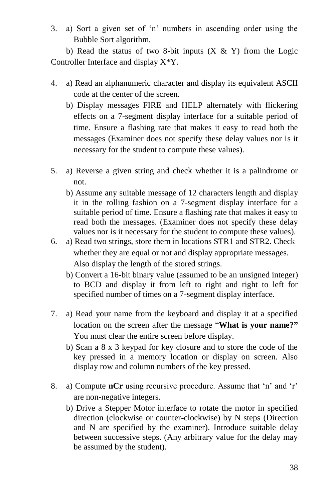3. a) Sort a given set of "n" numbers in ascending order using the Bubble Sort algorithm.

b) Read the status of two 8-bit inputs  $(X & Y)$  from the Logic Controller Interface and display X\*Y.

- 4. a) Read an alphanumeric character and display its equivalent ASCII code at the center of the screen.
	- b) Display messages FIRE and HELP alternately with flickering effects on a 7-segment display interface for a suitable period of time. Ensure a flashing rate that makes it easy to read both the messages (Examiner does not specify these delay values nor is it necessary for the student to compute these values).
- 5. a) Reverse a given string and check whether it is a palindrome or not.
	- b) Assume any suitable message of 12 characters length and display it in the rolling fashion on a 7-segment display interface for a suitable period of time. Ensure a flashing rate that makes it easy to read both the messages. (Examiner does not specify these delay values nor is it necessary for the student to compute these values).
- 6. a) Read two strings, store them in locations STR1 and STR2. Check whether they are equal or not and display appropriate messages. Also display the length of the stored strings.
	- b) Convert a 16-bit binary value (assumed to be an unsigned integer) to BCD and display it from left to right and right to left for specified number of times on a 7-segment display interface.
- 7. a) Read your name from the keyboard and display it at a specified location on the screen after the message "**What is your name?"** You must clear the entire screen before display.
	- b) Scan a 8 x 3 keypad for key closure and to store the code of the key pressed in a memory location or display on screen. Also display row and column numbers of the key pressed.
- 8. a) Compute **nCr** using recursive procedure. Assume that 'n' and 'r' are non-negative integers.
	- b) Drive a Stepper Motor interface to rotate the motor in specified direction (clockwise or counter-clockwise) by N steps (Direction and N are specified by the examiner). Introduce suitable delay between successive steps. (Any arbitrary value for the delay may be assumed by the student).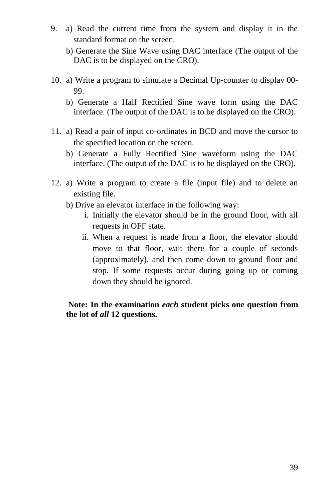- 9. a) Read the current time from the system and display it in the standard format on the screen.
	- b) Generate the Sine Wave using DAC interface (The output of the DAC is to be displayed on the CRO).
- 10. a) Write a program to simulate a Decimal Up-counter to display 00- 99.
	- b) Generate a Half Rectified Sine wave form using the DAC interface. (The output of the DAC is to be displayed on the CRO).
- 11. a) Read a pair of input co-ordinates in BCD and move the cursor to the specified location on the screen.
	- b) Generate a Fully Rectified Sine waveform using the DAC interface. (The output of the DAC is to be displayed on the CRO).
- 12. a) Write a program to create a file (input file) and to delete an existing file.
	- b) Drive an elevator interface in the following way:
		- i. Initially the elevator should be in the ground floor, with all requests in OFF state.
		- ii. When a request is made from a floor, the elevator should move to that floor, wait there for a couple of seconds (approximately), and then come down to ground floor and stop. If some requests occur during going up or coming down they should be ignored.

#### **Note: In the examination** *each* **student picks one question from the lot of** *all* **12 questions.**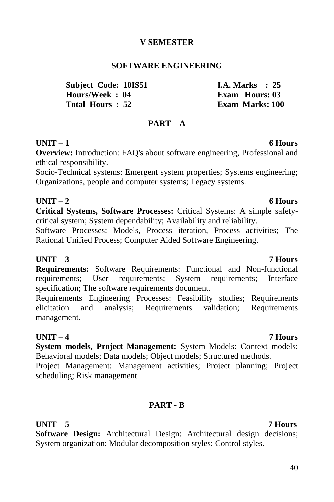40

#### **V SEMESTER**

#### **SOFTWARE ENGINEERING**

**Subject Code: 10IS51 I.A. Marks : 25 Hours/Week : 04 Exam Hours: 03**

#### **PART – A**

#### **UNIT – 1 6 Hours**

**Overview:** Introduction: FAQ's about software engineering, Professional and ethical responsibility.

Socio-Technical systems: Emergent system properties; Systems engineering; Organizations, people and computer systems; Legacy systems.

**Critical Systems, Software Processes:** Critical Systems: A simple safetycritical system; System dependability; Availability and reliability.

Software Processes: Models, Process iteration, Process activities; The Rational Unified Process; Computer Aided Software Engineering.

#### **UNIT – 3 7 Hours**

**Requirements:** Software Requirements: Functional and Non-functional requirements; User requirements; System requirements; Interface specification; The software requirements document.

Requirements Engineering Processes: Feasibility studies; Requirements elicitation and analysis; Requirements validation; Requirements management.

#### **UNIT – 4 7 Hours**

**System models, Project Management:** System Models: Context models; Behavioral models; Data models; Object models; Structured methods.

Project Management: Management activities; Project planning; Project scheduling; Risk management

#### **PART - B**

#### **UNIT – 5 7 Hours**

**Software Design:** Architectural Design: Architectural design decisions; System organization; Modular decomposition styles; Control styles.

# **UNIT – 2 6 Hours**

**Exam Marks: 100**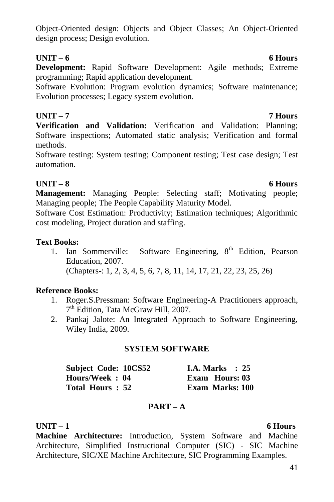Object-Oriented design: Objects and Object Classes; An Object-Oriented design process; Design evolution.

### **UNIT – 6 6 Hours**

**Development:** Rapid Software Development: Agile methods; Extreme programming; Rapid application development.

Software Evolution: Program evolution dynamics; Software maintenance; Evolution processes; Legacy system evolution.

### **UNIT – 7 7 Hours**

**Verification and Validation:** Verification and Validation: Planning; Software inspections; Automated static analysis; Verification and formal methods.

Software testing: System testing; Component testing; Test case design; Test automation.

### **UNIT – 8 6 Hours**

**Management:** Managing People: Selecting staff; Motivating people; Managing people; The People Capability Maturity Model.

Software Cost Estimation: Productivity; Estimation techniques; Algorithmic cost modeling, Project duration and staffing.

### **Text Books:**

1. Ian Sommerville: Software Engineering,  $8<sup>th</sup>$  Edition, Pearson Education, 2007. (Chapters-: 1, 2, 3, 4, 5, 6, 7, 8, 11, 14, 17, 21, 22, 23, 25, 26)

### **Reference Books:**

- 1. Roger.S.Pressman: Software Engineering-A Practitioners approach, 7<sup>th</sup> Edition, Tata McGraw Hill, 2007.
- 2. Pankaj Jalote: An Integrated Approach to Software Engineering, Wiley India, 2009.

### **SYSTEM SOFTWARE**

| <b>Subject Code: 10CS52</b> | <b>I.A. Marks</b> : 25 |
|-----------------------------|------------------------|
| Hours/Week: 04              | Exam Hours: 03         |
| Total Hours: 52             | <b>Exam Marks: 100</b> |

### **PART – A**

### **UNIT – 1 6 Hours**

**Machine Architecture:** Introduction, System Software and Machine Architecture, Simplified Instructional Computer (SIC) - SIC Machine Architecture, SIC/XE Machine Architecture, SIC Programming Examples.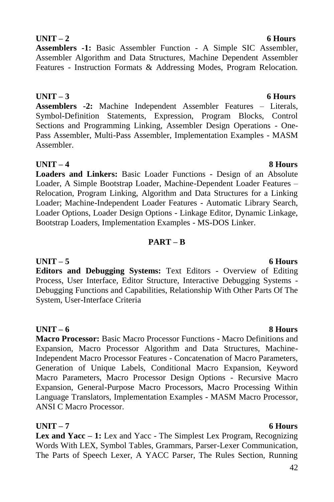### **UNIT – 2 6 Hours**

**Assemblers -1:** Basic Assembler Function - A Simple SIC Assembler, Assembler Algorithm and Data Structures, Machine Dependent Assembler Features - Instruction Formats & Addressing Modes, Program Relocation.

### **UNIT – 3 6 Hours**

**Assemblers -2:** Machine Independent Assembler Features – Literals, Symbol-Definition Statements, Expression, Program Blocks, Control Sections and Programming Linking, Assembler Design Operations - One-Pass Assembler, Multi-Pass Assembler, Implementation Examples - MASM Assembler.

### **UNIT – 4 8 Hours**

**Loaders and Linkers:** Basic Loader Functions - Design of an Absolute Loader, A Simple Bootstrap Loader, Machine-Dependent Loader Features – Relocation, Program Linking, Algorithm and Data Structures for a Linking Loader; Machine-Independent Loader Features - Automatic Library Search, Loader Options, Loader Design Options - Linkage Editor, Dynamic Linkage, Bootstrap Loaders, Implementation Examples - MS-DOS Linker.

### **PART – B**

#### **UNIT – 5 6 Hours Editors and Debugging Systems:** Text Editors - Overview of Editing Process, User Interface, Editor Structure, Interactive Debugging Systems - Debugging Functions and Capabilities, Relationship With Other Parts Of The System, User-Interface Criteria

### **UNIT – 6 8 Hours**

**Macro Processor:** Basic Macro Processor Functions - Macro Definitions and Expansion, Macro Processor Algorithm and Data Structures, Machine-Independent Macro Processor Features - Concatenation of Macro Parameters, Generation of Unique Labels, Conditional Macro Expansion, Keyword Macro Parameters, Macro Processor Design Options - Recursive Macro Expansion, General-Purpose Macro Processors, Macro Processing Within Language Translators, Implementation Examples - MASM Macro Processor, ANSI C Macro Processor.

**Lex and Yacc – 1:** Lex and Yacc - The Simplest Lex Program, Recognizing Words With LEX, Symbol Tables, Grammars, Parser-Lexer Communication, The Parts of Speech Lexer, A YACC Parser, The Rules Section, Running

#### **UNIT – 7 6 Hours**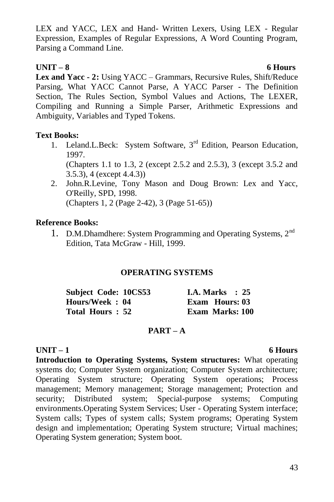LEX and YACC, LEX and Hand- Written Lexers, Using LEX - Regular Expression, Examples of Regular Expressions, A Word Counting Program, Parsing a Command Line.

### **UNIT – 8 6 Hours**

**Lex and Yacc - 2:** Using YACC – Grammars, Recursive Rules, Shift/Reduce Parsing, What YACC Cannot Parse, A YACC Parser - The Definition Section, The Rules Section, Symbol Values and Actions, The LEXER, Compiling and Running a Simple Parser, Arithmetic Expressions and Ambiguity, Variables and Typed Tokens.

### **Text Books:**

- 1. Leland.L.Beck: System Software,  $3<sup>rd</sup>$  Edition, Pearson Education, 1997. (Chapters 1.1 to 1.3, 2 (except 2.5.2 and 2.5.3), 3 (except 3.5.2 and 3.5.3), 4 (except 4.4.3))
- 2. John.R.Levine, Tony Mason and Doug Brown: Lex and Yacc, O'Reilly, SPD, 1998. (Chapters 1, 2 (Page 2-42), 3 (Page 51-65))

### **Reference Books:**

1. D.M.Dhamdhere: System Programming and Operating Systems, 2<sup>nd</sup> Edition, Tata McGraw - Hill, 1999.

### **OPERATING SYSTEMS**

| Subject Code: 10CS53 | <b>I.A. Marks</b> : 25 |
|----------------------|------------------------|
| Hours/Week: 04       | Exam Hours: 03         |
| Total Hours: 52      | <b>Exam Marks: 100</b> |

### **PART – A**

### **UNIT – 1 6 Hours**

**Introduction to Operating Systems, System structures:** What operating systems do; Computer System organization; Computer System architecture; Operating System structure; Operating System operations; Process management; Memory management; Storage management; Protection and security: Distributed system: Special-purpose systems: Computing environments.Operating System Services; User - Operating System interface; System calls; Types of system calls; System programs; Operating System design and implementation; Operating System structure; Virtual machines; Operating System generation; System boot.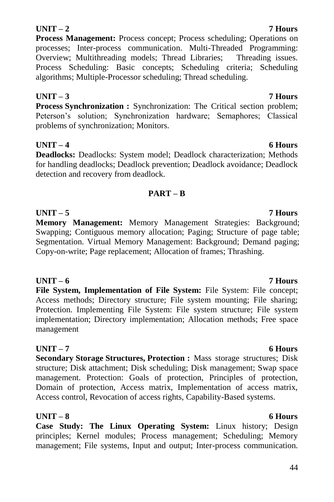### 44

### **UNIT – 2 7 Hours**

**Process Management:** Process concept; Process scheduling; Operations on processes; Inter-process communication. Multi-Threaded Programming: Overview; Multithreading models; Thread Libraries; Threading issues. Process Scheduling: Basic concepts; Scheduling criteria; Scheduling algorithms; Multiple-Processor scheduling; Thread scheduling.

### **UNIT – 3 7 Hours**

**Process Synchronization :** Synchronization: The Critical section problem; Peterson's solution; Synchronization hardware; Semaphores; Classical problems of synchronization; Monitors.

### **UNIT – 4 6 Hours**

**Deadlocks:** Deadlocks: System model; Deadlock characterization; Methods for handling deadlocks; Deadlock prevention; Deadlock avoidance; Deadlock detection and recovery from deadlock.

### **PART – B**

**UNIT – 5 7 Hours Memory Management:** Memory Management Strategies: Background; Swapping; Contiguous memory allocation; Paging; Structure of page table; Segmentation. Virtual Memory Management: Background; Demand paging; Copy-on-write; Page replacement; Allocation of frames; Thrashing.

**UNIT – 6 7 Hours File System, Implementation of File System:** File System: File concept; Access methods; Directory structure; File system mounting; File sharing; Protection. Implementing File System: File system structure; File system implementation; Directory implementation; Allocation methods; Free space management

### **UNIT – 7 6 Hours**

**Secondary Storage Structures, Protection :** Mass storage structures; Disk structure; Disk attachment; Disk scheduling; Disk management; Swap space management. Protection: Goals of protection, Principles of protection, Domain of protection, Access matrix, Implementation of access matrix, Access control, Revocation of access rights, Capability-Based systems.

### **UNIT – 8 6 Hours**

**Case Study: The Linux Operating System:** Linux history; Design principles; Kernel modules; Process management; Scheduling; Memory management; File systems, Input and output; Inter-process communication.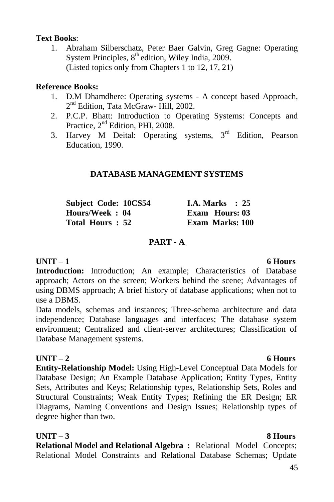#### **Text Books**:

1. Abraham Silberschatz, Peter Baer Galvin, Greg Gagne: Operating System Principles, 8<sup>th</sup> edition, Wiley India, 2009. (Listed topics only from Chapters 1 to 12, 17, 21)

### **Reference Books:**

- 1. D.M Dhamdhere: Operating systems A concept based Approach, 2<sup>nd</sup> Edition, Tata McGraw- Hill, 2002.
- 2. P.C.P. Bhatt: Introduction to Operating Systems: Concepts and Practice,  $2<sup>nd</sup>$  Edition, PHI, 2008.
- 3. Harvey M Deital: Operating systems,  $3<sup>rd</sup>$  Edition, Pearson Education, 1990.

### **DATABASE MANAGEMENT SYSTEMS**

| Subject Code: 10CS54 |  | <b>I.A. Marks</b> : $25$ |  |
|----------------------|--|--------------------------|--|
| Hours/Week: 04       |  | Exam Hours: 03           |  |
| Total Hours: 52      |  | <b>Exam Marks: 100</b>   |  |

### **PART - A**

### **UNIT – 1 6 Hours**

**Introduction:** Introduction; An example; Characteristics of Database approach; Actors on the screen; Workers behind the scene; Advantages of using DBMS approach; A brief history of database applications; when not to use a DBMS.

Data models, schemas and instances; Three-schema architecture and data independence; Database languages and interfaces; The database system environment; Centralized and client-server architectures; Classification of Database Management systems.

### **UNIT – 2 6 Hours**

**Entity-Relationship Model:** Using High-Level Conceptual Data Models for Database Design; An Example Database Application; Entity Types, Entity Sets, Attributes and Keys; Relationship types, Relationship Sets, Roles and Structural Constraints; Weak Entity Types; Refining the ER Design; ER Diagrams, Naming Conventions and Design Issues; Relationship types of degree higher than two.

### **UNIT – 3 8 Hours**

**Relational Model and Relational Algebra :** Relational Model Concepts; Relational Model Constraints and Relational Database Schemas; Update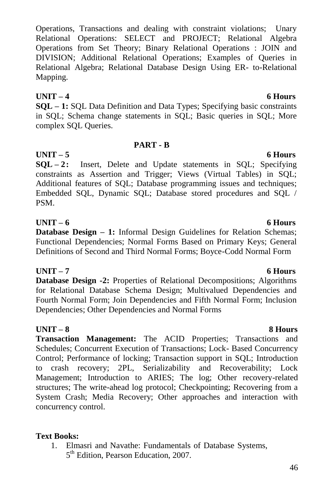Operations, Transactions and dealing with constraint violations; Unary Relational Operations: SELECT and PROJECT; Relational Algebra Operations from Set Theory; Binary Relational Operations : JOIN and DIVISION; Additional Relational Operations; Examples of Queries in Relational Algebra; Relational Database Design Using ER- to-Relational Mapping.

### **UNIT – 4 6 Hours**

**SQL – 1:** SQL Data Definition and Data Types; Specifying basic constraints in SQL; Schema change statements in SQL; Basic queries in SQL; More complex SQL Queries.

### **PART - B**

**UNIT – 5 6 Hours SQL – 2:** Insert, Delete and Update statements in SQL; Specifying constraints as Assertion and Trigger; Views (Virtual Tables) in SQL; Additional features of SQL; Database programming issues and techniques; Embedded SQL, Dynamic SQL; Database stored procedures and SQL / PSM.

#### **UNIT – 6 6 Hours**

**Database Design – 1:** Informal Design Guidelines for Relation Schemas; Functional Dependencies; Normal Forms Based on Primary Keys; General Definitions of Second and Third Normal Forms; Boyce-Codd Normal Form

### **UNIT – 7 6 Hours**

**Database Design -2:** Properties of Relational Decompositions: Algorithms for Relational Database Schema Design; Multivalued Dependencies and Fourth Normal Form; Join Dependencies and Fifth Normal Form; Inclusion Dependencies; Other Dependencies and Normal Forms

### **UNIT – 8 8 Hours**

**Transaction Management:** The ACID Properties; Transactions and Schedules; Concurrent Execution of Transactions; Lock- Based Concurrency Control; Performance of locking; Transaction support in SQL; Introduction to crash recovery; 2PL, Serializability and Recoverability; Lock Management; Introduction to ARIES; The log; Other recovery-related structures; The write-ahead log protocol; Checkpointing; Recovering from a System Crash; Media Recovery; Other approaches and interaction with concurrency control.

### **Text Books:**

1. Elmasri and Navathe: Fundamentals of Database Systems, 5<sup>th</sup> Edition, Pearson Education, 2007.

#### 46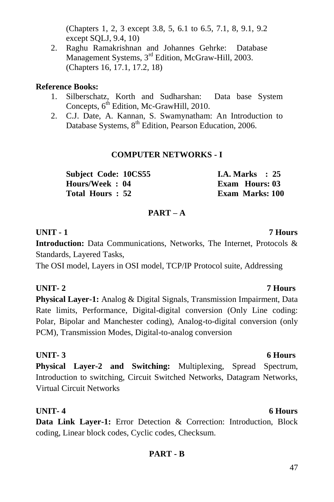(Chapters 1, 2, 3 except 3.8, 5, 6.1 to 6.5, 7.1, 8, 9.1, 9.2 except SQLJ, 9.4, 10)

2. Raghu Ramakrishnan and Johannes Gehrke: Database Management Systems, 3<sup>rd</sup> Edition, McGraw-Hill, 2003. (Chapters 16, 17.1, 17.2, 18)

### **Reference Books:**

- 1. Silberschatz, Korth and Sudharshan: Data base System Concepts, 6<sup>th</sup> Edition, Mc-GrawHill, 2010.
- 2. C.J. Date, A. Kannan, S. Swamynatham: An Introduction to Database Systems, 8<sup>th</sup> Edition, Pearson Education, 2006.

### **COMPUTER NETWORKS - I**

| <b>Subject Code: 10CS55</b> | <b>I.A.</b> Marks $: 25$ |
|-----------------------------|--------------------------|
| Hours/Week: 04              | Exam Hours: 03           |
| Total Hours: 52             | Exam Marks: 100          |

### **PART – A**

### **UNIT - 1 7 Hours**

**Introduction:** Data Communications, Networks, The Internet, Protocols & Standards, Layered Tasks,

The OSI model, Layers in OSI model, TCP/IP Protocol suite, Addressing

### **UNIT- 2 7 Hours**

**Physical Layer-1:** Analog & Digital Signals, Transmission Impairment, Data Rate limits, Performance, Digital-digital conversion (Only Line coding: Polar, Bipolar and Manchester coding), Analog-to-digital conversion (only PCM), Transmission Modes, Digital-to-analog conversion

### **UNIT- 3 6 Hours**

**Physical Layer-2 and Switching:** Multiplexing, Spread Spectrum, Introduction to switching, Circuit Switched Networks, Datagram Networks, Virtual Circuit Networks

### **UNIT- 4 6 Hours**

**Data Link Layer-1:** Error Detection & Correction: Introduction, Block coding, Linear block codes, Cyclic codes, Checksum.

### **PART - B**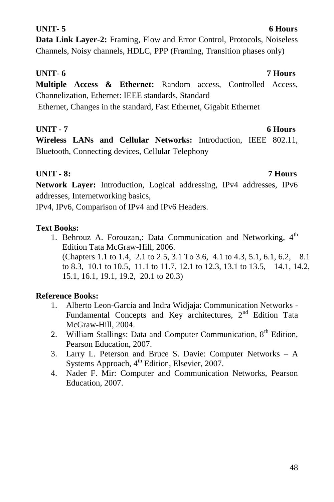# **UNIT- 5 6 Hours**

**Data Link Layer-2:** Framing, Flow and Error Control, Protocols, Noiseless Channels, Noisy channels, HDLC, PPP (Framing, Transition phases only)

### **UNIT- 6 7 Hours**

**Multiple Access & Ethernet:** Random access, Controlled Access, Channelization, Ethernet: IEEE standards, Standard Ethernet, Changes in the standard, Fast Ethernet, Gigabit Ethernet

### **UNIT - 7 6 Hours**

**Wireless LANs and Cellular Networks:** Introduction, IEEE 802.11, Bluetooth, Connecting devices, Cellular Telephony

### **UNIT - 8: 7 Hours**

**Network Layer:** Introduction, Logical addressing, IPv4 addresses, IPv6 addresses, Internetworking basics,

IPv4, IPv6, Comparison of IPv4 and IPv6 Headers.

### **Text Books:**

1. Behrouz A. Forouzan,: Data Communication and Networking, 4<sup>th</sup> Edition Tata McGraw-Hill, 2006. (Chapters 1.1 to 1.4, 2.1 to 2.5, 3.1 To 3.6, 4.1 to 4.3, 5.1, 6.1, 6.2, 8.1 to 8.3, 10.1 to 10.5, 11.1 to 11.7, 12.1 to 12.3, 13.1 to 13.5, 14.1, 14.2, 15.1, 16.1, 19.1, 19.2, 20.1 to 20.3)

### **Reference Books:**

- 1. Alberto Leon-Garcia and Indra Widjaja: Communication Networks Fundamental Concepts and Key architectures,  $2<sup>nd</sup>$  Edition Tata McGraw-Hill, 2004.
- 2. William Stallings: Data and Computer Communication,  $8<sup>th</sup>$  Edition, Pearson Education, 2007.
- 3. Larry L. Peterson and Bruce S. Davie: Computer Networks A Systems Approach, 4<sup>th</sup> Edition, Elsevier, 2007.
- 4. Nader F. Mir: Computer and Communication Networks, Pearson Education, 2007.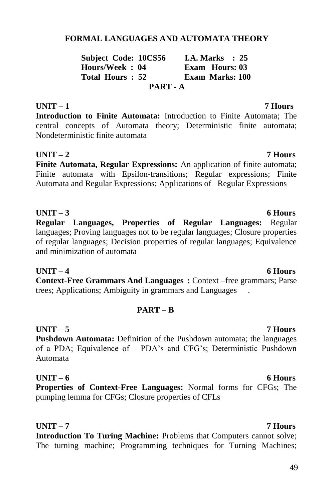# 49

### **FORMAL LANGUAGES AND AUTOMATA THEORY**

**Subject Code: 10CS56 I.A. Marks : 25 Hours/Week : 04 Exam Hours: 03 Exam Marks: 100 PART - A**

#### **UNIT – 1 7 Hours**

**Introduction to Finite Automata:** Introduction to Finite Automata; The central concepts of Automata theory; Deterministic finite automata; Nondeterministic finite automata

### **UNIT – 2 7 Hours**

**Finite Automata, Regular Expressions:** An application of finite automata; Finite automata with Epsilon-transitions; Regular expressions; Finite Automata and Regular Expressions; Applications of Regular Expressions

**UNIT – 3 6 Hours Regular Languages, Properties of Regular Languages:** Regular languages; Proving languages not to be regular languages; Closure properties of regular languages; Decision properties of regular languages; Equivalence and minimization of automata

**UNIT – 4 6 Hours Context-Free Grammars And Languages :** Context –free grammars; Parse trees; Applications; Ambiguity in grammars and Languages .

#### **PART – B**

### **UNIT – 5 7 Hours**

**Pushdown Automata:** Definition of the Pushdown automata; the languages of a PDA; Equivalence of PDA"s and CFG"s; Deterministic Pushdown Automata

**UNIT – 6 6 Hours Properties of Context-Free Languages:** Normal forms for CFGs; The pumping lemma for CFGs; Closure properties of CFLs

**UNIT – 7 7 Hours Introduction To Turing Machine:** Problems that Computers cannot solve; The turning machine; Programming techniques for Turning Machines;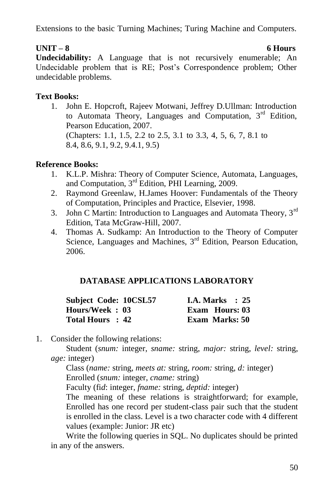Extensions to the basic Turning Machines; Turing Machine and Computers.

### **UNIT – 8 6 Hours**

**Undecidability:** A Language that is not recursively enumerable; An Undecidable problem that is RE; Post's Correspondence problem; Other undecidable problems.

### **Text Books:**

1. John E. Hopcroft, Rajeev Motwani, Jeffrey D.Ullman: Introduction to Automata Theory, Languages and Computation, 3<sup>rd</sup> Edition, Pearson Education, 2007. (Chapters: 1.1, 1.5, 2.2 to 2.5, 3.1 to 3.3, 4, 5, 6, 7, 8.1 to 8.4, 8.6, 9.1, 9.2, 9.4.1, 9.5)

### **Reference Books:**

- 1. K.L.P. Mishra: Theory of Computer Science, Automata, Languages, and Computation, 3rd Edition, PHI Learning, 2009.
- 2. Raymond Greenlaw, H.James Hoover: Fundamentals of the Theory of Computation, Principles and Practice, Elsevier, 1998.
- 3. John C Martin: Introduction to Languages and Automata Theory,  $3<sup>rd</sup>$ Edition, Tata McGraw-Hill, 2007.
- 4. Thomas A. Sudkamp: An Introduction to the Theory of Computer Science, Languages and Machines, 3<sup>rd</sup> Edition, Pearson Education, 2006.

### **DATABASE APPLICATIONS LABORATORY**

| Subject Code: 10CSL57 | <b>I.A. Marks</b> : $25$ |
|-----------------------|--------------------------|
| Hours/Week: 03        | Exam Hours: 03           |
| Total Hours : 42      | <b>Exam Marks: 50</b>    |

1. Consider the following relations:

Student (*snum:* integer, *sname:* string, *major:* string, *level:* string, *age:* integer)

Class (*name:* string, *meets at:* string, *room:* string, *d:* integer)

Enrolled (*snum:* integer, *cname:* string)

Faculty (fi*d*: integer, *fname:* string, *deptid:* integer)

The meaning of these relations is straightforward; for example, Enrolled has one record per student-class pair such that the student is enrolled in the class. Level is a two character code with 4 different values (example: Junior: JR etc)

Write the following queries in SQL. No duplicates should be printed in any of the answers.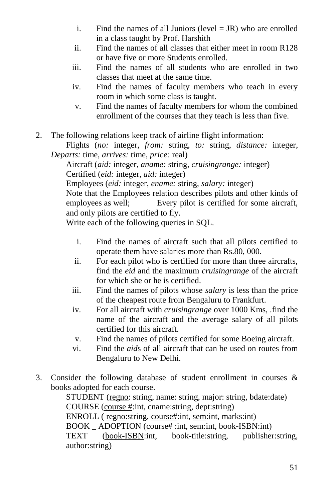- i. Find the names of all Juniors (level  $=$  JR) who are enrolled in a class taught by Prof. Harshith
- ii. Find the names of all classes that either meet in room R128 or have five or more Students enrolled.
- iii. Find the names of all students who are enrolled in two classes that meet at the same time.
- iv. Find the names of faculty members who teach in every room in which some class is taught.
- v. Find the names of faculty members for whom the combined enrollment of the courses that they teach is less than five.
- 2. The following relations keep track of airline flight information:

Flights (*no:* integer, *from:* string, *to:* string, *distance:* integer, *Departs:* time, *arrives:* time, *price:* real)

Aircraft (*aid:* integer, *aname:* string, *cruisingrange:* integer) Certified (*eid:* integer, *aid:* integer)

Employees (*eid:* integer, *ename:* string, *salary:* integer)

Note that the Employees relation describes pilots and other kinds of employees as well; Every pilot is certified for some aircraft, and only pilots are certified to fly.

Write each of the following queries in SQL.

- i. Find the names of aircraft such that all pilots certified to operate them have salaries more than Rs.80, 000.
- ii. For each pilot who is certified for more than three aircrafts, find the *eid* and the maximum *cruisingrange* of the aircraft for which she or he is certified.
- iii. Find the names of pilots whose *salary* is less than the price of the cheapest route from Bengaluru to Frankfurt.
- iv. For all aircraft with *cruisingrange* over 1000 Kms, .find the name of the aircraft and the average salary of all pilots certified for this aircraft.
- v. Find the names of pilots certified for some Boeing aircraft.
- vi. Find the *aid*s of all aircraft that can be used on routes from Bengaluru to New Delhi.
- 3. Consider the following database of student enrollment in courses & books adopted for each course.

STUDENT (regno: string, name: string, major: string, bdate:date) COURSE (course #:int, cname:string, dept:string) ENROLL ( regno:string, course#:int, sem:int, marks:int) BOOK \_ ADOPTION (course# :int, sem:int, book-ISBN:int) TEXT (book-ISBN:int, book-title:string, publisher:string, author:string)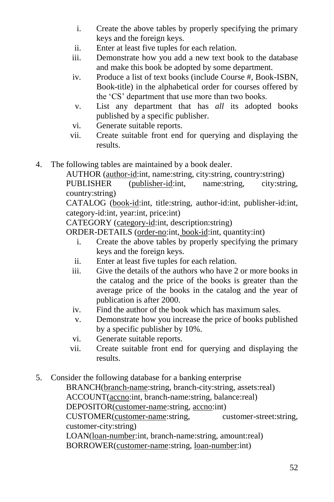- i. Create the above tables by properly specifying the primary keys and the foreign keys.
- ii. Enter at least five tuples for each relation.
- iii. Demonstrate how you add a new text book to the database and make this book be adopted by some department.
- iv. Produce a list of text books (include Course #, Book-ISBN, Book-title) in the alphabetical order for courses offered by the 'CS' department that use more than two books.
- v. List any department that has *all* its adopted books published by a specific publisher.
- vi. Generate suitable reports.
- vii. Create suitable front end for querying and displaying the results.
- 4. The following tables are maintained by a book dealer.

AUTHOR (author-id:int, name:string, city:string, country:string) PUBLISHER (publisher-id:int, name:string, city:string, country:string)

CATALOG (book-id:int, title:string, author-id:int, publisher-id:int, category-id:int, year:int, price:int)

CATEGORY (category-id:int, description:string)

ORDER-DETAILS (order-no:int, book-id:int, quantity:int)

- i. Create the above tables by properly specifying the primary keys and the foreign keys.
- ii. Enter at least five tuples for each relation.
- iii. Give the details of the authors who have 2 or more books in the catalog and the price of the books is greater than the average price of the books in the catalog and the year of publication is after 2000.
- iv. Find the author of the book which has maximum sales.
- v. Demonstrate how you increase the price of books published by a specific publisher by 10%.
- vi. Generate suitable reports.
- vii. Create suitable front end for querying and displaying the results.
- 5. Consider the following database for a banking enterprise

BRANCH(branch-name:string, branch-city:string, assets:real)

ACCOUNT(accno:int, branch-name:string, balance:real)

DEPOSITOR(customer-name:string, accno:int)

CUSTOMER(customer-name:string, customer-street:string, customer-city:string)

LOAN(loan-number:int, branch-name:string, amount:real) BORROWER(customer-name:string, loan-number:int)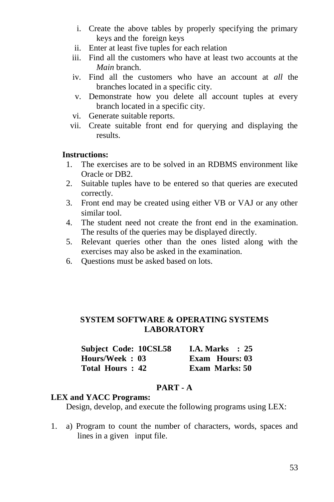- i. Create the above tables by properly specifying the primary keys and the foreign keys
- ii. Enter at least five tuples for each relation
- iii. Find all the customers who have at least two accounts at the *Main* branch.
- iv. Find all the customers who have an account at *all* the branches located in a specific city.
- v. Demonstrate how you delete all account tuples at every branch located in a specific city.
- vi. Generate suitable reports.
- vii. Create suitable front end for querying and displaying the results.

#### **Instructions:**

- 1. The exercises are to be solved in an RDBMS environment like Oracle or DB2.
- 2. Suitable tuples have to be entered so that queries are executed correctly.
- 3. Front end may be created using either VB or VAJ or any other similar tool.
- 4. The student need not create the front end in the examination. The results of the queries may be displayed directly.
- 5. Relevant queries other than the ones listed along with the exercises may also be asked in the examination.
- 6. Questions must be asked based on lots.

#### **SYSTEM SOFTWARE & OPERATING SYSTEMS LABORATORY**

| Subject Code: 10CSL58 | I.A. Marks $\therefore$ 25 |
|-----------------------|----------------------------|
| Hours/Week: 03        | Exam Hours: 03             |
| Total Hours: 42       | <b>Exam Marks: 50</b>      |

#### **PART - A**

#### **LEX and YACC Programs:**

Design, develop, and execute the following programs using LEX:

1. a) Program to count the number of characters, words, spaces and lines in a given input file.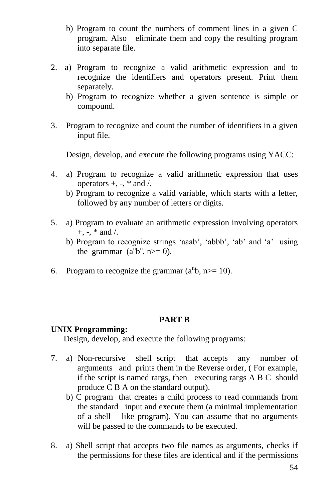- b) Program to count the numbers of comment lines in a given C program. Also eliminate them and copy the resulting program into separate file.
- 2. a) Program to recognize a valid arithmetic expression and to recognize the identifiers and operators present. Print them separately.
	- b) Program to recognize whether a given sentence is simple or compound.
- 3. Program to recognize and count the number of identifiers in a given input file.

Design, develop, and execute the following programs using YACC:

- 4. a) Program to recognize a valid arithmetic expression that uses operators  $+$ ,  $-$ ,  $*$  and  $/$ .
	- b) Program to recognize a valid variable, which starts with a letter, followed by any number of letters or digits.
- 5. a) Program to evaluate an arithmetic expression involving operators  $+$ ,  $-$ ,  $*$  and  $/$ .
	- b) Program to recognize strings 'aaab', 'abbb', 'ab' and 'a' using the grammar  $(a^n b^n, n>=0)$ .
- 6. Program to recognize the grammar  $(a^n b, n \ge 10)$ .

#### **PART B**

#### **UNIX Programming:**

Design, develop, and execute the following programs:

- 7. a) Non-recursive shell script that accepts any number of arguments and prints them in the Reverse order, ( For example, if the script is named rargs, then executing rargs A B C should produce C B A on the standard output).
	- b) C program that creates a child process to read commands from the standard input and execute them (a minimal implementation of a shell – like program). You can assume that no arguments will be passed to the commands to be executed.
- 8. a) Shell script that accepts two file names as arguments, checks if the permissions for these files are identical and if the permissions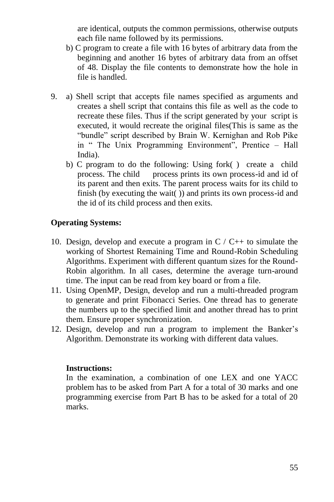are identical, outputs the common permissions, otherwise outputs each file name followed by its permissions.

- b) C program to create a file with 16 bytes of arbitrary data from the beginning and another 16 bytes of arbitrary data from an offset of 48. Display the file contents to demonstrate how the hole in file is handled.
- 9. a) Shell script that accepts file names specified as arguments and creates a shell script that contains this file as well as the code to recreate these files. Thus if the script generated by your script is executed, it would recreate the original files(This is same as the "bundle" script described by Brain W. Kernighan and Rob Pike in " The Unix Programming Environment", Prentice – Hall India).
	- b) C program to do the following: Using fork( ) create a child process. The child process prints its own process-id and id of its parent and then exits. The parent process waits for its child to finish (by executing the wait()) and prints its own process-id and the id of its child process and then exits.

#### **Operating Systems:**

- 10. Design, develop and execute a program in  $C / C_{++}$  to simulate the working of Shortest Remaining Time and Round-Robin Scheduling Algorithms. Experiment with different quantum sizes for the Round-Robin algorithm. In all cases, determine the average turn-around time. The input can be read from key board or from a file.
- 11. Using OpenMP, Design, develop and run a multi-threaded program to generate and print Fibonacci Series. One thread has to generate the numbers up to the specified limit and another thread has to print them. Ensure proper synchronization.
- 12. Design, develop and run a program to implement the Banker"s Algorithm. Demonstrate its working with different data values.

#### **Instructions:**

In the examination, a combination of one LEX and one YACC problem has to be asked from Part A for a total of 30 marks and one programming exercise from Part B has to be asked for a total of 20 marks.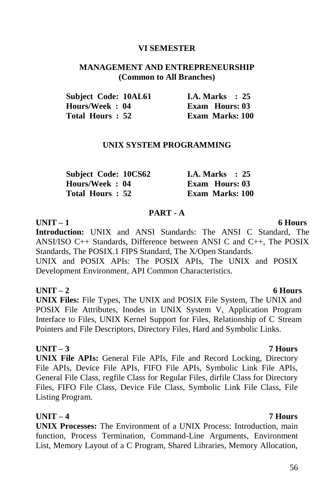#### **VI SEMESTER**

#### **MANAGEMENT AND ENTREPRENEURSHIP (Common to All Branches)**

| <b>Subject Code: 10AL61</b> | <b>I.A. Marks</b> : 25 |
|-----------------------------|------------------------|
| Hours/Week : 04             | Exam Hours: 03         |
| Total Hours : 52            | <b>Exam Marks: 100</b> |

#### **UNIX SYSTEM PROGRAMMING**

| Subject Code: 10CS62 | <b>I.A. Marks</b> : 25 |
|----------------------|------------------------|
| Hours/Week: 04       | <b>Exam Hours: 03</b>  |
| Total Hours: 52      | <b>Exam Marks: 100</b> |

#### **PART - A**

#### **UNIT – 1 6 Hours**

**Introduction:** UNIX and ANSI Standards: The ANSI C Standard, The ANSI/ISO C++ Standards, Difference between ANSI C and C++, The POSIX Standards, The POSIX.1 FIPS Standard, The X/Open Standards.

UNIX and POSIX APIs: The POSIX APIs, The UNIX and POSIX Development Environment, API Common Characteristics.

#### **UNIT – 2 6 Hours**

**UNIX Files:** File Types, The UNIX and POSIX File System, The UNIX and POSIX File Attributes, Inodes in UNIX System V, Application Program Interface to Files, UNIX Kernel Support for Files, Relationship of C Stream Pointers and File Descriptors, Directory Files, Hard and Symbolic Links.

#### **UNIT – 3 7 Hours**

**UNIX File APIs:** General File APIs, File and Record Locking, Directory File APIs, Device File APIs, FIFO File APIs, Symbolic Link File APIs, General File Class, regfile Class for Regular Files, dirfile Class for Directory Files, FIFO File Class, Device File Class, Symbolic Link File Class, File Listing Program.

### **UNIT – 4 7 Hours**

**UNIX Processes:** The Environment of a UNIX Process: Introduction, main function, Process Termination, Command-Line Arguments, Environment List, Memory Layout of a C Program, Shared Libraries, Memory Allocation,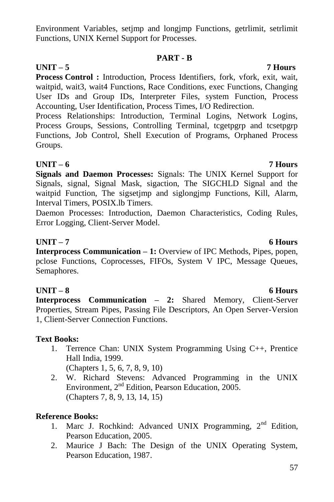Environment Variables, setjmp and longjmp Functions, getrlimit, setrlimit Functions, UNIX Kernel Support for Processes.

### **PART - B**

### **UNIT – 5 7 Hours**

**Process Control :** Introduction, Process Identifiers, fork, vfork, exit, wait, waitpid, wait3, wait4 Functions, Race Conditions, exec Functions, Changing User IDs and Group IDs, Interpreter Files, system Function, Process Accounting, User Identification, Process Times, I/O Redirection.

Process Relationships: Introduction, Terminal Logins, Network Logins, Process Groups, Sessions, Controlling Terminal, tcgetpgrp and tcsetpgrp Functions, Job Control, Shell Execution of Programs, Orphaned Process Groups.

### **UNIT – 6 7 Hours**

**Signals and Daemon Processes:** Signals: The UNIX Kernel Support for Signals, signal, Signal Mask, sigaction, The SIGCHLD Signal and the waitpid Function, The sigsetjmp and siglongjmp Functions, Kill, Alarm, Interval Timers, POSIX.lb Timers.

Daemon Processes: Introduction, Daemon Characteristics, Coding Rules, Error Logging, Client-Server Model.

### **UNIT – 7 6 Hours**

**Interprocess Communication – 1:** Overview of IPC Methods, Pipes, popen, pclose Functions, Coprocesses, FIFOs, System V IPC, Message Queues, Semaphores.

### **UNIT – 8 6 Hours**

**Interprocess Communication – 2:** Shared Memory, Client-Server Properties, Stream Pipes, Passing File Descriptors, An Open Server-Version 1, Client-Server Connection Functions.

### **Text Books:**

1. Terrence Chan: UNIX System Programming Using C++, Prentice Hall India, 1999.

(Chapters 1, 5, 6, 7, 8, 9, 10)

2. W. Richard Stevens: Advanced Programming in the UNIX Environment, 2<sup>nd</sup> Edition, Pearson Education, 2005. (Chapters 7, 8, 9, 13, 14, 15)

### **Reference Books:**

- 1. Marc J. Rochkind: Advanced UNIX Programming, 2<sup>nd</sup> Edition, Pearson Education, 2005.
- 2. Maurice J Bach: The Design of the UNIX Operating System, Pearson Education, 1987.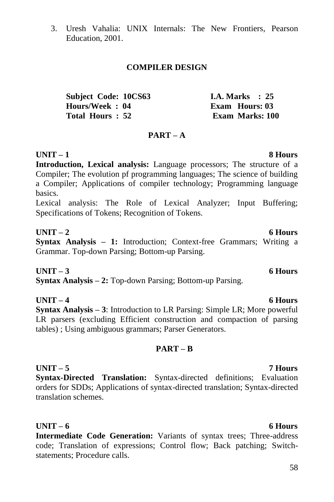3. Uresh Vahalia: UNIX Internals: The New Frontiers, Pearson Education, 2001.

#### **COMPILER DESIGN**

| Subject Code: 10CS63 | I.A. Marks $\therefore$ 25 |
|----------------------|----------------------------|
| Hours/Week: 04       | <b>Exam Hours: 03</b>      |
| Total Hours: 52      | <b>Exam Marks: 100</b>     |

#### **PART – A**

### **UNIT – 1 8 Hours**

**Introduction, Lexical analysis:** Language processors; The structure of a Compiler; The evolution pf programming languages; The science of building a Compiler; Applications of compiler technology; Programming language basics.

Lexical analysis: The Role of Lexical Analyzer; Input Buffering; Specifications of Tokens; Recognition of Tokens.

### **UNIT – 2 6 Hours**

**Syntax Analysis – 1:** Introduction; Context-free Grammars; Writing a Grammar. Top-down Parsing; Bottom-up Parsing.

**UNIT – 3 6 Hours Syntax Analysis – 2:** Top-down Parsing; Bottom-up Parsing.

**UNIT – 4 6 Hours Syntax Analysis – 3**: Introduction to LR Parsing: Simple LR; More powerful LR parsers (excluding Efficient construction and compaction of parsing tables) ; Using ambiguous grammars; Parser Generators.

#### **PART – B**

**UNIT – 5 7 Hours Syntax-Directed Translation:** Syntax-directed definitions; Evaluation orders for SDDs; Applications of syntax-directed translation; Syntax-directed translation schemes.

#### **UNIT – 6 6 Hours**

**Intermediate Code Generation:** Variants of syntax trees; Three-address code; Translation of expressions; Control flow; Back patching; Switchstatements; Procedure calls.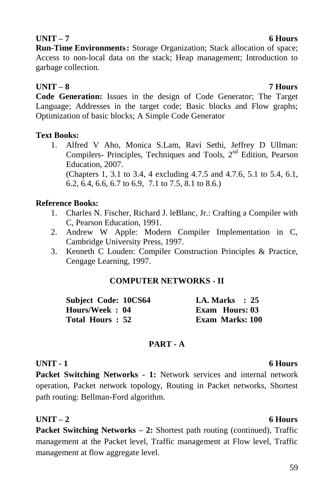### **UNIT – 7 6 Hours**

**Run-Time Environments:** Storage Organization; Stack allocation of space; Access to non-local data on the stack; Heap management; Introduction to garbage collection.

### **UNIT – 8 7 Hours**

**Code Generation:** Issues in the design of Code Generator; The Target Language; Addresses in the target code; Basic blocks and Flow graphs; Optimization of basic blocks; A Simple Code Generator

### **Text Books:**

1. Alfred V Aho, Monica S.Lam, Ravi Sethi, Jeffrey D Ullman: Compilers- Principles, Techniques and Tools, 2<sup>nd</sup> Edition, Pearson Education, 2007. (Chapters 1, 3.1 to 3.4, 4 excluding 4.7.5 and 4.7.6, 5.1 to 5.4, 6.1, 6.2, 6.4, 6.6, 6.7 to 6.9, 7.1 to 7.5, 8.1 to 8.6.)

### **Reference Books:**

- 1. Charles N. Fischer, Richard J. leBlanc, Jr.: Crafting a Compiler with C, Pearson Education, 1991.
- 2. Andrew W Apple: Modern Compiler Implementation in C, Cambridge University Press, 1997.
- 3. Kenneth C Louden: Compiler Construction Principles & Practice, Cengage Learning, 1997.

### **COMPUTER NETWORKS - II**

| Subject Code: 10CS64 | I.A. Marks $\therefore$ 25 |
|----------------------|----------------------------|
| Hours/Week: 04       | <b>Exam Hours: 03</b>      |
| Total Hours: 52      | <b>Exam Marks: 100</b>     |

### **PART - A**

### **UNIT - 1 6 Hours**

**Packet Switching Networks - 1:** Network services and internal network operation, Packet network topology, Routing in Packet networks, Shortest path routing: Bellman-Ford algorithm.

### **UNIT – 2 6 Hours**

**Packet Switching Networks – 2:** Shortest path routing (continued), Traffic management at the Packet level, Traffic management at Flow level, Traffic management at flow aggregate level.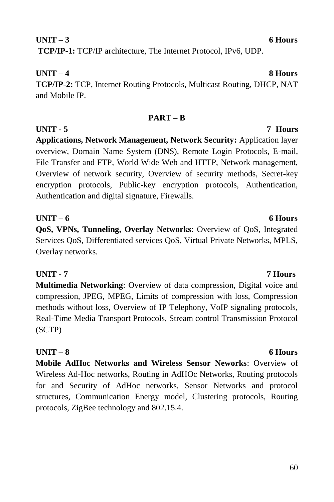### **UNIT – 3 6 Hours TCP/IP-1:** TCP/IP architecture, The Internet Protocol, IPv6, UDP.

### **UNIT – 4 8 Hours TCP/IP-2:** TCP, Internet Routing Protocols, Multicast Routing, DHCP, NAT and Mobile IP.

### **PART – B**

**UNIT - 5 7 Hours Applications, Network Management, Network Security:** Application layer overview, Domain Name System (DNS), Remote Login Protocols, E-mail, File Transfer and FTP, World Wide Web and HTTP, Network management, Overview of network security, Overview of security methods, Secret-key encryption protocols, Public-key encryption protocols, Authentication, Authentication and digital signature, Firewalls.

**UNIT – 6 6 Hours QoS, VPNs, Tunneling, Overlay Networks**: Overview of QoS, Integrated Services QoS, Differentiated services QoS, Virtual Private Networks, MPLS, Overlay networks.

**UNIT - 7 7 Hours Multimedia Networking**: Overview of data compression, Digital voice and compression, JPEG, MPEG, Limits of compression with loss, Compression methods without loss, Overview of IP Telephony, VoIP signaling protocols, Real-Time Media Transport Protocols, Stream control Transmission Protocol (SCTP)

**Mobile AdHoc Networks and Wireless Sensor Neworks**: Overview of Wireless Ad-Hoc networks, Routing in AdHOc Networks, Routing protocols for and Security of AdHoc networks, Sensor Networks and protocol structures, Communication Energy model, Clustering protocols, Routing protocols, ZigBee technology and 802.15.4.

### **UNIT – 8 6 Hours**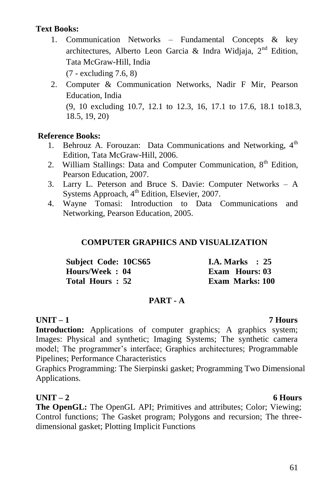#### **Text Books:**

- 1. Communication Networks Fundamental Concepts & key architectures, Alberto Leon Garcia & Indra Widiaia,  $2<sup>nd</sup>$  Edition. Tata McGraw-Hill, India (7 - excluding 7.6, 8)
- 2. Computer & Communication Networks, Nadir F Mir, Pearson Education, India (9, 10 excluding 10.7, 12.1 to 12.3, 16, 17.1 to 17.6, 18.1 to18.3, 18.5, 19, 20)

#### **Reference Books:**

- 1. Behrouz A. Forouzan: Data Communications and Networking,  $4<sup>th</sup>$ Edition, Tata McGraw-Hill, 2006.
- 2. William Stallings: Data and Computer Communication,  $8<sup>th</sup>$  Edition, Pearson Education, 2007.
- 3. Larry L. Peterson and Bruce S. Davie: Computer Networks A Systems Approach, 4<sup>th</sup> Edition, Elsevier, 2007.
- 4. Wayne Tomasi: Introduction to Data Communications and Networking, Pearson Education, 2005.

#### **COMPUTER GRAPHICS AND VISUALIZATION**

| Subject Code: 10CS65 |  | I.A. Marks $\therefore$ 25 |  |
|----------------------|--|----------------------------|--|
| Hours/Week: 04       |  | Exam Hours: 03             |  |
| Total Hours: 52      |  | <b>Exam Marks: 100</b>     |  |

#### **PART - A**

#### **UNIT – 1 7 Hours**

**Introduction:** Applications of computer graphics; A graphics system; Images: Physical and synthetic; Imaging Systems; The synthetic camera model; The programmer's interface; Graphics architectures; Programmable Pipelines; Performance Characteristics

Graphics Programming: The Sierpinski gasket; Programming Two Dimensional Applications.

### **UNIT – 2 6 Hours**

**The OpenGL:** The OpenGL API; Primitives and attributes; Color; Viewing; Control functions; The Gasket program; Polygons and recursion; The threedimensional gasket; Plotting Implicit Functions

#### 61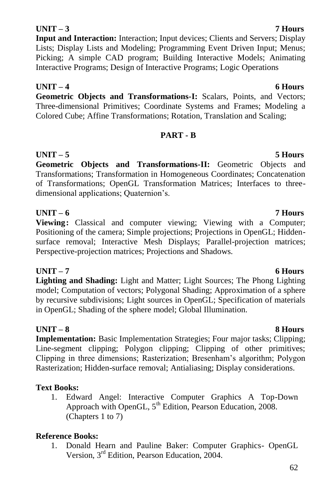# **Input and Interaction:** Interaction; Input devices; Clients and Servers; Display

Lists; Display Lists and Modeling; Programming Event Driven Input; Menus; Picking; A simple CAD program; Building Interactive Models; Animating Interactive Programs; Design of Interactive Programs; Logic Operations

### **UNIT – 4 6 Hours**

**Geometric Objects and Transformations-I:** Scalars, Points, and Vectors; Three-dimensional Primitives; Coordinate Systems and Frames; Modeling a Colored Cube; Affine Transformations; Rotation, Translation and Scaling;

### **PART - B**

**UNIT – 5 5 Hours Geometric Objects and Transformations-II:** Geometric Objects and Transformations; Transformation in Homogeneous Coordinates; Concatenation of Transformations; OpenGL Transformation Matrices; Interfaces to threedimensional applications; Quaternion"s.

**Viewing:** Classical and computer viewing; Viewing with a Computer; Positioning of the camera; Simple projections; Projections in OpenGL; Hiddensurface removal; Interactive Mesh Displays; Parallel-projection matrices; Perspective-projection matrices; Projections and Shadows.

**Lighting and Shading:** Light and Matter; Light Sources; The Phong Lighting model; Computation of vectors; Polygonal Shading; Approximation of a sphere by recursive subdivisions; Light sources in OpenGL; Specification of materials in OpenGL; Shading of the sphere model; Global Illumination.

### **UNIT – 8 8 Hours**

**Implementation:** Basic Implementation Strategies; Four major tasks; Clipping; Line-segment clipping; Polygon clipping; Clipping of other primitives; Clipping in three dimensions; Rasterization; Bresenham"s algorithm; Polygon Rasterization; Hidden-surface removal; Antialiasing; Display considerations.

### **Text Books:**

1. Edward Angel: Interactive Computer Graphics A Top-Down Approach with OpenGL,  $5<sup>th</sup>$  Edition, Pearson Education, 2008. (Chapters 1 to 7)

### **Reference Books:**

1. Donald Hearn and Pauline Baker: Computer Graphics- OpenGL Version, 3rd Edition, Pearson Education, 2004.

### **UNIT – 3 7 Hours**

# **UNIT – 6 7 Hours**

**UNIT – 7 6 Hours**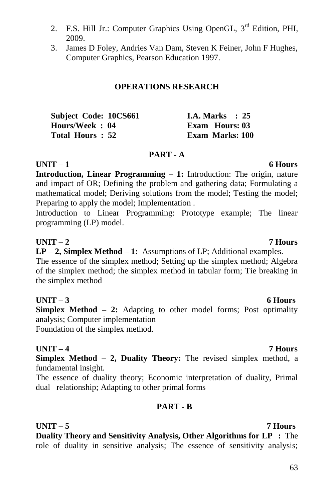- 2. F.S. Hill Jr.: Computer Graphics Using OpenGL, 3<sup>rd</sup> Edition, PHI, 2009.
- 3. James D Foley, Andries Van Dam, Steven K Feiner, John F Hughes, Computer Graphics, Pearson Education 1997.

#### **OPERATIONS RESEARCH**

| Subject Code: 10CS661 |  | <b>I.A. Marks</b> : 25 |  |
|-----------------------|--|------------------------|--|
| Hours/Week: 04        |  | <b>Exam Hours: 03</b>  |  |
| Total Hours : 52      |  | Exam Marks: 100        |  |

#### **PART - A**

**UNIT – 1 6 Hours Introduction, Linear Programming – 1:** Introduction: The origin, nature and impact of OR; Defining the problem and gathering data; Formulating a mathematical model; Deriving solutions from the model; Testing the model; Preparing to apply the model: Implementation .

Introduction to Linear Programming: Prototype example; The linear programming (LP) model.

#### **UNIT – 2 7 Hours**

**LP – 2, Simplex Method – 1:** Assumptions of LP; Additional examples. The essence of the simplex method; Setting up the simplex method; Algebra

of the simplex method; the simplex method in tabular form; Tie breaking in the simplex method

#### **UNIT – 3 6 Hours**

**Simplex Method – 2:** Adapting to other model forms; Post optimality analysis; Computer implementation

Foundation of the simplex method.

#### **UNIT – 4 7 Hours**

**Simplex Method – 2, Duality Theory:** The revised simplex method, a fundamental insight.

The essence of duality theory; Economic interpretation of duality, Primal dual relationship; Adapting to other primal forms

#### **PART - B**

**UNIT – 5 7 Hours Duality Theory and Sensitivity Analysis, Other Algorithms for LP :** The role of duality in sensitive analysis; The essence of sensitivity analysis;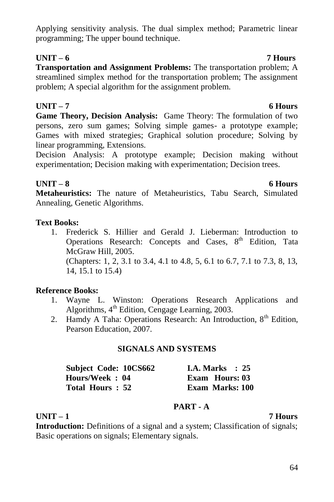### Applying sensitivity analysis. The dual simplex method; Parametric linear programming; The upper bound technique.

### **UNIT – 6 7 Hours**

**Transportation and Assignment Problems:** The transportation problem; A streamlined simplex method for the transportation problem; The assignment problem; A special algorithm for the assignment problem.

### **UNIT – 7 6 Hours**

**Game Theory, Decision Analysis:** Game Theory: The formulation of two persons, zero sum games; Solving simple games- a prototype example; Games with mixed strategies; Graphical solution procedure; Solving by linear programming, Extensions.

Decision Analysis: A prototype example; Decision making without experimentation; Decision making with experimentation; Decision trees.

### **UNIT – 8 6 Hours**

**Metaheuristics:** The nature of Metaheuristics, Tabu Search, Simulated Annealing, Genetic Algorithms.

### **Text Books:**

1. Frederick S. Hillier and Gerald J. Lieberman: Introduction to Operations Research: Concepts and Cases,  $8<sup>th</sup>$  Edition, Tata McGraw Hill, 2005. (Chapters: 1, 2, 3.1 to 3.4, 4.1 to 4.8, 5, 6.1 to 6.7, 7.1 to 7.3, 8, 13, 14, 15.1 to 15.4)

### **Reference Books:**

- 1. Wayne L. Winston: Operations Research Applications and Algorithms,  $4<sup>th</sup>$  Edition, Cengage Learning, 2003.
- 2. Hamdy A Taha: Operations Research: An Introduction,  $8<sup>th</sup>$  Edition, Pearson Education, 2007.

### **SIGNALS AND SYSTEMS**

| Subject Code: 10CS662 | <b>I.A. Marks</b> : 25 |  |
|-----------------------|------------------------|--|
| Hours/Week: 04        | Exam Hours: 03         |  |
| Total Hours: 52       | Exam Marks: 100        |  |

### **PART - A**

### **UNIT – 1 7 Hours**

**Introduction:** Definitions of a signal and a system; Classification of signals; Basic operations on signals; Elementary signals.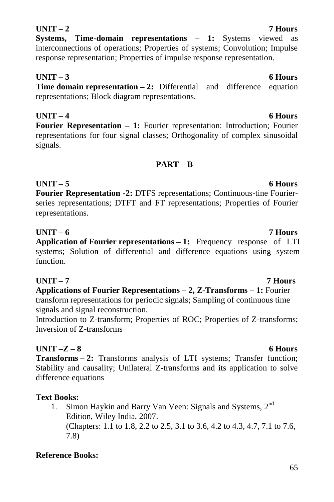#### 65

**UNIT –Z – 8 6 Hours Transforms – 2:** Transforms analysis of LTI systems; Transfer function; Stability and causality; Unilateral Z-transforms and its application to solve difference equations

### **Text Books:**

1. Simon Haykin and Barry Van Veen: Signals and Systems, 2<sup>nd</sup> Edition, Wiley India, 2007. (Chapters: 1.1 to 1.8, 2.2 to 2.5, 3.1 to 3.6, 4.2 to 4.3, 4.7, 7.1 to 7.6, 7.8)

### **Reference Books:**

### **UNIT – 3 6 Hours**

**Time domain representation – 2:** Differential and difference equation representations; Block diagram representations.

**Systems, Time-domain representations – 1:** Systems viewed as interconnections of operations; Properties of systems; Convolution; Impulse response representation; Properties of impulse response representation.

**UNIT – 4 6 Hours Fourier Representation – 1:** Fourier representation: Introduction; Fourier representations for four signal classes; Orthogonality of complex sinusoidal signals.

### **PART – B**

**UNIT – 5 6 Hours Fourier Representation -2:** DTFS representations; Continuous-tine Fourierseries representations; DTFT and FT representations; Properties of Fourier representations.

#### **UNIT – 6 7 Hours**

**Application of Fourier representations – 1:** Frequency response of LTI systems; Solution of differential and difference equations using system function.

# **UNIT – 7 7 Hours**

**Applications of Fourier Representations – 2, Z-Transforms – 1:** Fourier transform representations for periodic signals; Sampling of continuous time signals and signal reconstruction.

Introduction to Z-transform; Properties of ROC; Properties of Z-transforms; Inversion of Z-transforms

#### **UNIT – 2 7 Hours**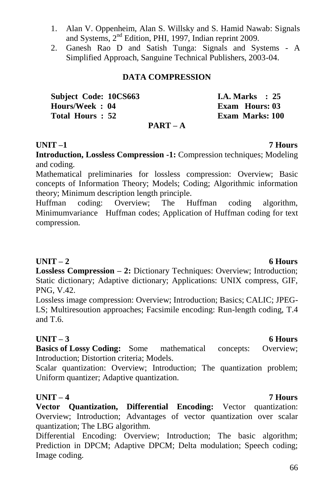2. Ganesh Rao D and Satish Tunga: Signals and Systems - A Simplified Approach, Sanguine Technical Publishers, 2003-04.

#### **DATA COMPRESSION**

and Systems, 2<sup>nd</sup> Edition, PHI, 1997, Indian reprint 2009.

1. Alan V. Oppenheim, Alan S. Willsky and S. Hamid Nawab: Signals

| Subject Code: 10CS663 |      |  | I.A. Marks $\therefore$ 25 |  |
|-----------------------|------|--|----------------------------|--|
| Hours/Week: 04        |      |  | Exam Hours: 03             |  |
| Total Hours: 52       |      |  | <b>Exam Marks: 100</b>     |  |
|                       | ---- |  |                            |  |

#### **PART – A**

#### **UNIT –1 7 Hours**

**Introduction, Lossless Compression -1:** Compression techniques; Modeling and coding.

Mathematical preliminaries for lossless compression: Overview; Basic concepts of Information Theory; Models; Coding; Algorithmic information theory; Minimum description length principle.

Huffman coding: Overview; The Huffman coding algorithm, Minimumvariance Huffman codes; Application of Huffman coding for text compression.

#### UNIT – 2 6 Hours

**Lossless Compression – 2:** Dictionary Techniques: Overview; Introduction; Static dictionary; Adaptive dictionary; Applications: UNIX compress, GIF, PNG, V.42.

Lossless image compression: Overview; Introduction; Basics; CALIC; JPEG-LS; Multiresoution approaches; Facsimile encoding: Run-length coding, T.4 and T.6.

#### **UNIT – 3 6 Hours**

**Basics of Lossy Coding:** Some mathematical concepts: Overview; Introduction; Distortion criteria; Models.

Scalar quantization: Overview; Introduction; The quantization problem; Uniform quantizer; Adaptive quantization.

**Vector Quantization, Differential Encoding:** Vector quantization: Overview; Introduction; Advantages of vector quantization over scalar quantization; The LBG algorithm.

Differential Encoding: Overview; Introduction; The basic algorithm; Prediction in DPCM; Adaptive DPCM; Delta modulation; Speech coding; Image coding.

### **UNIT – 4 7 Hours**

#### 66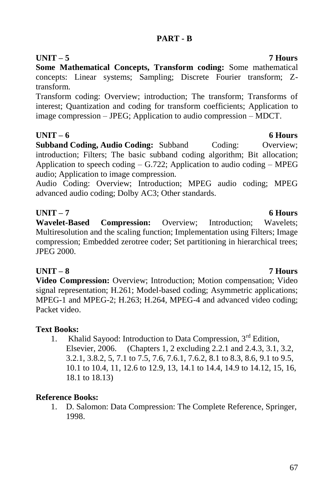### **PART - B**

### **UNIT – 5 7 Hours**

**Some Mathematical Concepts, Transform coding:** Some mathematical concepts: Linear systems; Sampling; Discrete Fourier transform; Ztransform.

Transform coding: Overview; introduction; The transform; Transforms of interest; Quantization and coding for transform coefficients; Application to image compression – JPEG; Application to audio compression – MDCT.

### **UNIT – 6 6 Hours**

**Subband Coding, Audio Coding:** Subband Coding: Overview: introduction; Filters; The basic subband coding algorithm; Bit allocation; Application to speech coding  $-$  G.722; Application to audio coding  $-$  MPEG audio; Application to image compression.

Audio Coding: Overview; Introduction; MPEG audio coding; MPEG advanced audio coding; Dolby AC3; Other standards.

### **UNIT – 7 6 Hours**

**Wavelet-Based Compression:** Overview; Introduction; Wavelets; Multiresolution and the scaling function; Implementation using Filters; Image compression; Embedded zerotree coder; Set partitioning in hierarchical trees; JPEG 2000.

### **UNIT – 8 7 Hours**

**Video Compression:** Overview; Introduction; Motion compensation; Video signal representation; H.261; Model-based coding; Asymmetric applications; MPEG-1 and MPEG-2; H.263; H.264, MPEG-4 and advanced video coding; Packet video.

### **Text Books:**

1. Khalid Sayood: Introduction to Data Compression, 3<sup>rd</sup> Edition, Elsevier, 2006. (Chapters 1, 2 excluding 2.2.1 and 2.4.3, 3.1, 3.2, 3.2.1, 3.8.2, 5, 7.1 to 7.5, 7.6, 7.6.1, 7.6.2, 8.1 to 8.3, 8.6, 9.1 to 9.5, 10.1 to 10.4, 11, 12.6 to 12.9, 13, 14.1 to 14.4, 14.9 to 14.12, 15, 16, 18.1 to 18.13)

### **Reference Books:**

1. D. Salomon: Data Compression: The Complete Reference, Springer, 1998.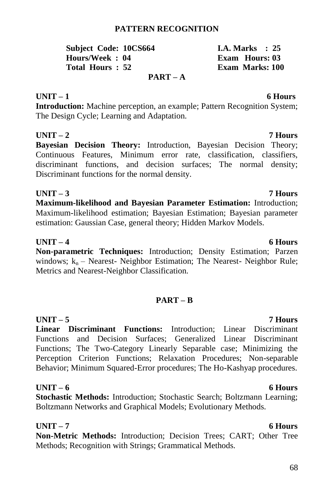#### **PATTERN RECOGNITION**

| <b>Subject Code: 10CS664</b> | I.A. Marks $\therefore$ 25 |
|------------------------------|----------------------------|
| Hours/Week: 04               | Exam Hours: 03             |
| Total Hours: 52              | Exam Marks: 100            |
| $PART - A$                   |                            |

#### **UNIT – 1 6 Hours**

**Introduction:** Machine perception, an example; Pattern Recognition System; The Design Cycle; Learning and Adaptation.

**UNIT – 2 7 Hours Bayesian Decision Theory:** Introduction, Bayesian Decision Theory; Continuous Features, Minimum error rate, classification, classifiers, discriminant functions, and decision surfaces; The normal density; Discriminant functions for the normal density.

# **UNIT – 3 7 Hours**

**Maximum-likelihood and Bayesian Parameter Estimation:** Introduction; Maximum-likelihood estimation; Bayesian Estimation; Bayesian parameter estimation: Gaussian Case, general theory; Hidden Markov Models.

#### **UNIT – 4 6 Hours**

**Non-parametric Techniques:** Introduction; Density Estimation; Parzen windows;  $k_n$  – Nearest- Neighbor Estimation; The Nearest- Neighbor Rule; Metrics and Nearest-Neighbor Classification.

### **PART – B**

**UNIT – 5 7 Hours Linear Discriminant Functions:** Introduction; Linear Discriminant Functions and Decision Surfaces; Generalized Linear Discriminant Functions; The Two-Category Linearly Separable case; Minimizing the Perception Criterion Functions; Relaxation Procedures; Non-separable Behavior; Minimum Squared-Error procedures; The Ho-Kashyap procedures.

### **UNIT – 6 6 Hours**

**Stochastic Methods:** Introduction; Stochastic Search; Boltzmann Learning; Boltzmann Networks and Graphical Models; Evolutionary Methods.

**UNIT – 7 6 Hours Non-Metric Methods:** Introduction; Decision Trees; CART; Other Tree Methods; Recognition with Strings; Grammatical Methods.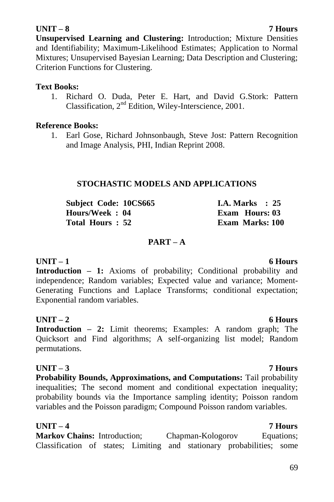#### **UNIT – 8 7 Hours**

**Unsupervised Learning and Clustering:** Introduction; Mixture Densities and Identifiability; Maximum-Likelihood Estimates; Application to Normal Mixtures; Unsupervised Bayesian Learning; Data Description and Clustering; Criterion Functions for Clustering.

#### **Text Books:**

1. Richard O. Duda, Peter E. Hart, and David G.Stork: Pattern Classification, 2nd Edition, Wiley-Interscience, 2001.

#### **Reference Books:**

1. Earl Gose, Richard Johnsonbaugh, Steve Jost: Pattern Recognition and Image Analysis, PHI, Indian Reprint 2008.

#### **STOCHASTIC MODELS AND APPLICATIONS**

| Subject Code: 10CS665 | I.A. Marks $\therefore$ 25 |
|-----------------------|----------------------------|
| Hours/Week: 04        | <b>Exam Hours: 03</b>      |
| Total Hours: 52       | Exam Marks: 100            |

### **PART – A**

#### **UNIT – 1 6 Hours**

**Introduction – 1:** Axioms of probability; Conditional probability and independence; Random variables; Expected value and variance; Moment-Generating Functions and Laplace Transforms; conditional expectation; Exponential random variables.

#### **UNIT – 2 6 Hours**

**Introduction – 2:** Limit theorems; Examples: A random graph; The Quicksort and Find algorithms; A self-organizing list model; Random permutations.

#### **UNIT – 3 7 Hours**

**Probability Bounds, Approximations, and Computations:** Tail probability inequalities; The second moment and conditional expectation inequality; probability bounds via the Importance sampling identity; Poisson random variables and the Poisson paradigm; Compound Poisson random variables.

### **UNIT – 4 7 Hours**

**Markov Chains:** Introduction; Chapman-Kologorov Equations; Classification of states; Limiting and stationary probabilities; some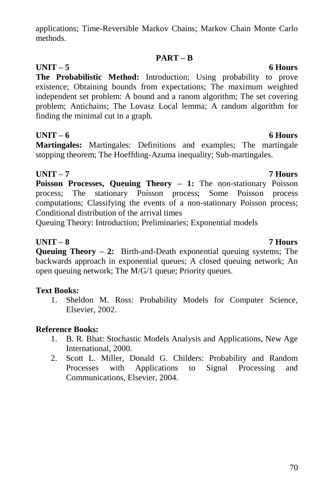applications; Time-Reversible Markov Chains; Markov Chain Monte Carlo methods.

### **PART – B**

### **UNIT – 5 6 Hours**

**The Probabilistic Method:** Introduction; Using probability to prove existence; Obtaining bounds from expectations; The maximum weighted independent set problem: A bound and a ranom algorithm; The set covering problem; Antichains; The Lovasz Local lemma; A random algorithm for finding the minimal cut in a graph.

### **UNIT – 6 6 Hours**

**Martingales:** Martingales: Definitions and examples; The martingale stopping theorem; The Hoeffding-Azuma inequality; Sub-martingales.

### **UNIT – 7 7 Hours**

**Poisson Processes, Queuing Theory – 1:** The non-stationary Poisson process; The stationary Poisson process; Some Poisson process computations; Classifying the events of a non-stationary Poisson process; Conditional distribution of the arrival times

Queuing Theory: Introduction; Preliminaries; Exponential models

### **UNIT – 8 7 Hours**

**Queuing Theory – 2:** Birth-and-Death exponential queuing systems; The backwards approach in exponential queues; A closed queuing network; An open queuing network; The M/G/1 queue; Priority queues.

### **Text Books:**

1. Sheldon M. Ross: Probability Models for Computer Science, Elsevier, 2002.

### **Reference Books:**

- 1. B. R. Bhat: Stochastic Models Analysis and Applications, New Age International, 2000.
- 2. Scott L. Miller, Donald G. Childers: Probability and Random Processes with Applications to Signal Processing and Communications, Elsevier, 2004.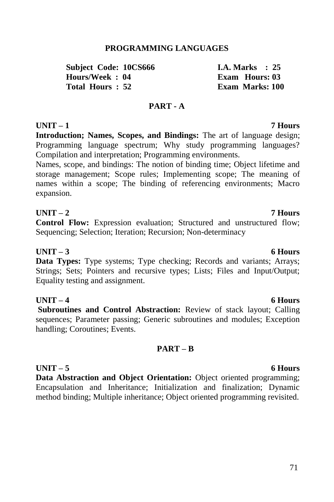#### **PROGRAMMING LANGUAGES**

**Subject Code: 10CS666 1.4. Marks : 25**<br> **Hours/Week** · 04 **I.A. Fram Hours** 03  $H_{\text{ouirs}}/ \text{Week} \cdot 04$ **Total Hours : 52 Exam Marks: 100**

#### **PART - A**

### **UNIT – 1 7 Hours**

**Introduction; Names, Scopes, and Bindings:** The art of language design; Programming language spectrum; Why study programming languages? Compilation and interpretation; Programming environments.

Names, scope, and bindings: The notion of binding time; Object lifetime and storage management; Scope rules; Implementing scope; The meaning of names within a scope; The binding of referencing environments; Macro expansion.

### **UNIT – 2 7 Hours**

**Control Flow:** Expression evaluation; Structured and unstructured flow; Sequencing; Selection; Iteration; Recursion; Non-determinacy

### **UNIT – 3 6 Hours**

**Data Types:** Type systems; Type checking; Records and variants; Arrays; Strings; Sets; Pointers and recursive types; Lists; Files and Input/Output; Equality testing and assignment.

### **UNIT – 4 6 Hours**

**Subroutines and Control Abstraction:** Review of stack layout; Calling sequences; Parameter passing; Generic subroutines and modules; Exception handling; Coroutines; Events.

### **PART – B**

#### **UNIT – 5 6 Hours Data Abstraction and Object Orientation:** Object oriented programming; Encapsulation and Inheritance; Initialization and finalization; Dynamic method binding; Multiple inheritance; Object oriented programming revisited.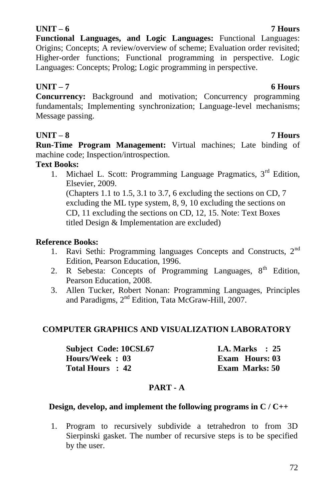### **UNIT – 6 7 Hours**

**Functional Languages, and Logic Languages:** Functional Languages: Origins; Concepts; A review/overview of scheme; Evaluation order revisited; Higher-order functions; Functional programming in perspective. Logic Languages: Concepts; Prolog; Logic programming in perspective.

# **UNIT – 7 6 Hours**

**Concurrency:** Background and motivation; Concurrency programming fundamentals; Implementing synchronization; Language-level mechanisms; Message passing.

# **UNIT – 8 7 Hours**

**Run-Time Program Management:** Virtual machines; Late binding of machine code; Inspection/introspection.

# **Text Books:**

1. Michael L. Scott: Programming Language Pragmatics,  $3<sup>rd</sup>$  Edition, Elsevier, 2009. (Chapters 1.1 to 1.5, 3.1 to 3.7, 6 excluding the sections on CD, 7 excluding the ML type system, 8, 9, 10 excluding the sections on CD, 11 excluding the sections on CD, 12, 15. Note: Text Boxes titled Design & Implementation are excluded)

# **Reference Books:**

- 1. Ravi Sethi: Programming languages Concepts and Constructs, 2nd Edition, Pearson Education, 1996.
- 2. R Sebesta: Concepts of Programming Languages,  $8<sup>th</sup>$  Edition. Pearson Education, 2008.
- 3. Allen Tucker, Robert Nonan: Programming Languages, Principles and Paradigms, 2<sup>nd</sup> Edition, Tata McGraw-Hill, 2007.

# **COMPUTER GRAPHICS AND VISUALIZATION LABORATORY**

| Subject Code: 10CSL67 | I.A. Marks $\therefore$ 25 |
|-----------------------|----------------------------|
| Hours/Week: 03        | Exam Hours: 03             |
| Total Hours : 42      | <b>Exam Marks: 50</b>      |

# **PART - A**

# **Design, develop, and implement the following programs in C / C++**

1. Program to recursively subdivide a tetrahedron to from 3D Sierpinski gasket. The number of recursive steps is to be specified by the user.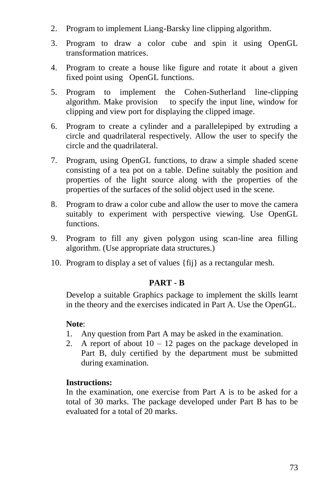- 2. Program to implement Liang-Barsky line clipping algorithm.
- 3. Program to draw a color cube and spin it using OpenGL transformation matrices.
- 4. Program to create a house like figure and rotate it about a given fixed point using OpenGL functions.
- 5. Program to implement the Cohen-Sutherland line-clipping algorithm. Make provision to specify the input line, window for clipping and view port for displaying the clipped image.
- 6. Program to create a cylinder and a parallelepiped by extruding a circle and quadrilateral respectively. Allow the user to specify the circle and the quadrilateral.
- 7. Program, using OpenGL functions, to draw a simple shaded scene consisting of a tea pot on a table. Define suitably the position and properties of the light source along with the properties of the properties of the surfaces of the solid object used in the scene.
- 8. Program to draw a color cube and allow the user to move the camera suitably to experiment with perspective viewing. Use OpenGL functions.
- 9. Program to fill any given polygon using scan-line area filling algorithm. (Use appropriate data structures.)
- 10. Program to display a set of values {fij} as a rectangular mesh.

### **PART - B**

Develop a suitable Graphics package to implement the skills learnt in the theory and the exercises indicated in Part A. Use the OpenGL.

### **Note**:

- 1. Any question from Part A may be asked in the examination.
- 2. A report of about  $10 12$  pages on the package developed in Part B, duly certified by the department must be submitted during examination.

### **Instructions:**

In the examination, one exercise from Part A is to be asked for a total of 30 marks. The package developed under Part B has to be evaluated for a total of 20 marks.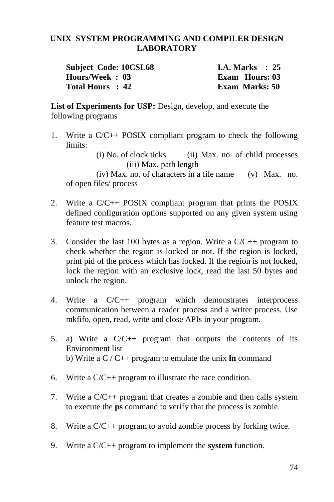### **UNIX SYSTEM PROGRAMMING AND COMPILER DESIGN LABORATORY**

| <b>Subject Code: 10CSL68</b> | <b>I.A. Marks</b> : 25 |
|------------------------------|------------------------|
| Hours/Week: 03               | Exam Hours: 03         |
| Total Hours : 42             | <b>Exam Marks: 50</b>  |

List of Experiments for USP: Design, develop, and execute the following programs

1. Write a C/C++ POSIX compliant program to check the following limits:

> (i) No. of clock ticks (ii) Max. no. of child processes (iii) Max. path length

(iv) Max. no. of characters in a file name (v) Max. no. of open files/ process

- 2. Write a C/C++ POSIX compliant program that prints the POSIX defined configuration options supported on any given system using feature test macros.
- 3. Consider the last 100 bytes as a region. Write a  $C/C++$  program to check whether the region is locked or not. If the region is locked, print pid of the process which has locked. If the region is not locked, lock the region with an exclusive lock, read the last 50 bytes and unlock the region.
- 4. Write a C/C++ program which demonstrates interprocess communication between a reader process and a writer process. Use mkfifo, open, read, write and close APIs in your program.
- 5. a) Write a C/C++ program that outputs the contents of its Environment list b) Write a C / C++ program to emulate the unix **ln** command
- 6. Write a C/C++ program to illustrate the race condition.
- 7. Write a C/C++ program that creates a zombie and then calls system to execute the **ps** command to verify that the process is zombie.
- 8. Write a C/C++ program to avoid zombie process by forking twice.
- 9. Write a C/C++ program to implement the **system** function.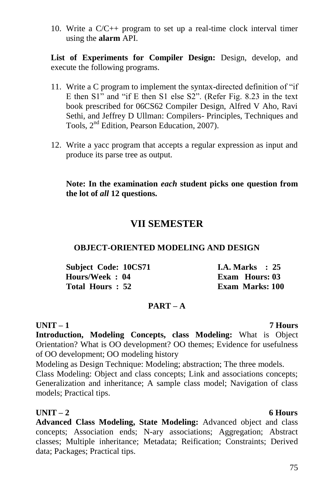10. Write a C/C++ program to set up a real-time clock interval timer using the **alarm** API.

**List of Experiments for Compiler Design:** Design, develop, and execute the following programs.

- 11. Write a C program to implement the syntax-directed definition of "if E then S1" and "if E then S1 else S2". (Refer Fig. 8.23 in the text book prescribed for 06CS62 Compiler Design, Alfred V Aho, Ravi Sethi, and Jeffrey D Ullman: Compilers- Principles, Techniques and Tools, 2<sup>nd</sup> Edition, Pearson Education, 2007).
- 12. Write a yacc program that accepts a regular expression as input and produce its parse tree as output.

### **Note: In the examination** *each* **student picks one question from the lot of** *all* **12 questions.**

# **VII SEMESTER**

### **OBJECT-ORIENTED MODELING AND DESIGN**

| Subject Code: 10CS71 | <b>I.A.</b> Marks $\therefore$ 25 |
|----------------------|-----------------------------------|
| Hours/Week: 04       | Exam Hours: 03                    |
| Total Hours: 52      | <b>Exam Marks: 100</b>            |

## **PART – A**

### **UNIT – 1 7 Hours**

**Introduction, Modeling Concepts, class Modeling:** What is Object Orientation? What is OO development? OO themes; Evidence for usefulness of OO development; OO modeling history

Modeling as Design Technique: Modeling; abstraction; The three models. Class Modeling: Object and class concepts; Link and associations concepts; Generalization and inheritance; A sample class model; Navigation of class models; Practical tips.

### **UNIT – 2 6 Hours**

**Advanced Class Modeling, State Modeling:** Advanced object and class concepts; Association ends; N-ary associations; Aggregation; Abstract classes; Multiple inheritance; Metadata; Reification; Constraints; Derived data; Packages; Practical tips.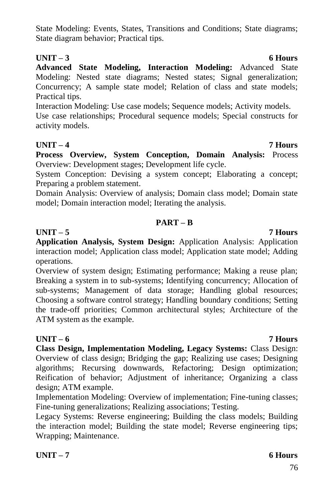State Modeling: Events, States, Transitions and Conditions; State diagrams; State diagram behavior; Practical tips.

### **UNIT – 3 6 Hours**

**Advanced State Modeling, Interaction Modeling:** Advanced State Modeling: Nested state diagrams; Nested states; Signal generalization; Concurrency; A sample state model; Relation of class and state models; Practical tips.

Interaction Modeling: Use case models; Sequence models; Activity models.

Use case relationships; Procedural sequence models; Special constructs for activity models.

## **UNIT – 4 7 Hours**

**Process Overview, System Conception, Domain Analysis:** Process Overview: Development stages; Development life cycle.

System Conception: Devising a system concept; Elaborating a concept; Preparing a problem statement.

Domain Analysis: Overview of analysis; Domain class model; Domain state model; Domain interaction model; Iterating the analysis.

### **PART – B**

### **UNIT – 5 7 Hours**

**Application Analysis, System Design:** Application Analysis: Application interaction model; Application class model; Application state model; Adding operations.

Overview of system design; Estimating performance; Making a reuse plan; Breaking a system in to sub-systems; Identifying concurrency; Allocation of sub-systems; Management of data storage; Handling global resources; Choosing a software control strategy; Handling boundary conditions; Setting the trade-off priorities; Common architectural styles; Architecture of the ATM system as the example.

### **UNIT – 6 7 Hours**

**Class Design, Implementation Modeling, Legacy Systems:** Class Design: Overview of class design; Bridging the gap; Realizing use cases; Designing algorithms; Recursing downwards, Refactoring; Design optimization; Reification of behavior; Adjustment of inheritance; Organizing a class design; ATM example.

Implementation Modeling: Overview of implementation; Fine-tuning classes; Fine-tuning generalizations; Realizing associations; Testing.

Legacy Systems: Reverse engineering; Building the class models; Building the interaction model; Building the state model; Reverse engineering tips; Wrapping; Maintenance.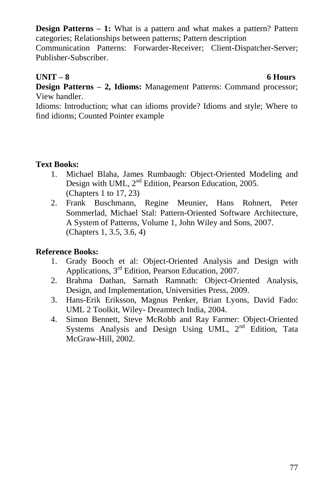**Design Patterns – 1:** What is a pattern and what makes a pattern? Pattern categories; Relationships between patterns; Pattern description

Communication Patterns: Forwarder-Receiver; Client-Dispatcher-Server; Publisher-Subscriber.

# **UNIT – 8 6 Hours**

**Design Patterns – 2, Idioms:** Management Patterns: Command processor; View handler.

Idioms: Introduction; what can idioms provide? Idioms and style; Where to find idioms; Counted Pointer example

### **Text Books:**

- 1. Michael Blaha, James Rumbaugh: Object-Oriented Modeling and Design with UML, 2<sup>nd</sup> Edition, Pearson Education, 2005. (Chapters 1 to 17, 23)
- 2. Frank Buschmann, Regine Meunier, Hans Rohnert, Peter Sommerlad, Michael Stal: Pattern-Oriented Software Architecture, A System of Patterns, Volume 1, John Wiley and Sons, 2007. (Chapters 1, 3.5, 3.6, 4)

### **Reference Books:**

- 1. Grady Booch et al: Object-Oriented Analysis and Design with Applications, 3rd Edition, Pearson Education, 2007.
- 2. Brahma Dathan, Sarnath Ramnath: Object-Oriented Analysis, Design, and Implementation, Universities Press, 2009.
- 3. Hans-Erik Eriksson, Magnus Penker, Brian Lyons, David Fado: UML 2 Toolkit, Wiley- Dreamtech India, 2004.
- 4. Simon Bennett, Steve McRobb and Ray Farmer: Object-Oriented Systems Analysis and Design Using UML, 2<sup>nd</sup> Edition, Tata McGraw-Hill, 2002.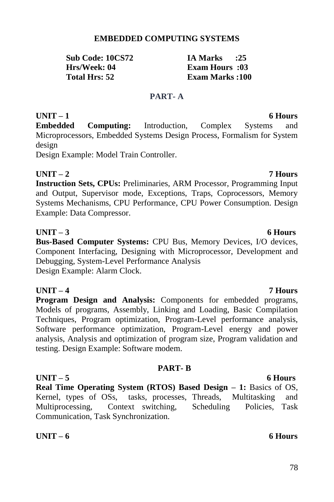### **EMBEDDED COMPUTING SYSTEMS**

**Sub Code: 10CS72 IA Marks :25 Hrs/Week: 04 Exam Hours :03**<br> **Total Hrs: 52** Exam Marks :100

**Exam Marks :100** 

### **PART- A**

## **UNIT – 1 6 Hours Embedded Computing:** Introduction, Complex Systems and Microprocessors, Embedded Systems Design Process, Formalism for System design

Design Example: Model Train Controller.

**UNIT – 2 7 Hours Instruction Sets, CPUs:** Preliminaries, ARM Processor, Programming Input and Output, Supervisor mode, Exceptions, Traps, Coprocessors, Memory Systems Mechanisms, CPU Performance, CPU Power Consumption. Design Example: Data Compressor.

## **UNIT – 3 6 Hours**

**Bus-Based Computer Systems:** CPU Bus, Memory Devices, I/O devices, Component Interfacing, Designing with Microprocessor, Development and Debugging, System-Level Performance Analysis Design Example: Alarm Clock.

## **UNIT – 4 7 Hours**

**Program Design and Analysis:** Components for embedded programs, Models of programs, Assembly, Linking and Loading, Basic Compilation Techniques, Program optimization, Program-Level performance analysis, Software performance optimization, Program-Level energy and power analysis, Analysis and optimization of program size, Program validation and testing. Design Example: Software modem.

### **PART- B**

**UNIT – 5 6 Hours Real Time Operating System (RTOS) Based Design – 1:** Basics of OS, Kernel, types of OSs, tasks, processes, Threads, Multitasking and Multiprocessing, Context switching, Scheduling Policies, Task Communication, Task Synchronization.

### **UNIT – 6 6 Hours**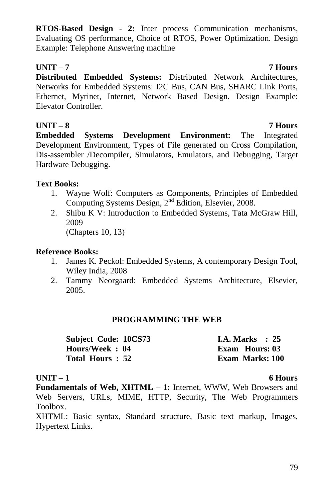**RTOS-Based Design - 2:** Inter process Communication mechanisms, Evaluating OS performance, Choice of RTOS, Power Optimization. Design Example: Telephone Answering machine

# **UNIT – 7 7 Hours**

**Distributed Embedded Systems:** Distributed Network Architectures, Networks for Embedded Systems: I2C Bus, CAN Bus, SHARC Link Ports, Ethernet, Myrinet, Internet, Network Based Design. Design Example: Elevator Controller.

# **UNIT – 8 7 Hours**

**Embedded Systems Development Environment:** The Integrated Development Environment, Types of File generated on Cross Compilation, Dis-assembler /Decompiler, Simulators, Emulators, and Debugging, Target Hardware Debugging.

## **Text Books:**

- 1. Wayne Wolf: Computers as Components, Principles of Embedded Computing Systems Design, 2nd Edition, Elsevier, 2008.
- 2. Shibu K V: Introduction to Embedded Systems, Tata McGraw Hill, 2009

(Chapters 10, 13)

### **Reference Books:**

- 1. James K. Peckol: Embedded Systems, A contemporary Design Tool, Wiley India, 2008
- 2. Tammy Neorgaard: Embedded Systems Architecture, Elsevier, 2005.

## **PROGRAMMING THE WEB**

| Subject Code: 10CS73 |  | I.A. Marks $\therefore$ 25 |  |
|----------------------|--|----------------------------|--|
| Hours/Week: 04       |  | Exam Hours: 03             |  |
| Total Hours: 52      |  | Exam Marks: 100            |  |

### **UNIT – 1 6 Hours**

**Fundamentals of Web, XHTML – 1:** Internet, WWW, Web Browsers and Web Servers, URLs, MIME, HTTP, Security, The Web Programmers Toolbox.

XHTML: Basic syntax, Standard structure, Basic text markup, Images, Hypertext Links.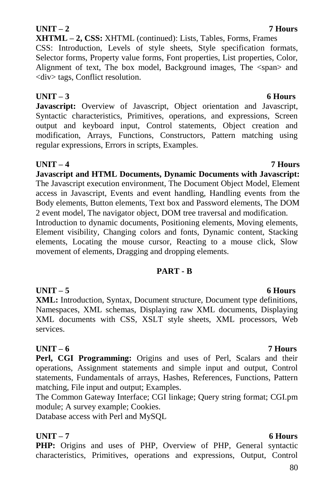80

### **Javascript and HTML Documents, Dynamic Documents with Javascript:**  The Javascript execution environment, The Document Object Model, Element

access in Javascript, Events and event handling, Handling events from the Body elements, Button elements, Text box and Password elements, The DOM 2 event model, The navigator object, DOM tree traversal and modification. Introduction to dynamic documents, Positioning elements, Moving elements, Element visibility, Changing colors and fonts, Dynamic content, Stacking elements, Locating the mouse cursor, Reacting to a mouse click, Slow

## **PART - B**

**UNIT – 5 6 Hours XML:** Introduction, Syntax, Document structure, Document type definitions, Namespaces, XML schemas, Displaying raw XML documents, Displaying XML documents with CSS, XSLT style sheets, XML processors, Web services.

# **UNIT – 6 7 Hours**

Perl, CGI Programming: Origins and uses of Perl, Scalars and their operations, Assignment statements and simple input and output, Control statements, Fundamentals of arrays, Hashes, References, Functions, Pattern matching, File input and output; Examples.

The Common Gateway Interface; CGI linkage; Query string format; CGI.pm module; A survey example; Cookies.

Database access with Perl and MySQL

# **UNIT – 7 6 Hours**

**PHP:** Origins and uses of PHP, Overview of PHP, General syntactic characteristics, Primitives, operations and expressions, Output, Control

# **UNIT – 2 7 Hours**

**XHTML – 2, CSS:** XHTML (continued): Lists, Tables, Forms, Frames CSS: Introduction, Levels of style sheets, Style specification formats, Selector forms, Property value forms, Font properties, List properties, Color, Alignment of text, The box model, Background images, The  $\langle$ span $\rangle$  and <div> tags, Conflict resolution.

# **UNIT – 3 6 Hours**

**Javascript:** Overview of Javascript, Object orientation and Javascript, Syntactic characteristics, Primitives, operations, and expressions, Screen output and keyboard input, Control statements, Object creation and modification, Arrays, Functions, Constructors, Pattern matching using regular expressions, Errors in scripts, Examples.

## **UNIT – 4 7 Hours**

movement of elements, Dragging and dropping elements.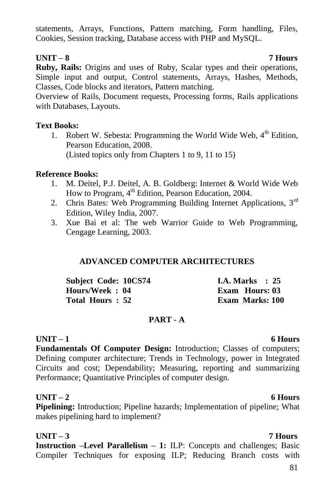statements, Arrays, Functions, Pattern matching, Form handling, Files, Cookies, Session tracking, Database access with PHP and MySQL.

### **UNIT – 8 7 Hours**

**Ruby, Rails:** Origins and uses of Ruby, Scalar types and their operations, Simple input and output, Control statements, Arrays, Hashes, Methods, Classes, Code blocks and iterators, Pattern matching.

Overview of Rails, Document requests, Processing forms, Rails applications with Databases, Layouts.

### **Text Books:**

1. Robert W. Sebesta: Programming the World Wide Web,  $4<sup>th</sup>$  Edition. Pearson Education, 2008. (Listed topics only from Chapters 1 to 9, 11 to 15)

## **Reference Books:**

- 1. M. Deitel, P.J. Deitel, A. B. Goldberg: Internet & World Wide Web How to Program, 4<sup>th</sup> Edition, Pearson Education, 2004.
- 2. Chris Bates: Web Programming Building Internet Applications, 3<sup>rd</sup> Edition, Wiley India, 2007.
- 3. Xue Bai et al: The web Warrior Guide to Web Programming, Cengage Learning, 2003.

## **ADVANCED COMPUTER ARCHITECTURES**

| <b>Subject Code: 10CS74</b> | <b>I.A. Marks</b> : 25 |
|-----------------------------|------------------------|
| Hours/Week: 04              | Exam Hours: 03         |
| Total Hours: 52             | <b>Exam Marks: 100</b> |

## **PART - A**

## **UNIT – 1 6 Hours**

**Fundamentals Of Computer Design:** Introduction; Classes of computers; Defining computer architecture; Trends in Technology, power in Integrated Circuits and cost; Dependability; Measuring, reporting and summarizing Performance; Quantitative Principles of computer design.

## **UNIT – 2 6 Hours**

**Pipelining:** Introduction; Pipeline hazards; Implementation of pipeline; What makes pipelining hard to implement?

# **UNIT – 3 7 Hours**

**Instruction –Level Parallelism – 1:** ILP: Concepts and challenges; Basic Compiler Techniques for exposing ILP; Reducing Branch costs with

### 81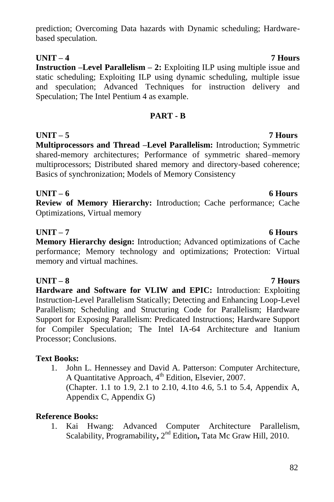# prediction; Overcoming Data hazards with Dynamic scheduling; Hardwarebased speculation.

**UNIT – 4 7 Hours**

**Instruction –Level Parallelism – 2:** Exploiting ILP using multiple issue and static scheduling; Exploiting ILP using dynamic scheduling, multiple issue and speculation; Advanced Techniques for instruction delivery and Speculation; The Intel Pentium 4 as example.

## **PART - B**

**UNIT – 5 7 Hours Multiprocessors and Thread –Level Parallelism:** Introduction; Symmetric shared-memory architectures; Performance of symmetric shared–memory multiprocessors; Distributed shared memory and directory-based coherence; Basics of synchronization; Models of Memory Consistency

### **UNIT – 6 6 Hours**

**Review of Memory Hierarchy:** Introduction; Cache performance; Cache Optimizations, Virtual memory

## **UNIT – 7 6 Hours**

**Memory Hierarchy design:** Introduction; Advanced optimizations of Cache performance; Memory technology and optimizations; Protection: Virtual memory and virtual machines.

# **UNIT – 8 7 Hours**

**Hardware and Software for VLIW and EPIC:** Introduction: Exploiting Instruction-Level Parallelism Statically; Detecting and Enhancing Loop-Level Parallelism; Scheduling and Structuring Code for Parallelism; Hardware Support for Exposing Parallelism: Predicated Instructions; Hardware Support for Compiler Speculation; The Intel IA-64 Architecture and Itanium Processor; Conclusions.

# **Text Books:**

1. John L. Hennessey and David A. Patterson: Computer Architecture, A Quantitative Approach, 4<sup>th</sup> Edition, Elsevier, 2007.

(Chapter. 1.1 to 1.9, 2.1 to 2.10, 4.1to 4.6, 5.1 to 5.4, Appendix A, Appendix C, Appendix G)

# **Reference Books:**

1. Kai Hwang: Advanced Computer Architecture Parallelism, Scalability, Programability, 2<sup>nd</sup> Edition, Tata Mc Graw Hill, 2010.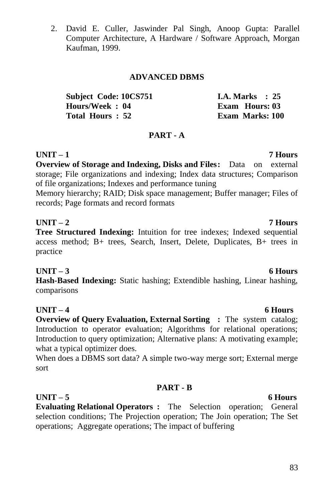Computer Architecture, A Hardware / Software Approach, Morgan Kaufman, 1999.

### **ADVANCED DBMS**

| Subject Code: 10CS751 | <b>I.A.</b> Marks $\therefore$ 25 |
|-----------------------|-----------------------------------|
| Hours/Week: 04        | Exam Hours: 03                    |
| Total Hours: 52       | Exam Marks: 100                   |

2. David E. Culler, Jaswinder Pal Singh, Anoop Gupta: Parallel

### **PART - A**

**UNIT – 1 7 Hours Overview of Storage and Indexing, Disks and Files:** Data on external storage; File organizations and indexing; Index data structures; Comparison of file organizations; Indexes and performance tuning

Memory hierarchy; RAID; Disk space management; Buffer manager; Files of records; Page formats and record formats

### **UNIT – 2 7 Hours**

**Tree Structured Indexing:** Intuition for tree indexes: Indexed sequential access method; B+ trees, Search, Insert, Delete, Duplicates, B+ trees in practice

### **UNIT – 3 6 Hours**

**Hash-Based Indexing:** Static hashing; Extendible hashing, Linear hashing, comparisons

### **UNIT – 4 6 Hours**

**Overview of Query Evaluation, External Sorting :** The system catalog; Introduction to operator evaluation; Algorithms for relational operations; Introduction to query optimization; Alternative plans: A motivating example; what a typical optimizer does.

When does a DBMS sort data? A simple two-way merge sort; External merge sort

### **PART - B**

**UNIT – 5 6 Hours Evaluating Relational Operators :** The Selection operation; General selection conditions; The Projection operation; The Join operation; The Set operations; Aggregate operations; The impact of buffering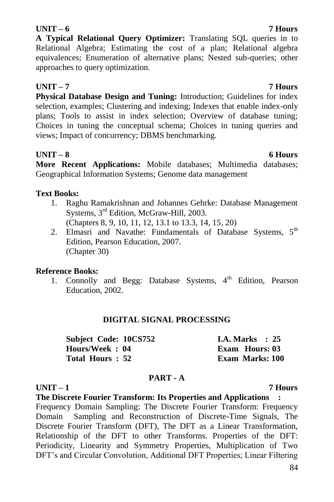### 84

### **UNIT – 6 7 Hours**

**A Typical Relational Query Optimizer:** Translating SQL queries in to Relational Algebra; Estimating the cost of a plan; Relational algebra equivalences; Enumeration of alternative plans; Nested sub-queries; other approaches to query optimization.

# **UNIT – 7 7 Hours**

**Physical Database Design and Tuning:** Introduction; Guidelines for index selection, examples; Clustering and indexing; Indexes that enable index-only plans; Tools to assist in index selection; Overview of database tuning; Choices in tuning the conceptual schema; Choices in tuning queries and views; Impact of concurrency; DBMS benchmarking.

# **UNIT – 8 6 Hours**

**More Recent Applications:** Mobile databases; Multimedia databases; Geographical Information Systems; Genome data management

# **Text Books:**

- 1. Raghu Ramakrishnan and Johannes Gehrke: Database Management Systems, 3<sup>rd</sup> Edition, McGraw-Hill, 2003. (Chapters 8, 9, 10, 11, 12, 13.1 to 13.3, 14, 15, 20)
- 2. Elmasri and Navathe: Fundamentals of Database Systems. 5<sup>th</sup> Edition, Pearson Education, 2007. (Chapter 30)

# **Reference Books:**

1. Connolly and Begg: Database Systems,  $4<sup>th</sup>$  Edition, Pearson Education, 2002.

# **DIGITAL SIGNAL PROCESSING**

| <b>Subject Code: 10CS752</b> | <b>I.A.</b> Marks $\therefore$ 25 |  |
|------------------------------|-----------------------------------|--|
| Hours/Week: 04               | Exam Hours: 03                    |  |
| Total Hours : 52             | <b>Exam Marks: 100</b>            |  |

## **PART - A**

# **UNIT – 1 7 Hours**

**The Discrete Fourier Transform: Its Properties and Applications :**

Frequency Domain Sampling: The Discrete Fourier Transform: Frequency Domain Sampling and Reconstruction of Discrete-Time Signals, The Discrete Fourier Transform (DFT), The DFT as a Linear Transformation, Relationship of the DFT to other Transforms. Properties of the DFT: Periodicity, Linearity and Symmetry Properties, Multiplication of Two DFT"s and Circular Convolution, Additional DFT Properties; Linear Filtering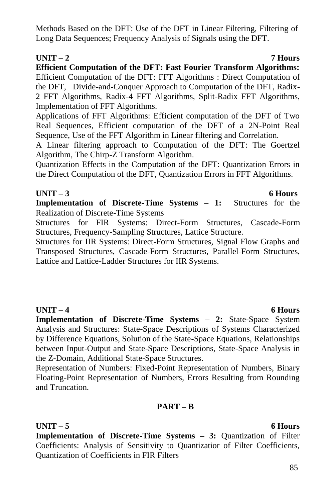Methods Based on the DFT: Use of the DFT in Linear Filtering, Filtering of Long Data Sequences; Frequency Analysis of Signals using the DFT.

# **UNIT – 2 7 Hours**

**Efficient Computation of the DFT: Fast Fourier Transform Algorithms:**  Efficient Computation of the DFT: FFT Algorithms : Direct Computation of the DFT, Divide-and-Conquer Approach to Computation of the DFT, Radix-2 FFT Algorithms, Radix-4 FFT Algorithms, Split-Radix FFT Algorithms, Implementation of FFT Algorithms.

Applications of FFT Algorithms: Efficient computation of the DFT of Two Real Sequences, Efficient computation of the DFT of a 2N-Point Real Sequence, Use of the FFT Algorithm in Linear filtering and Correlation.

A Linear filtering approach to Computation of the DFT: The Goertzel Algorithm, The Chirp-Z Transform Algorithm.

Quantization Effects in the Computation of the DFT: Quantization Errors in the Direct Computation of the DFT, Quantization Errors in FFT Algorithms.

## **UNIT – 3 6 Hours**

**Implementation of Discrete-Time Systems – 1:** Structures for the Realization of Discrete-Time Systems

Structures for FIR Systems: Direct-Form Structures, Cascade-Form Structures, Frequency-Sampling Structures, Lattice Structure.

Structures for IIR Systems: Direct-Form Structures, Signal Flow Graphs and Transposed Structures, Cascade-Form Structures, Parallel-Form Structures, Lattice and Lattice-Ladder Structures for IIR Systems.

## **UNIT – 4 6 Hours**

**Implementation of Discrete-Time Systems – 2:** State-Space System Analysis and Structures: State-Space Descriptions of Systems Characterized by Difference Equations, Solution of the State-Space Equations, Relationships between Input-Output and State-Space Descriptions, State-Space Analysis in the Z-Domain, Additional State-Space Structures.

Representation of Numbers: Fixed-Point Representation of Numbers, Binary Floating-Point Representation of Numbers, Errors Resulting from Rounding and Truncation.

# **PART – B**

# **UNIT – 5 6 Hours**

**Implementation of Discrete-Time Systems – 3:** Quantization of Filter Coefficients: Analysis of Sensitivity to Quantizatior of Filter Coefficients, Quantization of Coefficients in FIR Filters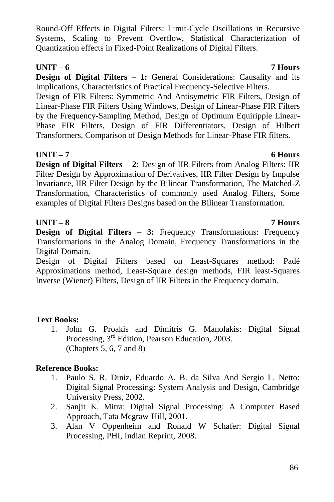Round-Off Effects in Digital Filters: Limit-Cycle Oscillations in Recursive Systems, Scaling to Prevent Overflow, Statistical Characterization of Quantization effects in Fixed-Point Realizations of Digital Filters.

# **UNIT – 6 7 Hours**

**Design of Digital Filters – 1:** General Considerations: Causality and its Implications, Characteristics of Practical Frequency-Selective Filters.

Design of FIR Filters: Symmetric And Antisymetric FIR Filters, Design of Linear-Phase FIR Filters Using Windows, Design of Linear-Phase FIR Filters by the Frequency-Sampling Method, Design of Optimum Equiripple Linear-Phase FIR Filters, Design of FIR Differentiators, Design of Hilbert Transformers, Comparison of Design Methods for Linear-Phase FIR filters.

# **UNIT – 7 6 Hours**

**Design of Digital Filters – 2:** Design of IIR Filters from Analog Filters: IIR Filter Design by Approximation of Derivatives, IIR Filter Design by Impulse Invariance, IIR Filter Design by the Bilinear Transformation, The Matched-Z Transformation, Characteristics of commonly used Analog Filters, Some examples of Digital Filters Designs based on the Bilinear Transformation.

# **UNIT – 8 7 Hours**

**Design of Digital Filters – 3:** Frequency Transformations: Frequency Transformations in the Analog Domain, Frequency Transformations in the Digital Domain.

Design of Digital Filters based on Least-Squares method: Padé Approximations method, Least-Square design methods, FIR least-Squares Inverse (Wiener) Filters, Design of IIR Filters in the Frequency domain.

# **Text Books:**

1. John G. Proakis and Dimitris G. Manolakis: Digital Signal Processing, 3rd Edition, Pearson Education, 2003. (Chapters 5, 6, 7 and 8)

# **Reference Books:**

- 1. Paulo S. R. Diniz, Eduardo A. B. da Silva And Sergio L. Netto: Digital Signal Processing: System Analysis and Design, Cambridge University Press, 2002.
- 2. Sanjit K. Mitra: Digital Signal Processing: A Computer Based Approach, Tata Mcgraw-Hill, 2001.
- 3. Alan V Oppenheim and Ronald W Schafer: Digital Signal Processing, PHI, Indian Reprint, 2008.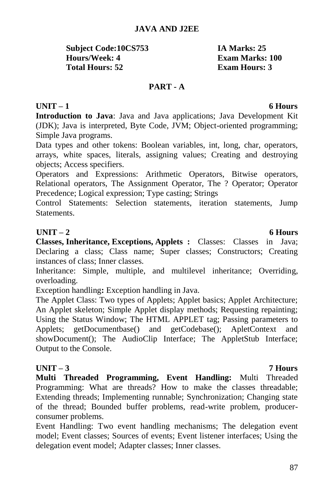87

## **JAVA AND J2EE**

**Subject Code:10CS753 IA Marks: 25 Hours/Week: 4 Exam Marks: 100 Total Hours: 52 Exam Hours: 3**

### **PART - A**

### **UNIT – 1 6 Hours**

**Introduction to Java**: Java and Java applications; Java Development Kit (JDK); Java is interpreted, Byte Code, JVM; Object-oriented programming; Simple Java programs.

Data types and other tokens: Boolean variables, int, long, char, operators, arrays, white spaces, literals, assigning values; Creating and destroying objects; Access specifiers.

Operators and Expressions: Arithmetic Operators, Bitwise operators, Relational operators, The Assignment Operator, The ? Operator; Operator Precedence; Logical expression; Type casting; Strings

Control Statements: Selection statements, iteration statements, Jump **Statements** 

### **UNIT – 2 6 Hours**

**Classes, Inheritance, Exceptions, Applets :** Classes: Classes in Java; Declaring a class; Class name; Super classes; Constructors; Creating instances of class; Inner classes.

Inheritance: Simple, multiple, and multilevel inheritance; Overriding, overloading.

Exception handling**:** Exception handling in Java.

The Applet Class: Two types of Applets; Applet basics; Applet Architecture; An Applet skeleton; Simple Applet display methods; Requesting repainting; Using the Status Window; The HTML APPLET tag; Passing parameters to Applets; getDocumentbase() and getCodebase(); ApletContext and showDocument(); The AudioClip Interface; The AppletStub Interface; Output to the Console.

### **UNIT – 3 7 Hours**

**Multi Threaded Programming, Event Handling:** Multi Threaded Programming: What are threads? How to make the classes threadable; Extending threads; Implementing runnable; Synchronization; Changing state of the thread; Bounded buffer problems, read-write problem, producerconsumer problems.

Event Handling: Two event handling mechanisms; The delegation event model; Event classes; Sources of events; Event listener interfaces; Using the delegation event model; Adapter classes; Inner classes.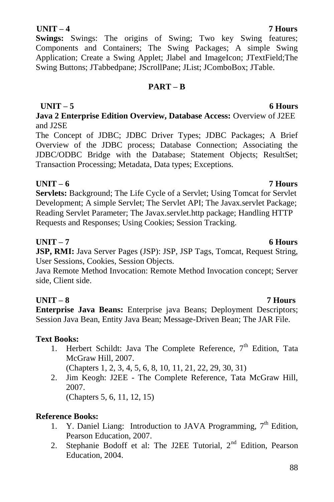# **UNIT – 4 7 Hours**

**Swings:** Swings: The origins of Swing; Two key Swing features; Components and Containers; The Swing Packages; A simple Swing Application; Create a Swing Applet; Jlabel and ImageIcon; JTextField;The Swing Buttons; JTabbedpane; JScrollPane; JList; JComboBox; JTable.

# **PART – B**

**UNIT – 5 6 Hours Java 2 Enterprise Edition Overview, Database Access:** Overview of J2EE and J2SE

The Concept of JDBC; JDBC Driver Types; JDBC Packages; A Brief Overview of the JDBC process; Database Connection; Associating the JDBC/ODBC Bridge with the Database; Statement Objects; ResultSet; Transaction Processing; Metadata, Data types; Exceptions.

## **UNIT – 6 7 Hours**

**Servlets:** Background; The Life Cycle of a Servlet; Using Tomcat for Servlet Development; A simple Servlet; The Servlet API; The Javax.servlet Package; Reading Servlet Parameter; The Javax.servlet.http package; Handling HTTP Requests and Responses; Using Cookies; Session Tracking.

## **UNIT – 7 6 Hours**

**JSP, RMI:** Java Server Pages (JSP): JSP, JSP Tags, Tomcat, Request String, User Sessions, Cookies, Session Objects.

Java Remote Method Invocation: Remote Method Invocation concept; Server side, Client side.

# **UNIT – 8 7 Hours**

**Enterprise Java Beans:** Enterprise java Beans; Deployment Descriptors; Session Java Bean, Entity Java Bean; Message-Driven Bean; The JAR File.

# **Text Books:**

1. Herbert Schildt: Java The Complete Reference, 7<sup>th</sup> Edition, Tata McGraw Hill, 2007.

(Chapters 1, 2, 3, 4, 5, 6, 8, 10, 11, 21, 22, 29, 30, 31)

2. Jim Keogh: J2EE - The Complete Reference, Tata McGraw Hill, 2007.

(Chapters 5, 6, 11, 12, 15)

# **Reference Books:**

- 1. Y. Daniel Liang: Introduction to JAVA Programming,  $7<sup>th</sup>$  Edition, Pearson Education, 2007.
- 2. Stephanie Bodoff et al: The J2EE Tutorial, 2<sup>nd</sup> Edition, Pearson Education, 2004.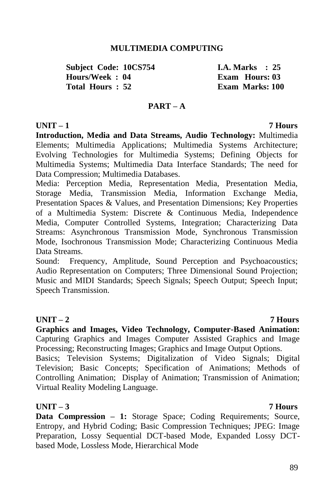### **MULTIMEDIA COMPUTING**

**Subject Code: 10CS754 1.A. Marks : 25**<br> **Hours/Week : 04** Exam Hours: 03  $Hours/Week : 04$ **Total Hours : 52 Exam Marks: 100**

### **PART – A**

### **UNIT – 1 7 Hours**

**Introduction, Media and Data Streams, Audio Technology:** Multimedia Elements; Multimedia Applications; Multimedia Systems Architecture; Evolving Technologies for Multimedia Systems; Defining Objects for Multimedia Systems; Multimedia Data Interface Standards; The need for Data Compression; Multimedia Databases.

Media: Perception Media, Representation Media, Presentation Media, Storage Media, Transmission Media, Information Exchange Media, Presentation Spaces & Values, and Presentation Dimensions; Key Properties of a Multimedia System: Discrete & Continuous Media, Independence Media, Computer Controlled Systems, Integration; Characterizing Data Streams: Asynchronous Transmission Mode, Synchronous Transmission Mode, Isochronous Transmission Mode; Characterizing Continuous Media Data Streams.

Sound: Frequency, Amplitude, Sound Perception and Psychoacoustics; Audio Representation on Computers; Three Dimensional Sound Projection; Music and MIDI Standards; Speech Signals; Speech Output; Speech Input; Speech Transmission.

### **UNIT – 2 7 Hours**

**Graphics and Images, Video Technology, Computer-Based Animation:**  Capturing Graphics and Images Computer Assisted Graphics and Image Processing; Reconstructing Images; Graphics and Image Output Options.

Basics; Television Systems; Digitalization of Video Signals; Digital Television; Basic Concepts; Specification of Animations; Methods of Controlling Animation; Display of Animation; Transmission of Animation; Virtual Reality Modeling Language.

### **UNIT – 3 7 Hours**

**Data Compression – 1:** Storage Space; Coding Requirements; Source, Entropy, and Hybrid Coding; Basic Compression Techniques; JPEG: Image Preparation, Lossy Sequential DCT-based Mode, Expanded Lossy DCTbased Mode, Lossless Mode, Hierarchical Mode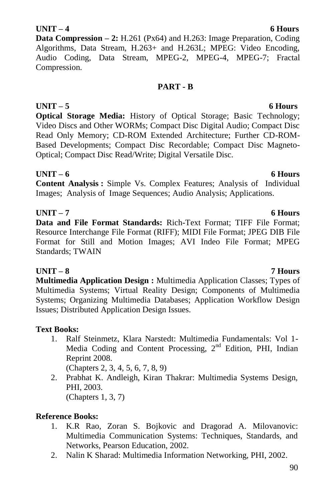# 90

## **UNIT – 4 6 Hours**

**Data Compression – 2:** H.261 (Px64) and H.263: Image Preparation, Coding Algorithms, Data Stream, H.263+ and H.263L; MPEG: Video Encoding, Audio Coding, Data Stream, MPEG-2, MPEG-4, MPEG-7; Fractal Compression.

## **PART - B**

**UNIT – 5 6 Hours Optical Storage Media:** History of Optical Storage; Basic Technology; Video Discs and Other WORMs; Compact Disc Digital Audio; Compact Disc Read Only Memory; CD-ROM Extended Architecture; Further CD-ROM-Based Developments; Compact Disc Recordable; Compact Disc Magneto-Optical; Compact Disc Read/Write; Digital Versatile Disc.

## **UNIT – 6 6 Hours**

**Content Analysis :** Simple Vs. Complex Features; Analysis of Individual Images; Analysis of Image Sequences; Audio Analysis; Applications.

# **UNIT – 7 6 Hours**

**Data and File Format Standards:** Rich-Text Format; TIFF File Format; Resource Interchange File Format (RIFF); MIDI File Format; JPEG DIB File Format for Still and Motion Images; AVI Indeo File Format; MPEG Standards; TWAIN

# **UNIT – 8 7 Hours**

**Multimedia Application Design :** Multimedia Application Classes; Types of Multimedia Systems; Virtual Reality Design; Components of Multimedia Systems; Organizing Multimedia Databases; Application Workflow Design Issues; Distributed Application Design Issues.

# **Text Books:**

1. Ralf Steinmetz, Klara Narstedt: Multimedia Fundamentals: Vol 1- Media Coding and Content Processing, 2<sup>nd</sup> Edition, PHI, Indian Reprint 2008.

(Chapters 2, 3, 4, 5, 6, 7, 8, 9)

2. Prabhat K. Andleigh, Kiran Thakrar: Multimedia Systems Design, PHI, 2003. (Chapters 1, 3, 7)

# **Reference Books:**

- 1. K.R Rao, Zoran S. Bojkovic and Dragorad A. Milovanovic: Multimedia Communication Systems: Techniques, Standards, and Networks, Pearson Education, 2002.
- 2. Nalin K Sharad: Multimedia Information Networking, PHI, 2002.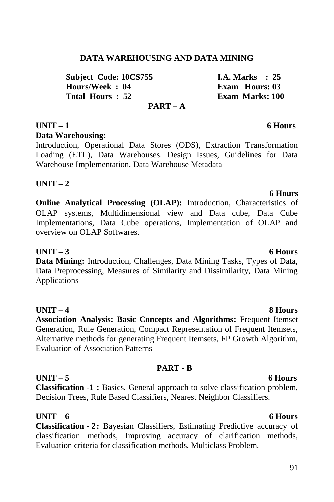## **DATA WAREHOUSING AND DATA MINING**

**Subject Code: 10CS755 I.A. Marks : 25 Hours/Week : 04 Exam Hours: 03**<br> **Total Hours : 52 Exam Marks: 100** 

**PART – A**

### **UNIT – 1 6 Hours Data Warehousing:**

Introduction, Operational Data Stores (ODS), Extraction Transformation Loading (ETL), Data Warehouses. Design Issues, Guidelines for Data Warehouse Implementation, Data Warehouse Metadata

# **UNIT – 2**

**Online Analytical Processing (OLAP):** Introduction, Characteristics of OLAP systems, Multidimensional view and Data cube, Data Cube Implementations, Data Cube operations, Implementation of OLAP and overview on OLAP Softwares.

## **UNIT – 3 6 Hours**

**Data Mining:** Introduction, Challenges, Data Mining Tasks, Types of Data, Data Preprocessing, Measures of Similarity and Dissimilarity, Data Mining Applications

**UNIT – 4 8 Hours Association Analysis: Basic Concepts and Algorithms:** Frequent Itemset Generation, Rule Generation, Compact Representation of Frequent Itemsets, Alternative methods for generating Frequent Itemsets, FP Growth Algorithm, Evaluation of Association Patterns

## **PART - B**

### **UNIT – 5 6 Hours Classification -1 :** Basics, General approach to solve classification problem, Decision Trees, Rule Based Classifiers, Nearest Neighbor Classifiers.

# **UNIT – 6 6 Hours**

**Classification - 2:** Bayesian Classifiers, Estimating Predictive accuracy of classification methods, Improving accuracy of clarification methods, Evaluation criteria for classification methods, Multiclass Problem.

 **6 Hours**

**Exam Marks: 100**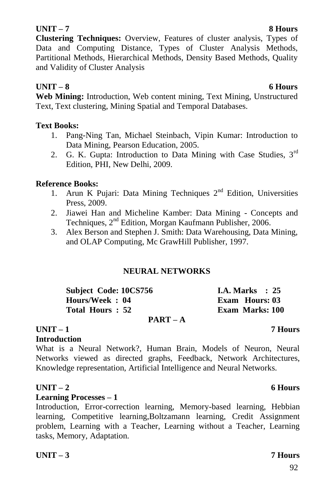### **UNIT – 7 8 Hours**

**Clustering Techniques:** Overview, Features of cluster analysis, Types of Data and Computing Distance, Types of Cluster Analysis Methods, Partitional Methods, Hierarchical Methods, Density Based Methods, Quality and Validity of Cluster Analysis

## **UNIT – 8 6 Hours**

**Web Mining:** Introduction, Web content mining, Text Mining, Unstructured Text, Text clustering, Mining Spatial and Temporal Databases.

### **Text Books:**

- 1. Pang-Ning Tan, Michael Steinbach, Vipin Kumar: Introduction to Data Mining, Pearson Education, 2005.
- 2. G. K. Gupta: Introduction to Data Mining with Case Studies, 3<sup>rd</sup> Edition, PHI, New Delhi, 2009.

## **Reference Books:**

- 1. Arun K Pujari: Data Mining Techniques  $2<sup>nd</sup>$  Edition, Universities Press, 2009.
- 2. Jiawei Han and Micheline Kamber: Data Mining Concepts and Techniques, 2<sup>nd</sup> Edition, Morgan Kaufmann Publisher, 2006.
- 3. Alex Berson and Stephen J. Smith: Data Warehousing, Data Mining, and OLAP Computing, Mc GrawHill Publisher, 1997.

## **NEURAL NETWORKS**

| <b>Subject Code: 10CS756</b> | <b>I.A. Marks</b> : 25 |
|------------------------------|------------------------|
| Hours/Week: 04               | <b>Exam Hours: 03</b>  |
| Total Hours: 52              | Exam Marks: 100        |
| $PART - A$                   |                        |

### **UNIT – 1 7 Hours**

### **Introduction**

What is a Neural Network?, Human Brain, Models of Neuron, Neural Networks viewed as directed graphs, Feedback, Network Architectures, Knowledge representation, Artificial Intelligence and Neural Networks.

## **UNIT – 2 6 Hours**

### **Learning Processes – 1**

Introduction, Error-correction learning, Memory-based learning, Hebbian learning, Competitive learning,Boltzamann learning, Credit Assignment problem, Learning with a Teacher, Learning without a Teacher, Learning tasks, Memory, Adaptation.

### **UNIT – 3 7 Hours**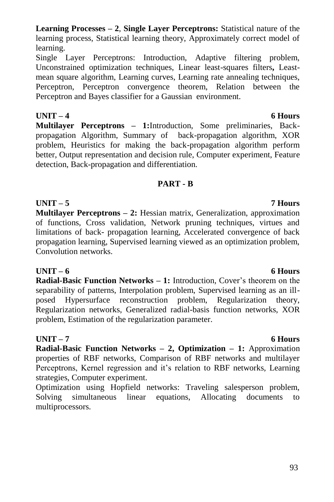### **Learning Processes – 2**, **Single Layer Perceptrons:** Statistical nature of the learning process, Statistical learning theory, Approximately correct model of learning.

Single Layer Perceptrons: Introduction, Adaptive filtering problem, Unconstrained optimization techniques, Linear least-squares filters**,** Leastmean square algorithm, Learning curves, Learning rate annealing techniques, Perceptron, Perceptron convergence theorem, Relation between the Perceptron and Bayes classifier for a Gaussian environment.

**UNIT – 4 6 Hours Multilayer Perceptrons – 1:**Introduction, Some preliminaries, Backpropagation Algorithm, Summary of back-propagation algorithm, XOR problem, Heuristics for making the back-propagation algorithm perform better, Output representation and decision rule, Computer experiment, Feature detection, Back-propagation and differentiation.

## **PART - B**

**UNIT – 5 7 Hours Multilayer Perceptrons – 2:** Hessian matrix, Generalization, approximation of functions, Cross validation, Network pruning techniques, virtues and limitations of back- propagation learning, Accelerated convergence of back propagation learning, Supervised learning viewed as an optimization problem, Convolution networks.

**UNIT – 6 6 Hours**

**Radial-Basic Function Networks – 1:** Introduction, Cover's theorem on the separability of patterns, Interpolation problem, Supervised learning as an illposed Hypersurface reconstruction problem, Regularization theory, Regularization networks, Generalized radial-basis function networks, XOR problem, Estimation of the regularization parameter.

# **UNIT – 7 6 Hours**

**Radial-Basic Function Networks – 2, Optimization – 1:** Approximation properties of RBF networks, Comparison of RBF networks and multilayer Perceptrons, Kernel regression and it's relation to RBF networks, Learning strategies, Computer experiment.

Optimization using Hopfield networks: Traveling salesperson problem, Solving simultaneous linear equations, Allocating documents to multiprocessors.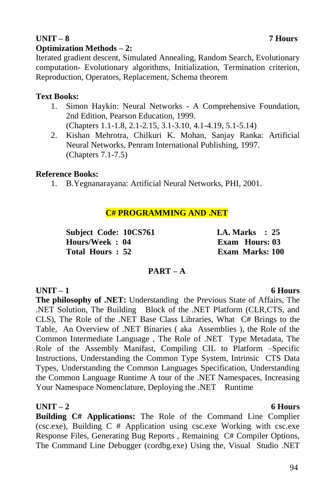### **UNIT – 8 7 Hours Optimization Methods – 2:**

Iterated gradient descent, Simulated Annealing, Random Search, Evolutionary computation- Evolutionary algorithms, Initialization, Termination criterion, Reproduction, Operators, Replacement, Schema theorem

## **Text Books:**

- 1. Simon Haykin: Neural Networks A Comprehensive Foundation, 2nd Edition, Pearson Education, 1999. (Chapters 1.1-1.8, 2.1-2.15, 3.1-3.10, 4.1-4.19, 5.1-5.14)
- 2. Kishan Mehrotra, Chilkuri K. Mohan, Sanjay Ranka: Artificial Neural Networks, Penram International Publishing, 1997. (Chapters 7.1-7.5)

## **Reference Books:**

1. B.Yegnanarayana: Artificial Neural Networks, PHI, 2001.

## **C# PROGRAMMING AND .NET**

**Subject Code: 10CS761 I.A. Marks : 25 Hours/Week : 04 Exam Hours: 03 Total Hours : 52 Exam Marks: 100**

## **PART – A**

# **UNIT – 1 6 Hours**

**The philosophy of .NET:** Understanding the Previous State of Affairs, The .NET Solution, The Building Block of the .NET Platform (CLR,CTS, and CLS), The Role of the .NET Base Class Libraries, What C# Brings to the Table, An Overview of .NET Binaries ( aka Assemblies ), the Role of the Common Intermediate Language , The Role of .NET Type Metadata, The Role of the Assembly Manifast, Compiling CIL to Platform –Specific Instructions, Understanding the Common Type System, Intrinsic CTS Data Types, Understanding the Common Languages Specification, Understanding the Common Language Runtime A tour of the .NET Namespaces, Increasing Your Namespace Nomenclature, Deploying the .NET Runtime

## **UNIT – 2 6 Hours**

**Building C# Applications:** The Role of the Command Line Complier (csc.exe), Building C # Application using csc.exe Working with csc.exe Response Files, Generating Bug Reports , Remaining C# Compiler Options, The Command Line Debugger (cordbg.exe) Using the, Visual Studio .NET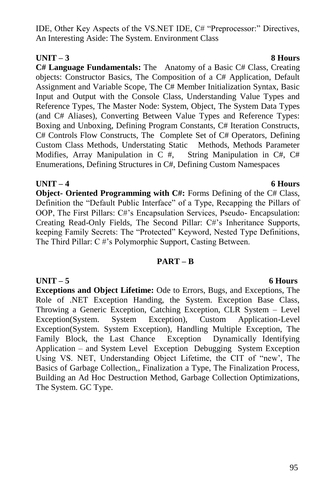IDE, Other Key Aspects of the VS.NET IDE, C# "Preprocessor:" Directives, An Interesting Aside: The System. Environment Class

# **UNIT – 3 8 Hours**

**C# Language Fundamentals:** The Anatomy of a Basic C# Class, Creating objects: Constructor Basics, The Composition of a C# Application, Default Assignment and Variable Scope, The C# Member Initialization Syntax, Basic Input and Output with the Console Class, Understanding Value Types and Reference Types, The Master Node: System, Object, The System Data Types (and C# Aliases), Converting Between Value Types and Reference Types: Boxing and Unboxing, Defining Program Constants, C# Iteration Constructs, C# Controls Flow Constructs, The Complete Set of C# Operators, Defining Custom Class Methods, Understating Static Methods, Methods Parameter Modifies, Array Manipulation in C #, String Manipulation in C#, C# Enumerations, Defining Structures in C#, Defining Custom Namespaces

### **UNIT – 4 6 Hours**

**Object- Oriented Programming with C#:** Forms Defining of the C# Class, Definition the "Default Public Interface" of a Type, Recapping the Pillars of OOP, The First Pillars: C#"s Encapsulation Services, Pseudo- Encapsulation: Creating Read-Only Fields, The Second Pillar: C#"s Inheritance Supports, keeping Family Secrets: The "Protected" Keyword, Nested Type Definitions, The Third Pillar: C #"s Polymorphic Support, Casting Between.

## **PART – B**

## **UNIT – 5 6 Hours**

**Exceptions and Object Lifetime:** Ode to Errors, Bugs, and Exceptions, The Role of .NET Exception Handing, the System. Exception Base Class, Throwing a Generic Exception, Catching Exception, CLR System – Level Exception(System. System Exception), Custom Application-Level Exception(System. System Exception), Handling Multiple Exception, The Family Block, the Last Chance Exception Dynamically Identifying Application – and System Level Exception Debugging System Exception Using VS. NET, Understanding Object Lifetime, the CIT of "new", The Basics of Garbage Collection,, Finalization a Type, The Finalization Process, Building an Ad Hoc Destruction Method, Garbage Collection Optimizations, The System. GC Type.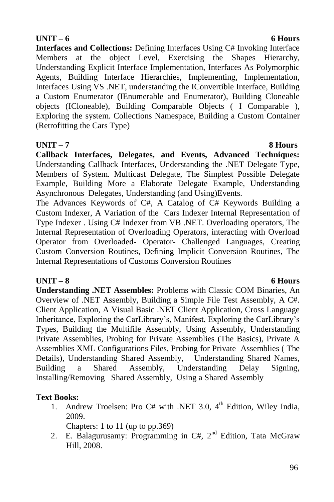## 96

### **UNIT – 6 6 Hours**

**Interfaces and Collections:** Defining Interfaces Using C# Invoking Interface Members at the object Level, Exercising the Shapes Hierarchy, Understanding Explicit Interface Implementation, Interfaces As Polymorphic Agents, Building Interface Hierarchies, Implementing, Implementation, Interfaces Using VS .NET, understanding the IConvertible Interface, Building a Custom Enumerator (IEnumerable and Enumerator), Building Cloneable objects (ICloneable), Building Comparable Objects ( I Comparable ), Exploring the system. Collections Namespace, Building a Custom Container (Retrofitting the Cars Type)

# **UNIT – 7 8 Hours**

**Callback Interfaces, Delegates, and Events, Advanced Techniques:**  Understanding Callback Interfaces, Understanding the .NET Delegate Type, Members of System. Multicast Delegate, The Simplest Possible Delegate Example, Building More a Elaborate Delegate Example, Understanding Asynchronous Delegates, Understanding (and Using)Events.

The Advances Keywords of C#, A Catalog of C# Keywords Building a Custom Indexer, A Variation of the Cars Indexer Internal Representation of Type Indexer . Using C# Indexer from VB .NET. Overloading operators, The Internal Representation of Overloading Operators, interacting with Overload Operator from Overloaded- Operator- Challenged Languages, Creating Custom Conversion Routines, Defining Implicit Conversion Routines, The Internal Representations of Customs Conversion Routines

# **UNIT – 8 6 Hours**

**Understanding .NET Assembles:** Problems with Classic COM Binaries, An Overview of .NET Assembly, Building a Simple File Test Assembly, A C#. Client Application, A Visual Basic .NET Client Application, Cross Language Inheritance, Exploring the CarLibrary"s, Manifest, Exploring the CarLibrary"s Types, Building the Multifile Assembly, Using Assembly, Understanding Private Assemblies, Probing for Private Assemblies (The Basics), Private A Assemblies XML Configurations Files, Probing for Private Assemblies ( The Details), Understanding Shared Assembly, Understanding Shared Names, Building a Shared Assembly, Understanding Delay Signing, Installing/Removing Shared Assembly, Using a Shared Assembly

# **Text Books:**

1. Andrew Troelsen: Pro C# with .NET 3.0, 4<sup>th</sup> Edition, Wiley India, 2009.

Chapters: 1 to 11 (up to pp.369)

2. E. Balagurusamy: Programming in  $C#$ ,  $2<sup>nd</sup>$  Edition, Tata McGraw Hill, 2008.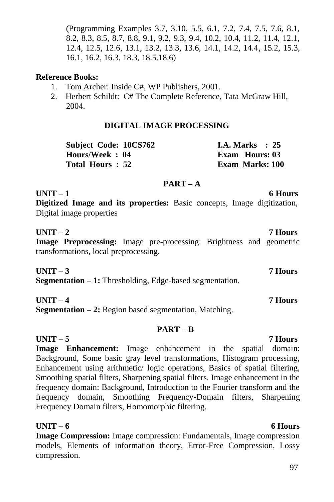(Programming Examples 3.7, 3.10, 5.5, 6.1, 7.2, 7.4, 7.5, 7.6, 8.1, 8.2, 8.3, 8.5, 8.7, 8.8, 9.1, 9.2, 9.3, 9.4, 10.2, 10.4, 11.2, 11.4, 12.1, 12.4, 12.5, 12.6, 13.1, 13.2, 13.3, 13.6, 14.1, 14.2, 14.4, 15.2, 15.3, 16.1, 16.2, 16.3, 18.3, 18.5.18.6)

### **Reference Books:**

- 1. Tom Archer: Inside C#, WP Publishers, 2001.
- 2. Herbert Schildt: C# The Complete Reference, Tata McGraw Hill, 2004.

### **DIGITAL IMAGE PROCESSING**

| Subject Code: 10CS762 | <b>I.A. Marks</b> : 25 |
|-----------------------|------------------------|
| Hours/Week: 04        | Exam Hours: 03         |
| Total Hours: 52       | <b>Exam Marks: 100</b> |

### **PART – A**

**UNIT – 1 6 Hours**

**Digitized Image and its properties:** Basic concepts, Image digitization, Digital image properties

### **UNIT – 2 7 Hours**

**Image Preprocessing:** Image pre-processing: Brightness and geometric transformations, local preprocessing.

**UNIT – 3 7 Hours Segmentation – 1:** Thresholding, Edge-based segmentation.

### **UNIT – 4 7 Hours**

**Segmentation – 2:** Region based segmentation, Matching.

### **PART – B**

### **UNIT – 5 7 Hours**

**Image Enhancement:** Image enhancement in the spatial domain: Background, Some basic gray level transformations, Histogram processing, Enhancement using arithmetic/ logic operations, Basics of spatial filtering, Smoothing spatial filters, Sharpening spatial filters. Image enhancement in the frequency domain: Background, Introduction to the Fourier transform and the frequency domain, Smoothing Frequency-Domain filters, Sharpening Frequency Domain filters, Homomorphic filtering.

### **UNIT – 6 6 Hours**

**Image Compression:** Image compression: Fundamentals, Image compression models, Elements of information theory, Error-Free Compression, Lossy compression.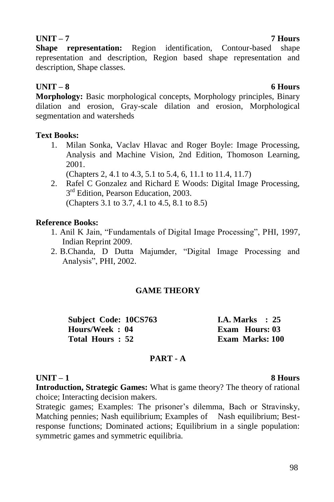**Shape representation:** Region identification, Contour-based shape representation and description, Region based shape representation and description, Shape classes.

# **UNIT – 8 6 Hours**

**Morphology:** Basic morphological concepts, Morphology principles, Binary dilation and erosion, Gray-scale dilation and erosion, Morphological segmentation and watersheds

### **Text Books:**

1. Milan Sonka, Vaclav Hlavac and Roger Boyle: Image Processing, Analysis and Machine Vision, 2nd Edition, Thomoson Learning, 2001.

(Chapters 2, 4.1 to 4.3, 5.1 to 5.4, 6, 11.1 to 11.4, 11.7)

2. Rafel C Gonzalez and Richard E Woods: Digital Image Processing, 3<sup>rd</sup> Edition, Pearson Education, 2003. (Chapters 3.1 to 3.7, 4.1 to 4.5, 8.1 to 8.5)

## **Reference Books:**

- 1. Anil K Jain, "Fundamentals of Digital Image Processing", PHI, 1997, Indian Reprint 2009.
- 2. B.Chanda, D Dutta Majumder, "Digital Image Processing and Analysis", PHI, 2002.

## **GAME THEORY**

**Subject Code: 10CS763 I.A. Marks : 25 Hours/Week : 04 Exam Hours: 03 Total Hours : 52 Exam Marks: 100**

## **PART - A**

## **UNIT – 1 8 Hours**

**Introduction, Strategic Games:** What is game theory? The theory of rational choice; Interacting decision makers.

Strategic games; Examples: The prisoner's dilemma, Bach or Stravinsky, Matching pennies; Nash equilibrium; Examples of Nash equilibrium; Bestresponse functions; Dominated actions; Equilibrium in a single population: symmetric games and symmetric equilibria.

### **UNIT – 7 7 Hours**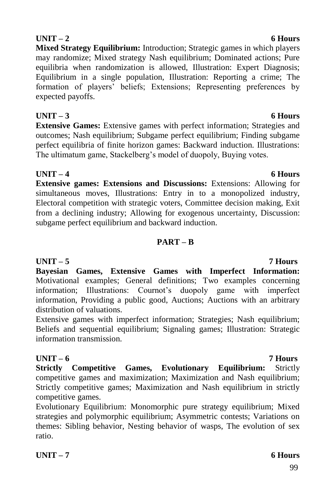# **UNIT – 2** 6 Hours

**Mixed Strategy Equilibrium:** Introduction; Strategic games in which players may randomize; Mixed strategy Nash equilibrium; Dominated actions; Pure equilibria when randomization is allowed, Illustration: Expert Diagnosis; Equilibrium in a single population, Illustration: Reporting a crime; The formation of players" beliefs; Extensions; Representing preferences by expected payoffs.

# **UNIT – 3 6 Hours**

**Extensive Games:** Extensive games with perfect information; Strategies and outcomes; Nash equilibrium; Subgame perfect equilibrium; Finding subgame perfect equilibria of finite horizon games: Backward induction. Illustrations: The ultimatum game, Stackelberg's model of duopoly, Buying votes.

**UNIT – 4 6 Hours Extensive games: Extensions and Discussions:** Extensions: Allowing for simultaneous moves, Illustrations: Entry in to a monopolized industry, Electoral competition with strategic voters, Committee decision making, Exit from a declining industry; Allowing for exogenous uncertainty, Discussion: subgame perfect equilibrium and backward induction.

## **PART – B**

# **UNIT – 5 7 Hours**

**Bayesian Games, Extensive Games with Imperfect Information:**  Motivational examples; General definitions; Two examples concerning information; Illustrations: Cournot's duopoly game with imperfect information, Providing a public good, Auctions; Auctions with an arbitrary distribution of valuations.

Extensive games with imperfect information; Strategies; Nash equilibrium; Beliefs and sequential equilibrium; Signaling games; Illustration: Strategic information transmission.

## **UNIT – 6 7 Hours**

**Strictly Competitive Games, Evolutionary Equilibrium:** Strictly competitive games and maximization; Maximization and Nash equilibrium; Strictly competitive games; Maximization and Nash equilibrium in strictly competitive games.

Evolutionary Equilibrium: Monomorphic pure strategy equilibrium; Mixed strategies and polymorphic equilibrium; Asymmetric contests; Variations on themes: Sibling behavior, Nesting behavior of wasps, The evolution of sex ratio.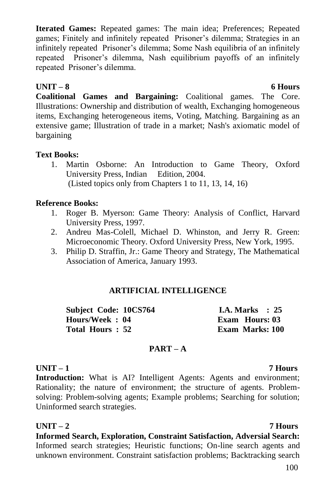**Iterated Games:** Repeated games: The main idea; Preferences; Repeated games; Finitely and infinitely repeated Prisoner's dilemma; Strategies in an infinitely repeated Prisoner's dilemma; Some Nash equilibria of an infinitely repeated Prisoner"s dilemma, Nash equilibrium payoffs of an infinitely repeated Prisoner"s dilemma.

### **UNIT – 8 6 Hours**

**Coalitional Games and Bargaining:** Coalitional games. The Core. Illustrations: Ownership and distribution of wealth, Exchanging homogeneous items, Exchanging heterogeneous items, Voting, Matching. Bargaining as an extensive game; Illustration of trade in a market; Nash's axiomatic model of bargaining

## **Text Books:**

1. Martin Osborne: An Introduction to Game Theory, Oxford University Press, Indian Edition, 2004. (Listed topics only from Chapters 1 to 11, 13, 14, 16)

# **Reference Books:**

- 1. Roger B. Myerson: Game Theory: Analysis of Conflict, Harvard University Press, 1997.
- 2. Andreu Mas-Colell, Michael D. Whinston, and Jerry R. Green: Microeconomic Theory. Oxford University Press, New York, 1995.
- 3. Philip D. Straffin, Jr.: Game Theory and Strategy, The Mathematical Association of America, January 1993.

# **ARTIFICIAL INTELLIGENCE**

| Subject Code: 10CS764 | <b>I.A.</b> Marks $: 25$ |
|-----------------------|--------------------------|
| Hours/Week: 04        | Exam Hours: 03           |
| Total Hours: 52       | Exam Marks: 100          |

## **PART – A**

# **UNIT – 1 7 Hours**

**Introduction:** What is AI? Intelligent Agents: Agents and environment; Rationality; the nature of environment; the structure of agents. Problemsolving: Problem-solving agents; Example problems; Searching for solution; Uninformed search strategies.

**UNIT – 2 7 Hours Informed Search, Exploration, Constraint Satisfaction, Adversial Search:**  Informed search strategies; Heuristic functions; On-line search agents and unknown environment. Constraint satisfaction problems; Backtracking search

### 100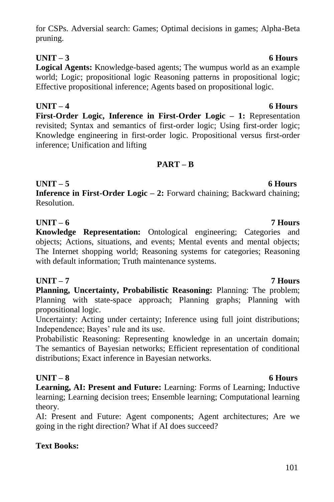### for CSPs. Adversial search: Games; Optimal decisions in games; Alpha-Beta pruning.

# **UNIT – 3 6 Hours**

**Logical Agents:** Knowledge-based agents; The wumpus world as an example world; Logic; propositional logic Reasoning patterns in propositional logic; Effective propositional inference; Agents based on propositional logic.

**UNIT – 4 6 Hours First-Order Logic, Inference in First-Order Logic – 1:** Representation revisited; Syntax and semantics of first-order logic; Using first-order logic; Knowledge engineering in first-order logic. Propositional versus first-order inference; Unification and lifting

# **PART – B**

# **UNIT – 5 6 Hours**

**Inference in First-Order Logic – 2:** Forward chaining; Backward chaining; Resolution.

## **UNIT – 6 7 Hours**

**Knowledge Representation:** Ontological engineering; Categories and objects; Actions, situations, and events; Mental events and mental objects; The Internet shopping world; Reasoning systems for categories; Reasoning with default information; Truth maintenance systems.

# **UNIT – 7 7 Hours**

**Planning, Uncertainty, Probabilistic Reasoning:** Planning: The problem; Planning with state-space approach; Planning graphs; Planning with propositional logic.

Uncertainty: Acting under certainty; Inference using full joint distributions; Independence; Bayes' rule and its use.

Probabilistic Reasoning: Representing knowledge in an uncertain domain; The semantics of Bayesian networks; Efficient representation of conditional distributions; Exact inference in Bayesian networks.

# **UNIT – 8 6 Hours**

**Learning, AI: Present and Future:** Learning: Forms of Learning; Inductive learning; Learning decision trees; Ensemble learning; Computational learning theory.

AI: Present and Future: Agent components; Agent architectures; Are we going in the right direction? What if AI does succeed?

# **Text Books:**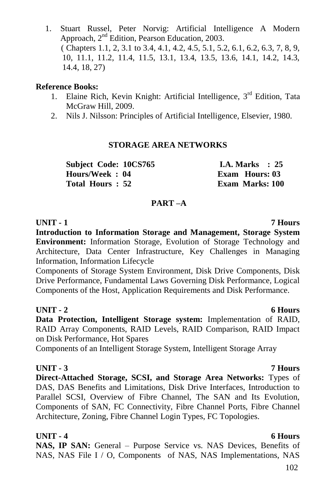1. Stuart Russel, Peter Norvig: Artificial Intelligence A Modern Approach, 2nd Edition, Pearson Education, 2003. ( Chapters 1.1, 2, 3.1 to 3.4, 4.1, 4.2, 4.5, 5.1, 5.2, 6.1, 6.2, 6.3, 7, 8, 9, 10, 11.1, 11.2, 11.4, 11.5, 13.1, 13.4, 13.5, 13.6, 14.1, 14.2, 14.3, 14.4, 18, 27)

### **Reference Books:**

- 1. Elaine Rich, Kevin Knight: Artificial Intelligence, 3<sup>rd</sup> Edition, Tata McGraw Hill, 2009.
- 2. Nils J. Nilsson: Principles of Artificial Intelligence, Elsevier, 1980.

## **STORAGE AREA NETWORKS**

**Subject Code: 10CS765 I.A. Marks : 25 Hours/Week : 04 Exam Hours: 03 Total Hours : 52 Exam Marks: 100**

### **PART –A**

**UNIT - 1 7 Hours Introduction to Information Storage and Management, Storage System Environment:** Information Storage, Evolution of Storage Technology and Architecture, Data Center Infrastructure, Key Challenges in Managing Information, Information Lifecycle

Components of Storage System Environment, Disk Drive Components, Disk Drive Performance, Fundamental Laws Governing Disk Performance, Logical Components of the Host, Application Requirements and Disk Performance.

## **UNIT - 2 6 Hours**

**Data Protection, Intelligent Storage system:** Implementation of RAID, RAID Array Components, RAID Levels, RAID Comparison, RAID Impact on Disk Performance, Hot Spares

Components of an Intelligent Storage System, Intelligent Storage Array

## **UNIT - 3 7 Hours**

**Direct-Attached Storage, SCSI, and Storage Area Networks:** Types of DAS, DAS Benefits and Limitations, Disk Drive Interfaces, Introduction to Parallel SCSI, Overview of Fibre Channel, The SAN and Its Evolution, Components of SAN, FC Connectivity, Fibre Channel Ports, Fibre Channel Architecture, Zoning, Fibre Channel Login Types, FC Topologies.

## **UNIT - 4 6 Hours**

**NAS, IP SAN:** General – Purpose Service vs. NAS Devices, Benefits of NAS, NAS File I / O, Components of NAS, NAS Implementations, NAS

### 102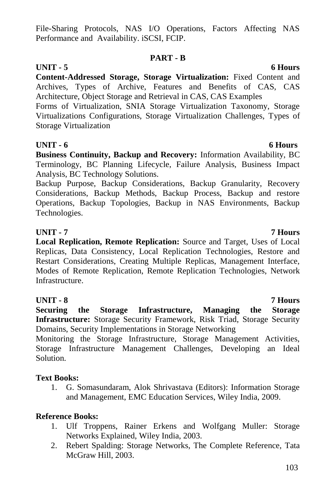File-Sharing Protocols, NAS I/O Operations, Factors Affecting NAS Performance and Availability. iSCSI, FCIP.

### **PART - B**

# **UNIT - 5 6 Hours**

**Content-Addressed Storage, Storage Virtualization:** Fixed Content and Archives, Types of Archive, Features and Benefits of CAS, CAS Architecture, Object Storage and Retrieval in CAS, CAS Examples

Forms of Virtualization, SNIA Storage Virtualization Taxonomy, Storage Virtualizations Configurations, Storage Virtualization Challenges, Types of Storage Virtualization

## **UNIT - 6 6 Hours**

**Business Continuity, Backup and Recovery:** Information Availability, BC Terminology, BC Planning Lifecycle, Failure Analysis, Business Impact Analysis, BC Technology Solutions.

Backup Purpose, Backup Considerations, Backup Granularity, Recovery Considerations, Backup Methods, Backup Process, Backup and restore Operations, Backup Topologies, Backup in NAS Environments, Backup Technologies.

## **UNIT - 7 7 Hours**

**Local Replication, Remote Replication:** Source and Target, Uses of Local Replicas, Data Consistency, Local Replication Technologies, Restore and Restart Considerations, Creating Multiple Replicas, Management Interface, Modes of Remote Replication, Remote Replication Technologies, Network Infrastructure.

## **UNIT - 8 7 Hours**

**Securing the Storage Infrastructure, Managing the Storage Infrastructure:** Storage Security Framework, Risk Triad, Storage Security Domains, Security Implementations in Storage Networking

Monitoring the Storage Infrastructure, Storage Management Activities, Storage Infrastructure Management Challenges, Developing an Ideal Solution.

## **Text Books:**

1. G. Somasundaram, Alok Shrivastava (Editors): Information Storage and Management, EMC Education Services, Wiley India, 2009.

# **Reference Books:**

- 1. Ulf Troppens, Rainer Erkens and Wolfgang Muller: Storage Networks Explained, Wiley India, 2003.
- 2. Rebert Spalding: Storage Networks, The Complete Reference, Tata McGraw Hill, 2003.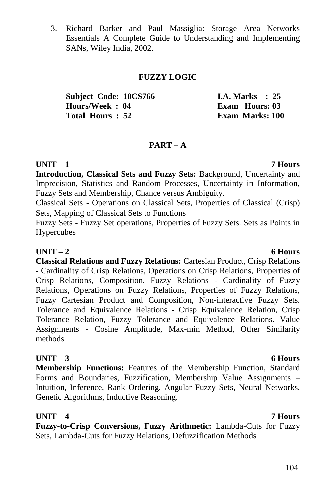3. Richard Barker and Paul Massiglia: Storage Area Networks Essentials A Complete Guide to Understanding and Implementing SANs, Wiley India, 2002.

### **FUZZY LOGIC**

| <b>Subject Code: 10CS766</b> | <b>I.A.</b> Marks $\therefore$ 25 |
|------------------------------|-----------------------------------|
| Hours/Week: 04               | Exam Hours: 03                    |
| Total Hours: 52              | Exam Marks: 100                   |

### **PART – A**

### **UNIT – 1 7 Hours**

**Introduction, Classical Sets and Fuzzy Sets:** Background, Uncertainty and Imprecision, Statistics and Random Processes, Uncertainty in Information, Fuzzy Sets and Membership, Chance versus Ambiguity.

Classical Sets - Operations on Classical Sets, Properties of Classical (Crisp) Sets, Mapping of Classical Sets to Functions

Fuzzy Sets - Fuzzy Set operations, Properties of Fuzzy Sets. Sets as Points in Hypercubes

### **UNIT – 2 6 Hours**

**Classical Relations and Fuzzy Relations:** Cartesian Product, Crisp Relations - Cardinality of Crisp Relations, Operations on Crisp Relations, Properties of Crisp Relations, Composition. Fuzzy Relations - Cardinality of Fuzzy Relations, Operations on Fuzzy Relations, Properties of Fuzzy Relations, Fuzzy Cartesian Product and Composition, Non-interactive Fuzzy Sets. Tolerance and Equivalence Relations - Crisp Equivalence Relation, Crisp Tolerance Relation, Fuzzy Tolerance and Equivalence Relations. Value Assignments - Cosine Amplitude, Max-min Method, Other Similarity methods

## **UNIT – 3 6 Hours**

**Membership Functions:** Features of the Membership Function, Standard Forms and Boundaries, Fuzzification, Membership Value Assignments – Intuition, Inference, Rank Ordering, Angular Fuzzy Sets, Neural Networks, Genetic Algorithms, Inductive Reasoning.

**UNIT – 4 7 Hours Fuzzy-to-Crisp Conversions, Fuzzy Arithmetic:** Lambda-Cuts for Fuzzy Sets, Lambda-Cuts for Fuzzy Relations, Defuzzification Methods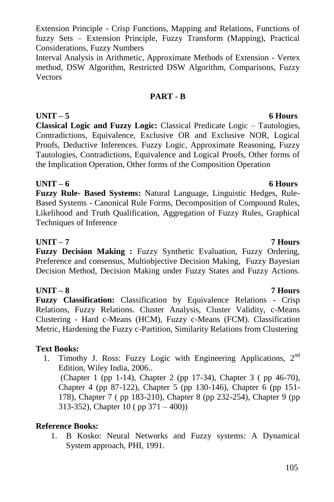Extension Principle - Crisp Functions, Mapping and Relations, Functions of fuzzy Sets – Extension Principle, Fuzzy Transform (Mapping), Practical Considerations, Fuzzy Numbers

Interval Analysis in Arithmetic, Approximate Methods of Extension - Vertex method, DSW Algorithm, Restricted DSW Algorithm, Comparisons, Fuzzy Vectors

### **PART - B**

**Classical Logic and Fuzzy Logic:** Classical Predicate Logic – Tautologies, Contradictions, Equivalence, Exclusive OR and Exclusive NOR, Logical Proofs, Deductive Inferences. Fuzzy Logic, Approximate Reasoning, Fuzzy Tautologies, Contradictions, Equivalence and Logical Proofs, Other forms of the Implication Operation, Other forms of the Composition Operation

### **UNIT – 6 6 Hours**

**Fuzzy Rule- Based Systems:** Natural Language, Linguistic Hedges, Rule-Based Systems - Canonical Rule Forms, Decomposition of Compound Rules, Likelihood and Truth Qualification, Aggregation of Fuzzy Rules, Graphical Techniques of Inference

### **UNIT – 7 7 Hours**

**Fuzzy Decision Making :** Fuzzy Synthetic Evaluation, Fuzzy Ordering, Preference and consensus, Multiobjective Decision Making, Fuzzy Bayesian Decision Method, Decision Making under Fuzzy States and Fuzzy Actions.

# **UNIT – 8 7 Hours**

**Fuzzy Classification:** Classification by Equivalence Relations - Crisp Relations, Fuzzy Relations. Cluster Analysis, Cluster Validity, c-Means Clustering - Hard c-Means (HCM), Fuzzy c-Means (FCM). Classification Metric, Hardening the Fuzzy c-Partition, Similarity Relations from Clustering

## **Text Books:**

1. Timothy J. Ross: Fuzzy Logic with Engineering Applications,  $2<sup>nd</sup>$ Edition, Wiley India, 2006.. (Chapter 1 (pp 1-14), Chapter 2 (pp 17-34), Chapter 3 ( pp 46-70),

Chapter 4 (pp 87-122), Chapter 5 (pp 130-146), Chapter 6 (pp 151- 178), Chapter 7 ( pp 183-210), Chapter 8 (pp 232-254), Chapter 9 (pp 313-352), Chapter 10 ( pp 371 – 400))

## **Reference Books:**

1. B Kosko: Neural Networks and Fuzzy systems: A Dynamical System approach, PHI, 1991.

## **UNIT – 5 6 Hours**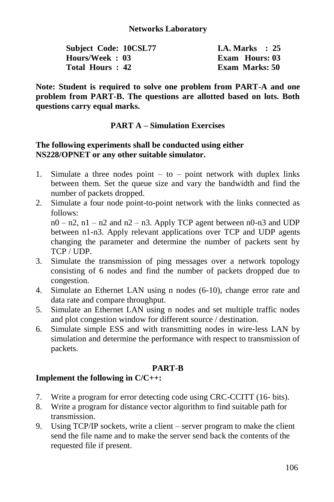| Subject Code: 10CSL77 | I.A. Marks $\therefore$ 25 |
|-----------------------|----------------------------|
| Hours/Week: 03        | <b>Exam Hours: 03</b>      |
| Total Hours: 42       | Exam Marks: 50             |

**Note: Student is required to solve one problem from PART-A and one problem from PART-B. The questions are allotted based on lots. Both questions carry equal marks.**

### **PART A – Simulation Exercises**

### **The following experiments shall be conducted using either NS228/OPNET or any other suitable simulator.**

- 1. Simulate a three nodes point  $-$  to  $-$  point network with duplex links between them. Set the queue size and vary the bandwidth and find the number of packets dropped.
- 2. Simulate a four node point-to-point network with the links connected as follows:  $n0 - n2$ ,  $n1 - n2$  and  $n2 - n3$ . Apply TCP agent between  $n0 - n3$  and UDP

between n1-n3. Apply relevant applications over TCP and UDP agents changing the parameter and determine the number of packets sent by TCP / UDP.

- 3. Simulate the transmission of ping messages over a network topology consisting of 6 nodes and find the number of packets dropped due to congestion.
- 4. Simulate an Ethernet LAN using n nodes (6-10), change error rate and data rate and compare throughput.
- 5. Simulate an Ethernet LAN using n nodes and set multiple traffic nodes and plot congestion window for different source / destination.
- 6. Simulate simple ESS and with transmitting nodes in wire-less LAN by simulation and determine the performance with respect to transmission of packets.

## **PART-B**

## **Implement the following in C/C++:**

- 7. Write a program for error detecting code using CRC-CCITT (16- bits).
- 8. Write a program for distance vector algorithm to find suitable path for transmission.
- 9. Using TCP/IP sockets, write a client server program to make the client send the file name and to make the server send back the contents of the requested file if present.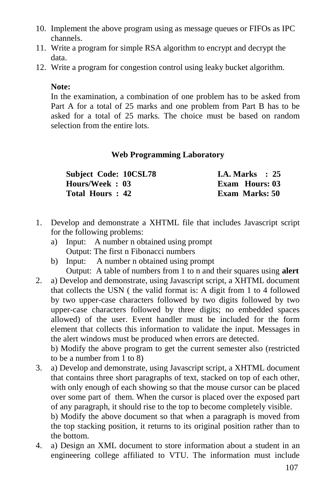- 10. Implement the above program using as message queues or FIFOs as IPC channels.
- 11. Write a program for simple RSA algorithm to encrypt and decrypt the data.
- 12. Write a program for congestion control using leaky bucket algorithm.

### **Note:**

In the examination, a combination of one problem has to be asked from Part A for a total of 25 marks and one problem from Part B has to be asked for a total of 25 marks. The choice must be based on random selection from the entire lots.

### **Web Programming Laboratory**

| <b>Subject Code: 10CSL78</b> | <b>I.A. Marks</b> : 25 |
|------------------------------|------------------------|
| Hours/Week: 03               | Exam Hours: 03         |
| Total Hours: 42              | Exam Marks: 50         |

- 1. Develop and demonstrate a XHTML file that includes Javascript script for the following problems:
	- a) Input: A number n obtained using prompt Output: The first n Fibonacci numbers
	- b) Input: A number n obtained using prompt Output: A table of numbers from 1 to n and their squares using **alert**
- 2. a) Develop and demonstrate, using Javascript script, a XHTML document that collects the USN ( the valid format is: A digit from 1 to 4 followed by two upper-case characters followed by two digits followed by two upper-case characters followed by three digits; no embedded spaces allowed) of the user. Event handler must be included for the form element that collects this information to validate the input. Messages in the alert windows must be produced when errors are detected.

b) Modify the above program to get the current semester also (restricted to be a number from 1 to 8)

3. a) Develop and demonstrate, using Javascript script, a XHTML document that contains three short paragraphs of text, stacked on top of each other, with only enough of each showing so that the mouse cursor can be placed over some part of them. When the cursor is placed over the exposed part of any paragraph, it should rise to the top to become completely visible. b) Modify the above document so that when a paragraph is moved from the top stacking position, it returns to its original position rather than to

the bottom.

4. a) Design an XML document to store information about a student in an engineering college affiliated to VTU. The information must include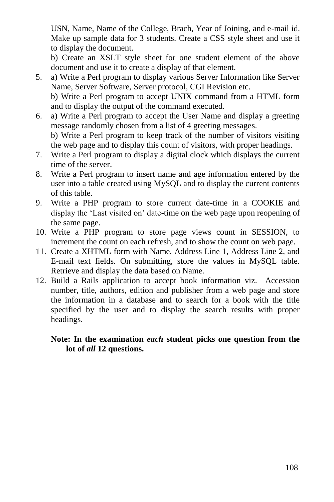USN, Name, Name of the College, Brach, Year of Joining, and e-mail id. Make up sample data for 3 students. Create a CSS style sheet and use it to display the document.

b) Create an XSLT style sheet for one student element of the above document and use it to create a display of that element.

- 5. a) Write a Perl program to display various Server Information like Server Name, Server Software, Server protocol, CGI Revision etc. b) Write a Perl program to accept UNIX command from a HTML form and to display the output of the command executed.
- 6. a) Write a Perl program to accept the User Name and display a greeting message randomly chosen from a list of 4 greeting messages. b) Write a Perl program to keep track of the number of visitors visiting the web page and to display this count of visitors, with proper headings.
- 7. Write a Perl program to display a digital clock which displays the current time of the server.
- 8. Write a Perl program to insert name and age information entered by the user into a table created using MySQL and to display the current contents of this table.
- 9. Write a PHP program to store current date-time in a COOKIE and display the "Last visited on" date-time on the web page upon reopening of the same page.
- 10. Write a PHP program to store page views count in SESSION, to increment the count on each refresh, and to show the count on web page.
- 11. Create a XHTML form with Name, Address Line 1, Address Line 2, and E-mail text fields. On submitting, store the values in MySQL table. Retrieve and display the data based on Name.
- 12. Build a Rails application to accept book information viz. Accession number, title, authors, edition and publisher from a web page and store the information in a database and to search for a book with the title specified by the user and to display the search results with proper headings.

### **Note: In the examination** *each* **student picks one question from the lot of** *all* **12 questions.**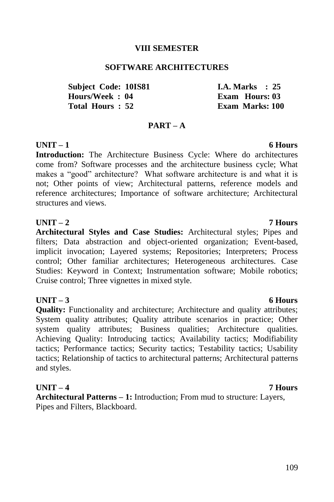#### **VIII SEMESTER**

#### **SOFTWARE ARCHITECTURES**

**Subject Code: 10IS81 1.4. Marks : 25<br>
Hours/Week : 04** Exam Hours: 03 **Total Hours : 52 Exam Marks: 100**

#### **PART – A**

#### **UNIT – 1 6 Hours**

**Introduction:** The Architecture Business Cycle: Where do architectures come from? Software processes and the architecture business cycle; What makes a "good" architecture? What software architecture is and what it is not; Other points of view; Architectural patterns, reference models and reference architectures; Importance of software architecture; Architectural structures and views.

#### **UNIT – 2 7 Hours**

**Architectural Styles and Case Studies:** Architectural styles; Pipes and filters; Data abstraction and object-oriented organization; Event-based, implicit invocation; Layered systems; Repositories; Interpreters; Process control; Other familiar architectures; Heterogeneous architectures. Case Studies: Keyword in Context; Instrumentation software; Mobile robotics; Cruise control; Three vignettes in mixed style.

#### **UNIT – 3 6 Hours**

**Quality:** Functionality and architecture; Architecture and quality attributes; System quality attributes; Quality attribute scenarios in practice; Other system quality attributes; Business qualities; Architecture qualities. Achieving Quality: Introducing tactics; Availability tactics; Modifiability tactics; Performance tactics; Security tactics; Testability tactics; Usability tactics; Relationship of tactics to architectural patterns; Architectural patterns and styles.

#### **UNIT – 4 7 Hours**

**Architectural Patterns – 1:** Introduction; From mud to structure: Layers, Pipes and Filters, Blackboard.

**Exam Hours: 03**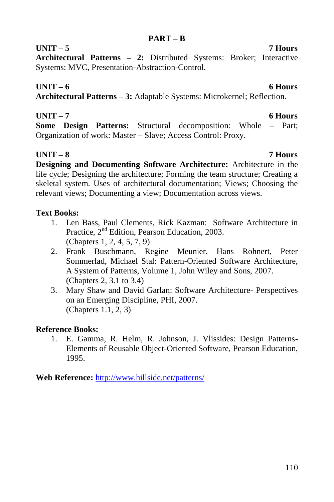#### **PART – B**

### **UNIT – 5 7 Hours**

**Architectural Patterns – 2:** Distributed Systems: Broker; Interactive Systems: MVC, Presentation-Abstraction-Control.

### **UNIT – 6 6 Hours**

**Architectural Patterns – 3:** Adaptable Systems: Microkernel; Reflection.

### **UNIT – 7 6 Hours**

**Some Design Patterns:** Structural decomposition: Whole – Part; Organization of work: Master – Slave; Access Control: Proxy.

### **UNIT – 8 7 Hours**

**Designing and Documenting Software Architecture:** Architecture in the life cycle; Designing the architecture; Forming the team structure; Creating a skeletal system. Uses of architectural documentation; Views; Choosing the relevant views; Documenting a view; Documentation across views.

### **Text Books:**

- 1. Len Bass, Paul Clements, Rick Kazman: Software Architecture in Practice, 2nd Edition, Pearson Education, 2003. (Chapters 1, 2, 4, 5, 7, 9)
- 2. Frank Buschmann, Regine Meunier, Hans Rohnert, Peter Sommerlad, Michael Stal: Pattern-Oriented Software Architecture, A System of Patterns, Volume 1, John Wiley and Sons, 2007. (Chapters 2, 3.1 to 3.4)
- 3. Mary Shaw and David Garlan: Software Architecture- Perspectives on an Emerging Discipline, PHI, 2007. (Chapters 1.1, 2, 3)

### **Reference Books:**

1. E. Gamma, R. Helm, R. Johnson, J. Vlissides: Design Patterns-Elements of Reusable Object-Oriented Software, Pearson Education, 1995.

**Web Reference:** <http://www.hillside.net/patterns/>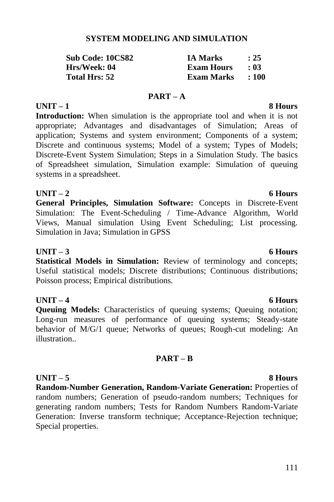# 111

### **SYSTEM MODELING AND SIMULATION**

| Sub Code: 10CS82 | <b>IA Marks</b>   | : 25      |
|------------------|-------------------|-----------|
| Hrs/Week: 04     | <b>Exam Hours</b> | $\pm 0.3$ |
| Total Hrs: 52    | Exam Marks        | : 100     |

#### **PART – A UNIT – 1 8 Hours**

**Introduction:** When simulation is the appropriate tool and when it is not appropriate; Advantages and disadvantages of Simulation; Areas of application; Systems and system environment; Components of a system; Discrete and continuous systems; Model of a system; Types of Models; Discrete-Event System Simulation; Steps in a Simulation Study. The basics of Spreadsheet simulation, Simulation example: Simulation of queuing systems in a spreadsheet.

### **UNIT – 2 6 Hours**

**General Principles, Simulation Software:** Concepts in Discrete-Event Simulation: The Event-Scheduling / Time-Advance Algorithm, World Views, Manual simulation Using Event Scheduling; List processing. Simulation in Java; Simulation in GPSS

#### **UNIT – 3 6 Hours**

**Statistical Models in Simulation:** Review of terminology and concepts; Useful statistical models; Discrete distributions; Continuous distributions; Poisson process; Empirical distributions.

### **UNIT – 4 6 Hours**

**Queuing Models:** Characteristics of queuing systems; Queuing notation; Long-run measures of performance of queuing systems; Steady-state behavior of M/G/1 queue; Networks of queues; Rough-cut modeling: An illustration..

### **PART – B**

### **UNIT – 5 8 Hours**

**Random-Number Generation, Random-Variate Generation:** Properties of random numbers; Generation of pseudo-random numbers; Techniques for generating random numbers; Tests for Random Numbers Random-Variate Generation: Inverse transform technique; Acceptance-Rejection technique; Special properties.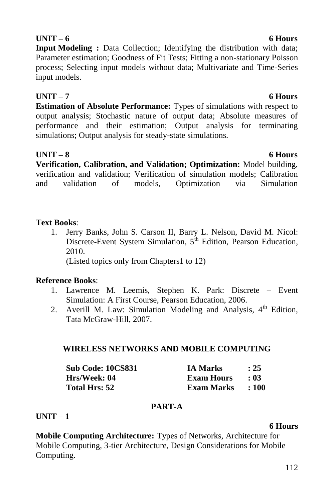### 112

### **Mobile Computing Architecture:** Types of Networks, Architecture for Mobile Computing, 3-tier Architecture, Design Considerations for Mobile Computing.

## **UNIT – 6 6 Hours**

**Input Modeling :** Data Collection; Identifying the distribution with data; Parameter estimation; Goodness of Fit Tests; Fitting a non-stationary Poisson process; Selecting input models without data; Multivariate and Time-Series input models.

### **UNIT – 7 6 Hours**

**Estimation of Absolute Performance:** Types of simulations with respect to output analysis; Stochastic nature of output data; Absolute measures of performance and their estimation; Output analysis for terminating simulations; Output analysis for steady-state simulations.

**UNIT – 8 6 Hours Verification, Calibration, and Validation; Optimization:** Model building, verification and validation; Verification of simulation models; Calibration and validation of models, Optimization via Simulation

### **Text Books**:

1. Jerry Banks, John S. Carson II, Barry L. Nelson, David M. Nicol: Discrete-Event System Simulation, 5<sup>th</sup> Edition, Pearson Education, 2010.

(Listed topics only from Chapters1 to 12)

### **Reference Books**:

- 1. Lawrence M. Leemis, Stephen K. Park: Discrete Event Simulation: A First Course, Pearson Education, 2006.
- 2. Averill M. Law: Simulation Modeling and Analysis,  $4<sup>th</sup>$  Edition. Tata McGraw-Hill, 2007.

### **WIRELESS NETWORKS AND MOBILE COMPUTING**

| <b>Sub Code: 10CS831</b> | <b>IA Marks</b>   | : 25      |
|--------------------------|-------------------|-----------|
| Hrs/Week: 04             | <b>Exam Hours</b> | $\pm 0.3$ |
| Total Hrs: 52            | Exam Marks        | :100      |

### **PART-A**

### **UNIT – 1**

## **6 Hours**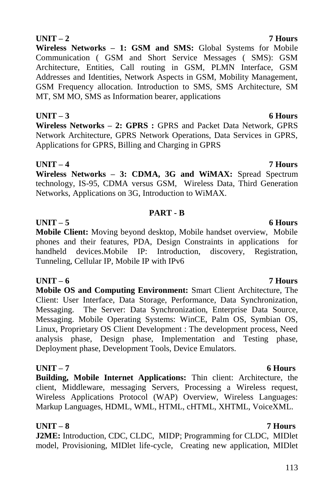### **UNIT – 2 7 Hours**

**Wireless Networks – 1: GSM and SMS:** Global Systems for Mobile Communication ( GSM and Short Service Messages ( SMS): GSM Architecture, Entities, Call routing in GSM, PLMN Interface, GSM Addresses and Identities, Network Aspects in GSM, Mobility Management, GSM Frequency allocation. Introduction to SMS, SMS Architecture, SM MT, SM MO, SMS as Information bearer, applications

**UNIT – 3 6 Hours Wireless Networks – 2: GPRS :** GPRS and Packet Data Network, GPRS Network Architecture, GPRS Network Operations, Data Services in GPRS, Applications for GPRS, Billing and Charging in GPRS

**UNIT – 4 7 Hours**

**Wireless Networks – 3: CDMA, 3G and WiMAX:** Spread Spectrum technology, IS-95, CDMA versus GSM, Wireless Data, Third Generation Networks, Applications on 3G, Introduction to WiMAX.

### **PART - B**

### **UNIT – 5 6 Hours**

**Mobile Client:** Moving beyond desktop, Mobile handset overview, Mobile phones and their features, PDA, Design Constraints in applications for handheld devices.Mobile IP: Introduction, discovery, Registration, Tunneling, Cellular IP, Mobile IP with IPv6

### **UNIT – 6 7 Hours**

**Mobile OS and Computing Environment:** Smart Client Architecture, The Client: User Interface, Data Storage, Performance, Data Synchronization, Messaging. The Server: Data Synchronization, Enterprise Data Source, Messaging. Mobile Operating Systems: WinCE, Palm OS, Symbian OS, Linux, Proprietary OS Client Development : The development process, Need analysis phase, Design phase, Implementation and Testing phase, Deployment phase, Development Tools, Device Emulators.

### **UNIT – 7 6 Hours**

**Building, Mobile Internet Applications:** Thin client: Architecture, the client, Middleware, messaging Servers, Processing a Wireless request, Wireless Applications Protocol (WAP) Overview, Wireless Languages: Markup Languages, HDML, WML, HTML, cHTML, XHTML, VoiceXML.

### **UNIT – 8 7 Hours**

**J2ME:** Introduction, CDC, CLDC, MIDP; Programming for CLDC, MIDlet model, Provisioning, MIDlet life-cycle, Creating new application, MIDlet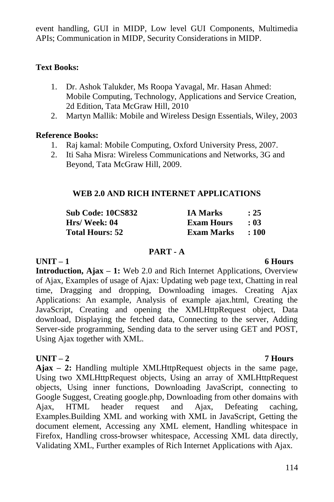event handling, GUI in MIDP, Low level GUI Components, Multimedia APIs; Communication in MIDP, Security Considerations in MIDP.

### **Text Books:**

- 1. Dr. Ashok Talukder, Ms Roopa Yavagal, Mr. Hasan Ahmed: Mobile Computing, Technology, Applications and Service Creation, 2d Edition, Tata McGraw Hill, 2010
- 2. Martyn Mallik: Mobile and Wireless Design Essentials, Wiley, 2003

#### **Reference Books:**

- 1. Raj kamal: Mobile Computing, Oxford University Press, 2007.
- 2. Iti Saha Misra: Wireless Communications and Networks, 3G and Beyond, Tata McGraw Hill, 2009.

#### **WEB 2.0 AND RICH INTERNET APPLICATIONS**

| <b>Sub Code: 10CS832</b> | <b>IA Marks</b>   | : 25  |
|--------------------------|-------------------|-------|
| Hrs/ Week: 04            | <b>Exam Hours</b> | - 03  |
| <b>Total Hours: 52</b>   | Exam Marks        | : 100 |

#### **PART - A**

## **UNIT – 1 6 Hours**

**Introduction, Ajax – 1:** Web 2.0 and Rich Internet Applications, Overview of Ajax, Examples of usage of Ajax: Updating web page text, Chatting in real time, Dragging and dropping, Downloading images. Creating Ajax Applications: An example, Analysis of example ajax.html, Creating the JavaScript, Creating and opening the XMLHttpRequest object, Data download, Displaying the fetched data, Connecting to the server, Adding Server-side programming, Sending data to the server using GET and POST, Using Ajax together with XML.

### **UNIT – 2 7 Hours**

**Ajax – 2:** Handling multiple XMLHttpRequest objects in the same page, Using two XMLHttpRequest objects, Using an array of XMLHttpRequest objects, Using inner functions, Downloading JavaScript, connecting to Google Suggest, Creating google.php, Downloading from other domains with Ajax, HTML header request and Ajax, Defeating caching, Examples.Building XML and working with XML in JavaScript, Getting the document element, Accessing any XML element, Handling whitespace in Firefox, Handling cross-browser whitespace, Accessing XML data directly, Validating XML, Further examples of Rich Internet Applications with Ajax.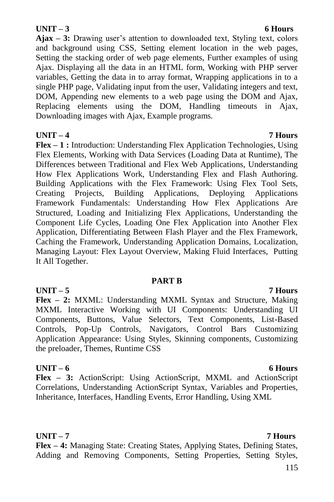#### **UNIT – 3 6 Hours**

**Ajax – 3:** Drawing user"s attention to downloaded text, Styling text, colors and background using CSS, Setting element location in the web pages, Setting the stacking order of web page elements, Further examples of using Ajax. Displaying all the data in an HTML form, Working with PHP server variables, Getting the data in to array format, Wrapping applications in to a single PHP page, Validating input from the user, Validating integers and text, DOM, Appending new elements to a web page using the DOM and Ajax, Replacing elements using the DOM, Handling timeouts in Ajax, Downloading images with Ajax, Example programs.

#### **UNIT – 4 7 Hours**

**Flex – 1 :** Introduction: Understanding Flex Application Technologies, Using Flex Elements, Working with Data Services (Loading Data at Runtime), The Differences between Traditional and Flex Web Applications, Understanding How Flex Applications Work, Understanding Flex and Flash Authoring. Building Applications with the Flex Framework: Using Flex Tool Sets, Creating Projects, Building Applications, Deploying Applications Framework Fundamentals: Understanding How Flex Applications Are Structured, Loading and Initializing Flex Applications, Understanding the Component Life Cycles, Loading One Flex Application into Another Flex Application, Differentiating Between Flash Player and the Flex Framework, Caching the Framework, Understanding Application Domains, Localization, Managing Layout: Flex Layout Overview, Making Fluid Interfaces, Putting It All Together.

#### **PART B**

#### **UNIT – 5 7 Hours Flex – 2:** MXML: Understanding MXML Syntax and Structure, Making MXML Interactive Working with UI Components: Understanding UI Components, Buttons, Value Selectors, Text Components, List-Based Controls, Pop-Up Controls, Navigators, Control Bars Customizing Application Appearance: Using Styles, Skinning components, Customizing the preloader, Themes, Runtime CSS

#### **UNIT – 6 6 Hours**

**Flex – 3:** ActionScript: Using ActionScript, MXML and ActionScript Correlations, Understanding ActionScript Syntax, Variables and Properties, Inheritance, Interfaces, Handling Events, Error Handling, Using XML

## **UNIT – 7 7 Hours**

**Flex – 4:** Managing State: Creating States, Applying States, Defining States, Adding and Removing Components, Setting Properties, Setting Styles,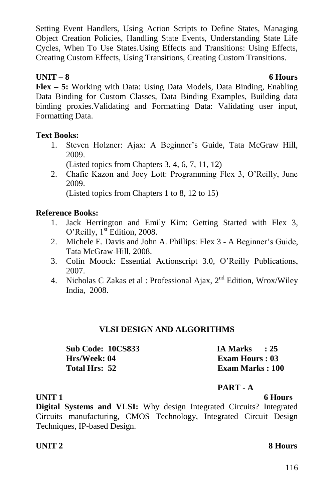Setting Event Handlers, Using Action Scripts to Define States, Managing Object Creation Policies, Handling State Events, Understanding State Life Cycles, When To Use States.Using Effects and Transitions: Using Effects, Creating Custom Effects, Using Transitions, Creating Custom Transitions.

### **UNIT – 8 6 Hours**

**Flex – 5:** Working with Data: Using Data Models, Data Binding, Enabling Data Binding for Custom Classes, Data Binding Examples, Building data binding proxies.Validating and Formatting Data: Validating user input, Formatting Data.

### **Text Books:**

1. Steven Holzner: Ajax: A Beginner's Guide, Tata McGraw Hill, 2009.

(Listed topics from Chapters 3, 4, 6, 7, 11, 12)

2. Chafic Kazon and Joey Lott: Programming Flex 3, O"Reilly, June 2009.

(Listed topics from Chapters 1 to 8, 12 to 15)

### **Reference Books:**

- 1. Jack Herrington and Emily Kim: Getting Started with Flex 3, O'Reilly, 1<sup>st</sup> Edition, 2008.
- 2. Michele E. Davis and John A. Phillips: Flex 3 A Beginner"s Guide, Tata McGraw-Hill, 2008.
- 3. Colin Moock: Essential Actionscript 3.0, O"Reilly Publications, 2007.
- 4. Nicholas C Zakas et al : Professional Ajax,  $2<sup>nd</sup>$  Edition, Wrox/Wiley India, 2008.

### **VLSI DESIGN AND ALGORITHMS**

| <b>Sub Code: 10CS833</b> | <b>IA Marks</b>         | $\cdot$ 25 |
|--------------------------|-------------------------|------------|
| Hrs/Week: 04             | Exam Hours : 03         |            |
| Total Hrs: 52            | <b>Exam Marks</b> : 100 |            |

### **PART - A**

**UNIT 1** 6 Hours

**Digital Systems and VLSI:** Why design Integrated Circuits? Integrated Circuits manufacturing, CMOS Technology, Integrated Circuit Design Techniques, IP-based Design.

### **UNIT 2** 8 Hours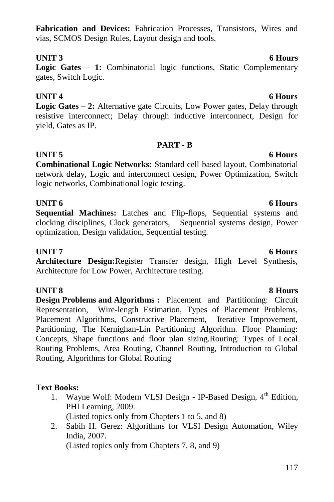### **Fabrication and Devices:** Fabrication Processes, Transistors, Wires and vias, SCMOS Design Rules, Layout design and tools.

### **UNIT 3** 6 Hours

**Logic Gates – 1:** Combinatorial logic functions, Static Complementary gates, Switch Logic.

### **UNIT 4** 6 Hours

**Logic Gates – 2:** Alternative gate Circuits, Low Power gates, Delay through resistive interconnect; Delay through inductive interconnect, Design for yield, Gates as IP.

### **PART - B**

**UNIT 5** 6 Hours **Combinational Logic Networks:** Standard cell-based layout, Combinatorial network delay, Logic and interconnect design, Power Optimization, Switch logic networks, Combinational logic testing.

### **UNIT 6 6 Hours**

**Sequential Machines:** Latches and Flip-flops, Sequential systems and clocking disciplines, Clock generators, Sequential systems design, Power optimization, Design validation, Sequential testing.

### **UNIT 7** 6 Hours

**Architecture Design:**Register Transfer design, High Level Synthesis, Architecture for Low Power, Architecture testing.

### **UNIT 8** 8 Hours

**Design Problems and Algorithms :** Placement and Partitioning: Circuit Representation, Wire-length Estimation, Types of Placement Problems, Placement Algorithms, Constructive Placement, Iterative Improvement, Partitioning, The Kernighan-Lin Partitioning Algorithm. Floor Planning: Concepts, Shape functions and floor plan sizing.Routing: Types of Local Routing Problems, Area Routing, Channel Routing, Introduction to Global Routing, Algorithms for Global Routing

### **Text Books:**

- 1. Wayne Wolf: Modern VLSI Design IP-Based Design. 4<sup>th</sup> Edition. PHI Learning, 2009. (Listed topics only from Chapters 1 to 5, and 8)
- 2. Sabih H. Gerez: Algorithms for VLSI Design Automation, Wiley India, 2007. (Listed topics only from Chapters 7, 8, and 9)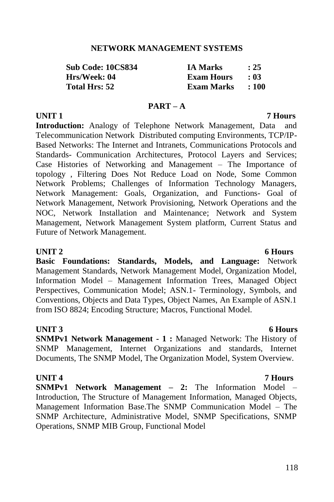#### **NETWORK MANAGEMENT SYSTEMS**

| <b>Sub Code: 10CS834</b> | <b>IA Marks</b>   | : 25      |
|--------------------------|-------------------|-----------|
| Hrs/Week: 04             | <b>Exam Hours</b> | $\pm 0.3$ |
| <b>Total Hrs: 52</b>     | Exam Marks        | $\pm 100$ |

#### **PART – A**

## **UNIT 1** 7 Hours

**Introduction:** Analogy of Telephone Network Management, Data and Telecommunication Network Distributed computing Environments, TCP/IP-Based Networks: The Internet and Intranets, Communications Protocols and Standards- Communication Architectures, Protocol Layers and Services; Case Histories of Networking and Management – The Importance of topology , Filtering Does Not Reduce Load on Node, Some Common Network Problems; Challenges of Information Technology Managers, Network Management: Goals, Organization, and Functions- Goal of Network Management, Network Provisioning, Network Operations and the NOC, Network Installation and Maintenance; Network and System Management, Network Management System platform, Current Status and Future of Network Management.

**Basic Foundations: Standards, Models, and Language:** Network Management Standards, Network Management Model, Organization Model, Information Model – Management Information Trees, Managed Object Perspectives, Communication Model; ASN.1- Terminology, Symbols, and Conventions, Objects and Data Types, Object Names, An Example of ASN.1 from ISO 8824; Encoding Structure; Macros, Functional Model.

### **UNIT 3** 6 Hours

**SNMPv1 Network Management - 1 :** Managed Network: The History of SNMP Management, Internet Organizations and standards, Internet Documents, The SNMP Model, The Organization Model, System Overview.

#### **UNIT 4 7 Hours**

**SNMPv1 Network Management – 2:** The Information Model – Introduction, The Structure of Management Information, Managed Objects, Management Information Base.The SNMP Communication Model – The SNMP Architecture, Administrative Model, SNMP Specifications, SNMP Operations, SNMP MIB Group, Functional Model

#### 118

### **UNIT 2** 6 Hours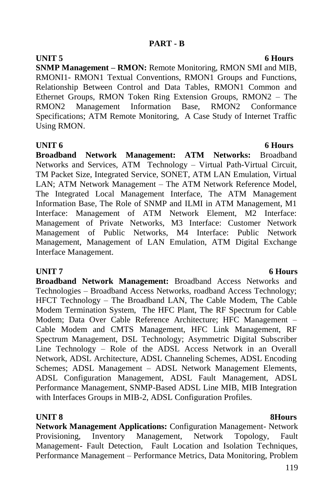**UNIT 5** 6 Hours **SNMP Management – RMON:** Remote Monitoring, RMON SMI and MIB, RMONI1- RMON1 Textual Conventions, RMON1 Groups and Functions, Relationship Between Control and Data Tables, RMON1 Common and Ethernet Groups, RMON Token Ring Extension Groups, RMON2 – The RMON2 Management Information Base, RMON2 Conformance Specifications; ATM Remote Monitoring, A Case Study of Internet Traffic Using RMON.

**UNIT 6 6 Hours Broadband Network Management: ATM Networks:** Broadband Networks and Services, ATM Technology – Virtual Path-Virtual Circuit, TM Packet Size, Integrated Service, SONET, ATM LAN Emulation, Virtual LAN; ATM Network Management – The ATM Network Reference Model, The Integrated Local Management Interface, The ATM Management Information Base, The Role of SNMP and ILMI in ATM Management, M1 Interface: Management of ATM Network Element, M2 Interface: Management of Private Networks, M3 Interface: Customer Network Management of Public Networks, M4 Interface: Public Network Management, Management of LAN Emulation, ATM Digital Exchange Interface Management.

### **UNIT 7** 6 Hours

**Broadband Network Management:** Broadband Access Networks and Technologies – Broadband Access Networks, roadband Access Technology; HFCT Technology – The Broadband LAN, The Cable Modem, The Cable Modem Termination System, The HFC Plant, The RF Spectrum for Cable Modem; Data Over Cable Reference Architecture; HFC Management – Cable Modem and CMTS Management, HFC Link Management, RF Spectrum Management, DSL Technology; Asymmetric Digital Subscriber Line Technology – Role of the ADSL Access Network in an Overall Network, ADSL Architecture, ADSL Channeling Schemes, ADSL Encoding Schemes; ADSL Management – ADSL Network Management Elements, ADSL Configuration Management, ADSL Fault Management, ADSL Performance Management, SNMP-Based ADSL Line MIB, MIB Integration with Interfaces Groups in MIB-2, ADSL Configuration Profiles.

**UNIT 8 8Hours Network Management Applications:** Configuration Management- Network Provisioning, Inventory Management, Network Topology, Fault Management- Fault Detection, Fault Location and Isolation Techniques, Performance Management – Performance Metrics, Data Monitoring, Problem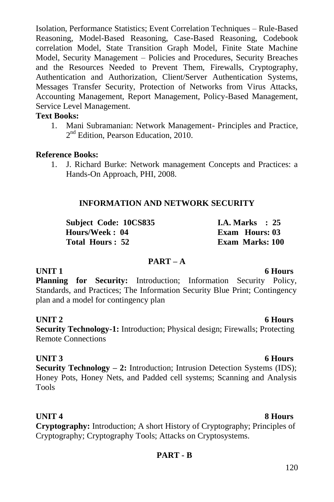Isolation, Performance Statistics; Event Correlation Techniques – Rule-Based Reasoning, Model-Based Reasoning, Case-Based Reasoning, Codebook correlation Model, State Transition Graph Model, Finite State Machine Model, Security Management – Policies and Procedures, Security Breaches and the Resources Needed to Prevent Them, Firewalls, Cryptography, Authentication and Authorization, Client/Server Authentication Systems, Messages Transfer Security, Protection of Networks from Virus Attacks, Accounting Management, Report Management, Policy-Based Management, Service Level Management.

### **Text Books:**

1. Mani Subramanian: Network Management- Principles and Practice, 2<sup>nd</sup> Edition, Pearson Education, 2010.

### **Reference Books:**

1. J. Richard Burke: Network management Concepts and Practices: a Hands-On Approach, PHI, 2008.

### **INFORMATION AND NETWORK SECURITY**

| Subject Code: 10CS835 | I.A. Marks $\therefore$ 25 |
|-----------------------|----------------------------|
| Hours/Week: 04        | Exam Hours: 03             |
| Total Hours: 52       | <b>Exam Marks: 100</b>     |

#### **PART – A**

### **UNIT 1** 6 Hours

**Planning for Security:** Introduction; Information Security Policy, Standards, and Practices; The Information Security Blue Print; Contingency plan and a model for contingency plan

**UNIT 2** 6 Hours **Security Technology-1:** Introduction; Physical design; Firewalls; Protecting Remote Connections

### **UNIT 3** 6 Hours

**Security Technology – 2:** Introduction; Intrusion Detection Systems (IDS); Honey Pots, Honey Nets, and Padded cell systems; Scanning and Analysis Tools

**UNIT 4** 8 Hours **Cryptography:** Introduction; A short History of Cryptography; Principles of Cryptography; Cryptography Tools; Attacks on Cryptosystems.

### **PART - B**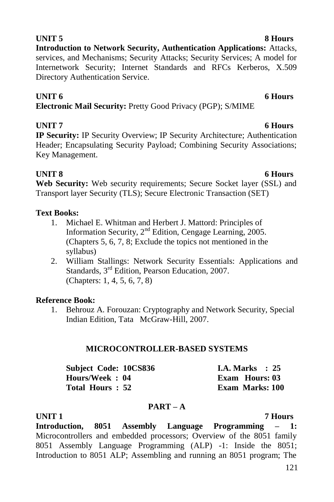### **UNIT 5** 8 Hours

**Introduction to Network Security, Authentication Applications:** Attacks, services, and Mechanisms; Security Attacks; Security Services; A model for Internetwork Security; Internet Standards and RFCs Kerberos, X.509 Directory Authentication Service.

#### **UNIT 6 6 Hours**

**Electronic Mail Security:** Pretty Good Privacy (PGP); S/MIME

### **UNIT 7** 6 Hours

**IP Security:** IP Security Overview; IP Security Architecture; Authentication Header; Encapsulating Security Payload; Combining Security Associations; Key Management.

**UNIT 8** 6 Hours **Web Security:** Web security requirements; Secure Socket layer (SSL) and Transport layer Security (TLS); Secure Electronic Transaction (SET)

### **Text Books:**

- 1. Michael E. Whitman and Herbert J. Mattord: Principles of Information Security,  $2<sup>nd</sup>$  Edition, Cengage Learning, 2005. (Chapters 5, 6, 7, 8; Exclude the topics not mentioned in the syllabus)
- 2. William Stallings: Network Security Essentials: Applications and Standards, 3<sup>rd</sup> Edition, Pearson Education, 2007. (Chapters: 1, 4, 5, 6, 7, 8)

### **Reference Book:**

1. Behrouz A. Forouzan: Cryptography and Network Security, Special Indian Edition, Tata McGraw-Hill, 2007.

### **MICROCONTROLLER-BASED SYSTEMS**

| Subject Code: 10CS836 | <b>I.A. Marks</b> : $25$ |
|-----------------------|--------------------------|
| Hours/Week: 04        | Exam Hours: 03           |
| Total Hours: 52       | Exam Marks: 100          |

### **PART – A**

### **UNIT 1 7 Hours**

**Introduction, 8051 Assembly Language Programming – 1:**  Microcontrollers and embedded processors; Overview of the 8051 family 8051 Assembly Language Programming (ALP) -1: Inside the 8051; Introduction to 8051 ALP; Assembling and running an 8051 program; The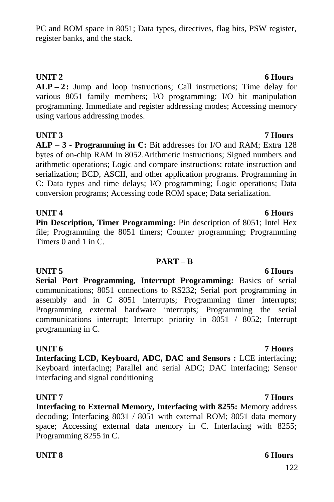**Serial Port Programming, Interrupt Programming:** Basics of serial communications; 8051 connections to RS232; Serial port programming in assembly and in C 8051 interrupts; Programming timer interrupts; Programming external hardware interrupts; Programming the serial communications interrupt; Interrupt priority in 8051 / 8052; Interrupt programming in C.

**Interfacing LCD, Keyboard, ADC, DAC and Sensors :** LCE interfacing; Keyboard interfacing; Parallel and serial ADC; DAC interfacing; Sensor interfacing and signal conditioning

**UNIT 7 7 Hours Interfacing to External Memory, Interfacing with 8255:** Memory address decoding; Interfacing 8031 / 8051 with external ROM; 8051 data memory space; Accessing external data memory in C. Interfacing with 8255;

**UNIT 6 7 Hours**

**UNIT 4** 6 Hours **Pin Description, Timer Programming:** Pin description of 8051; Intel Hex file; Programming the 8051 timers; Counter programming; Programming Timers 0 and 1 in C.

**PART – B**

**ALP – 2:** Jump and loop instructions; Call instructions; Time delay for various 8051 family members; I/O programming; I/O bit manipulation programming. Immediate and register addressing modes; Accessing memory using various addressing modes.

PC and ROM space in 8051; Data types, directives, flag bits, PSW register,

register banks, and the stack.

**UNIT 3 7 Hours ALP – 3 - Programming in C:** Bit addresses for I/O and RAM; Extra 128 bytes of on-chip RAM in 8052.Arithmetic instructions; Signed numbers and arithmetic operations; Logic and compare instructions; rotate instruction and serialization; BCD, ASCII, and other application programs. Programming in C: Data types and time delays; I/O programming; Logic operations; Data conversion programs; Accessing code ROM space; Data serialization.

## **UNIT 2** 6 Hours

## **UNIT 5** 6 Hours

### **UNIT 8** 6 Hours

Programming 8255 in C.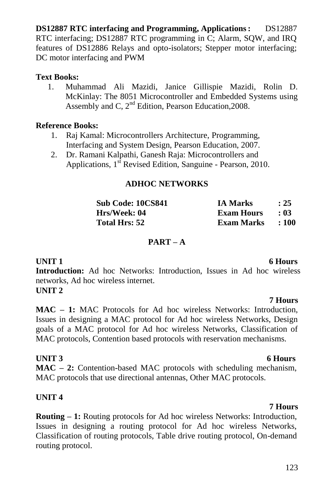**DS12887 RTC interfacing and Programming, Applications: DS12887** RTC interfacing; DS12887 RTC programming in C; Alarm, SQW, and IRQ features of DS12886 Relays and opto-isolators; Stepper motor interfacing; DC motor interfacing and PWM

#### **Text Books:**

1. Muhammad Ali Mazidi, Janice Gillispie Mazidi, Rolin D. McKinlay: The 8051 Microcontroller and Embedded Systems using Assembly and C,  $2<sup>nd</sup>$  Edition, Pearson Education, 2008.

### **Reference Books:**

- 1. Raj Kamal: Microcontrollers Architecture, Programming, Interfacing and System Design, Pearson Education, 2007.
- 2. Dr. Ramani Kalpathi, Ganesh Raja: Microcontrollers and Applications, 1<sup>st</sup> Revised Edition, Sanguine - Pearson, 2010.

### **ADHOC NETWORKS**

| Sub Code: 10CS841 | <b>IA Marks</b>   | : 25  |
|-------------------|-------------------|-------|
| Hrs/Week: 04      | <b>Exam Hours</b> | - 03  |
| Total Hrs: 52     | Exam Marks        | : 100 |

#### **PART – A**

**UNIT 1** 6 Hours

 **7 Hours**

**Introduction:** Ad hoc Networks: Introduction, Issues in Ad hoc wireless networks, Ad hoc wireless internet.

### **UNIT 2**

**MAC – 1:** MAC Protocols for Ad hoc wireless Networks: Introduction, Issues in designing a MAC protocol for Ad hoc wireless Networks, Design goals of a MAC protocol for Ad hoc wireless Networks, Classification of MAC protocols, Contention based protocols with reservation mechanisms.

### **UNIT 3** 6 Hours

**MAC – 2:** Contention-based MAC protocols with scheduling mechanism, MAC protocols that use directional antennas, Other MAC protocols.

### **UNIT 4**

**Routing – 1:** Routing protocols for Ad hoc wireless Networks: Introduction, Issues in designing a routing protocol for Ad hoc wireless Networks, Classification of routing protocols, Table drive routing protocol, On-demand routing protocol.

#### **7 Hours**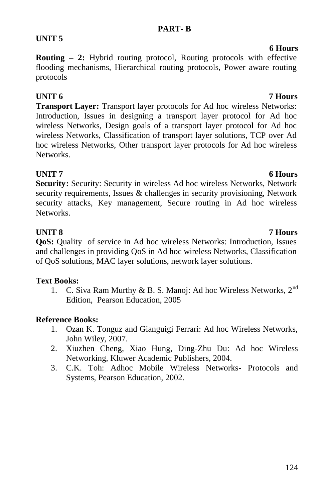### **PART- B**

**Routing – 2:** Hybrid routing protocol, Routing protocols with effective flooding mechanisms, Hierarchical routing protocols, Power aware routing protocols

**UNIT 5**

**Transport Layer:** Transport layer protocols for Ad hoc wireless Networks: Introduction, Issues in designing a transport layer protocol for Ad hoc wireless Networks, Design goals of a transport layer protocol for Ad hoc wireless Networks, Classification of transport layer solutions, TCP over Ad hoc wireless Networks, Other transport layer protocols for Ad hoc wireless Networks.

**UNIT 7** 6 Hours **Security:** Security: Security in wireless Ad hoc wireless Networks, Network security requirements, Issues & challenges in security provisioning, Network security attacks, Key management, Secure routing in Ad hoc wireless Networks.

**UNIT 8 7 Hours QoS:** Quality of service in Ad hoc wireless Networks: Introduction, Issues and challenges in providing QoS in Ad hoc wireless Networks, Classification of QoS solutions, MAC layer solutions, network layer solutions.

### **Text Books:**

1. C. Siva Ram Murthy & B. S. Manoj: Ad hoc Wireless Networks, 2<sup>nd</sup> Edition, Pearson Education, 2005

### **Reference Books:**

- 1. Ozan K. Tonguz and Gianguigi Ferrari: Ad hoc Wireless Networks, John Wiley, 2007.
- 2. Xiuzhen Cheng, Xiao Hung, Ding-Zhu Du: Ad hoc Wireless Networking, Kluwer Academic Publishers, 2004.
- 3. C.K. Toh: Adhoc Mobile Wireless Networks- Protocols and Systems, Pearson Education, 2002.

#### **UNIT 6 7 Hours**

 **6 Hours**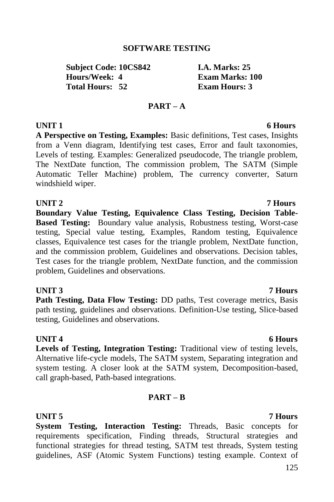#### **SOFTWARE TESTING**

**Subject Code: 10CS842 I.A. Marks: 25<br>
Hours/Week: 4** Exam Marks: 1 **Total Hours: 52 Exam Hours: 3**

**Exam Marks: 100** 

#### **PART – A**

**A Perspective on Testing, Examples:** Basic definitions, Test cases, Insights from a Venn diagram, Identifying test cases, Error and fault taxonomies, Levels of testing. Examples: Generalized pseudocode, The triangle problem, The NextDate function, The commission problem, The SATM (Simple Automatic Teller Machine) problem, The currency converter, Saturn windshield wiper.

#### **UNIT 2 7 Hours**

**Boundary Value Testing, Equivalence Class Testing, Decision Table-Based Testing:** Boundary value analysis, Robustness testing, Worst-case testing, Special value testing, Examples, Random testing, Equivalence classes, Equivalence test cases for the triangle problem, NextDate function, and the commission problem, Guidelines and observations. Decision tables, Test cases for the triangle problem, NextDate function, and the commission problem, Guidelines and observations.

#### **UNIT 3 7 Hours**

**Path Testing, Data Flow Testing:** DD paths, Test coverage metrics, Basis path testing, guidelines and observations. Definition-Use testing, Slice-based testing, Guidelines and observations.

#### **UNIT 4** 6 Hours

**Levels of Testing, Integration Testing:** Traditional view of testing levels, Alternative life-cycle models, The SATM system, Separating integration and system testing. A closer look at the SATM system, Decomposition-based, call graph-based, Path-based integrations.

#### **PART – B**

#### **UNIT 5 7 Hours**

**System Testing, Interaction Testing:** Threads, Basic concepts for requirements specification, Finding threads, Structural strategies and functional strategies for thread testing, SATM test threads, System testing guidelines, ASF (Atomic System Functions) testing example. Context of

### **UNIT 1** 6 Hours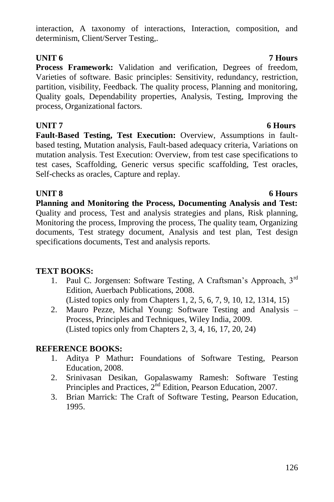### interaction, A taxonomy of interactions, Interaction, composition, and determinism, Client/Server Testing,.

### **UNIT 6 7 Hours**

**Process Framework:** Validation and verification, Degrees of freedom, Varieties of software. Basic principles: Sensitivity, redundancy, restriction, partition, visibility, Feedback. The quality process, Planning and monitoring, Quality goals, Dependability properties, Analysis, Testing, Improving the process, Organizational factors.

**UNIT 7** 6 Hours **Fault-Based Testing, Test Execution:** Overview, Assumptions in faultbased testing, Mutation analysis, Fault-based adequacy criteria, Variations on mutation analysis. Test Execution: Overview, from test case specifications to test cases, Scaffolding, Generic versus specific scaffolding, Test oracles, Self-checks as oracles, Capture and replay.

**Planning and Monitoring the Process, Documenting Analysis and Test:**  Quality and process, Test and analysis strategies and plans, Risk planning, Monitoring the process, Improving the process, The quality team, Organizing documents, Test strategy document, Analysis and test plan, Test design specifications documents, Test and analysis reports.

### **TEXT BOOKS:**

- 1. Paul C. Jorgensen: Software Testing, A Craftsman's Approach, 3rd Edition, Auerbach Publications, 2008. (Listed topics only from Chapters 1, 2, 5, 6, 7, 9, 10, 12, 1314, 15)
- 2. Mauro Pezze, Michal Young: Software Testing and Analysis Process, Principles and Techniques, Wiley India, 2009. (Listed topics only from Chapters 2, 3, 4, 16, 17, 20, 24)

### **REFERENCE BOOKS:**

- 1. Aditya P Mathur**:** Foundations of Software Testing, Pearson Education, 2008.
- 2. Srinivasan Desikan, Gopalaswamy Ramesh: Software Testing Principles and Practices,  $2<sup>nd</sup>$  Edition, Pearson Education, 2007.
- 3. Brian Marrick: The Craft of Software Testing, Pearson Education, 1995.

#### **UNIT 8** 6 Hours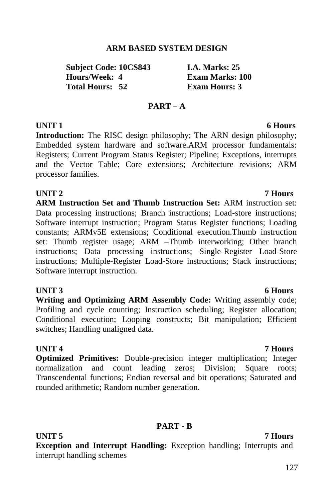#### **ARM BASED SYSTEM DESIGN**

**Subject Code: 10CS843 I.A. Marks: 25 Total Hours: 52 Exam Hours: 3**

**Exam Marks: 100** 

#### **PART – A**

### **UNIT 1** 6 **Hours**

**Introduction:** The RISC design philosophy; The ARN design philosophy; Embedded system hardware and software.ARM processor fundamentals: Registers; Current Program Status Register; Pipeline; Exceptions, interrupts and the Vector Table; Core extensions; Architecture revisions; ARM processor families.

#### **UNIT 2 7 Hours**

**ARM Instruction Set and Thumb Instruction Set:** ARM instruction set: Data processing instructions; Branch instructions; Load-store instructions; Software interrupt instruction; Program Status Register functions; Loading constants; ARMv5E extensions; Conditional execution.Thumb instruction set: Thumb register usage; ARM –Thumb interworking; Other branch instructions; Data processing instructions; Single-Register Load-Store instructions; Multiple-Register Load-Store instructions; Stack instructions; Software interrupt instruction.

**Writing and Optimizing ARM Assembly Code:** Writing assembly code; Profiling and cycle counting; Instruction scheduling; Register allocation; Conditional execution; Looping constructs; Bit manipulation; Efficient switches; Handling unaligned data.

#### **UNIT 4 7 Hours**

**Optimized Primitives:** Double-precision integer multiplication; Integer normalization and count leading zeros; Division; Square roots; Transcendental functions; Endian reversal and bit operations; Saturated and rounded arithmetic; Random number generation.

#### **PART - B**

**UNIT 5 7 Hours**

**Exception and Interrupt Handling:** Exception handling; Interrupts and interrupt handling schemes

#### **UNIT 3** 6 Hours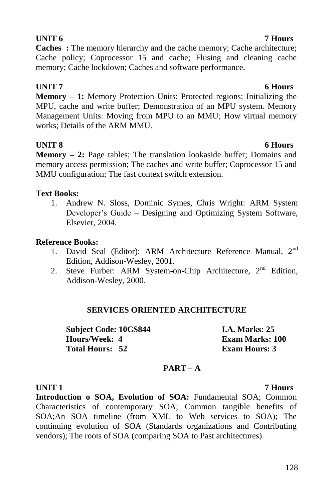**Caches** : The memory hierarchy and the cache memory; Cache architecture; Cache policy; Coprocessor 15 and cache; Flusing and cleaning cache memory; Cache lockdown; Caches and software performance.

### **UNIT 7** 6 Hours

**Memory – 1:** Memory Protection Units: Protected regions; Initializing the MPU, cache and write buffer; Demonstration of an MPU system. Memory Management Units: Moving from MPU to an MMU; How virtual memory works; Details of the ARM MMU.

### **UNIT 8** 6 Hours

**Memory – 2:** Page tables; The translation lookaside buffer; Domains and memory access permission; The caches and write buffer; Coprocessor 15 and MMU configuration; The fast context switch extension.

### **Text Books:**

1. Andrew N. Sloss, Dominic Symes, Chris Wright: ARM System Developer's Guide – Designing and Optimizing System Software, Elsevier, 2004.

### **Reference Books:**

- 1. David Seal (Editor): ARM Architecture Reference Manual, 2<sup>nd</sup> Edition, Addison-Wesley, 2001.
- 2. Steve Furber: ARM System-on-Chip Architecture, 2<sup>nd</sup> Edition, Addison-Wesley, 2000.

### **SERVICES ORIENTED ARCHITECTURE**

**Subject Code: 10CS844 I.A. Marks: 25 Hours/Week: 4 Exam Marks: 100 Total Hours: 52 Exam Hours: 3**

## **PART – A**

**Introduction o SOA, Evolution of SOA:** Fundamental SOA; Common Characteristics of contemporary SOA; Common tangible benefits of SOA;An SOA timeline (from XML to Web services to SOA); The continuing evolution of SOA (Standards organizations and Contributing vendors); The roots of SOA (comparing SOA to Past architectures).

### **UNIT 1 7 Hours**

### **UNIT 6 7 Hours**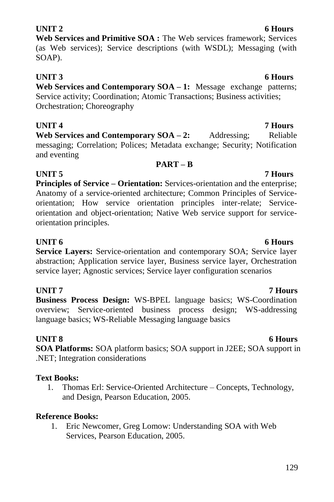### 129

### **UNIT 2** 6 Hours

**Web Services and Primitive SOA :** The Web services framework; Services (as Web services); Service descriptions (with WSDL); Messaging (with SOAP).

### **UNIT 3** 6 Hours

**Web Services and Contemporary SOA – 1:** Message exchange patterns; Service activity; Coordination; Atomic Transactions; Business activities; Orchestration; Choreography

**UNIT 4 7 Hours Web Services and Contemporary SOA – 2:** Addressing: Reliable messaging; Correlation; Polices; Metadata exchange; Security; Notification and eventing

**PART – B**

### **UNIT 5** 7 Hours **Principles of Service – Orientation:** Services-orientation and the enterprise; Anatomy of a service-oriented architecture; Common Principles of Serviceorientation; How service orientation principles inter-relate; Serviceorientation and object-orientation; Native Web service support for serviceorientation principles.

### **UNIT 6 6 Hours**

**Service Layers:** Service-orientation and contemporary SOA; Service layer abstraction; Application service layer, Business service layer, Orchestration service layer; Agnostic services; Service layer configuration scenarios

### **UNIT 7 7 Hours**

**Business Process Design:** WS-BPEL language basics; WS-Coordination overview; Service-oriented business process design; WS-addressing language basics; WS-Reliable Messaging language basics

### **UNIT 8** 6 Hours

**SOA Platforms:** SOA platform basics; SOA support in J2EE; SOA support in .NET; Integration considerations

### **Text Books:**

1. Thomas Erl: Service-Oriented Architecture – Concepts, Technology, and Design, Pearson Education, 2005.

### **Reference Books:**

1. Eric Newcomer, Greg Lomow: Understanding SOA with Web Services, Pearson Education, 2005.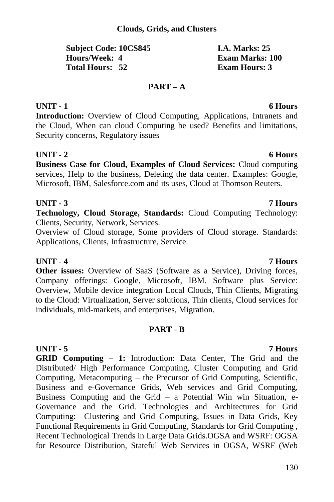#### **Clouds, Grids, and Clusters**

| <b>Subject Code: 10CS845</b> | <b>I.A. Marks: 25</b>  |
|------------------------------|------------------------|
| Hours/Week: 4                | <b>Exam Marks: 100</b> |
| Total Hours: 52              | <b>Exam Hours: 3</b>   |

#### **PART – A**

#### **UNIT - 1 6 Hours**

**Introduction:** Overview of Cloud Computing, Applications, Intranets and the Cloud, When can cloud Computing be used? Benefits and limitations, Security concerns, Regulatory issues

### **UNIT - 2 6 Hours**

**Business Case for Cloud, Examples of Cloud Services:** Cloud computing services, Help to the business, Deleting the data center. Examples: Google, Microsoft, IBM, Salesforce.com and its uses, Cloud at Thomson Reuters.

#### **UNIT - 3 7 Hours**

**Technology, Cloud Storage, Standards:** Cloud Computing Technology: Clients, Security, Network, Services.

Overview of Cloud storage, Some providers of Cloud storage. Standards: Applications, Clients, Infrastructure, Service.

#### **UNIT - 4 7 Hours**

**Other issues:** Overview of SaaS (Software as a Service), Driving forces, Company offerings: Google, Microsoft, IBM. Software plus Service: Overview, Mobile device integration Local Clouds, Thin Clients, Migrating to the Cloud: Virtualization, Server solutions, Thin clients, Cloud services for individuals, mid-markets, and enterprises, Migration.

#### **PART - B**

#### **UNIT - 5 7 Hours**

**GRID Computing – 1:** Introduction: Data Center, The Grid and the Distributed/ High Performance Computing, Cluster Computing and Grid Computing, Metacomputing – the Precursor of Grid Computing, Scientific, Business and e-Governance Grids, Web services and Grid Computing, Business Computing and the Grid  $-$  a Potential Win win Situation, e-Governance and the Grid. Technologies and Architectures for Grid Computing: Clustering and Grid Computing, Issues in Data Grids, Key Functional Requirements in Grid Computing, Standards for Grid Computing , Recent Technological Trends in Large Data Grids.OGSA and WSRF: OGSA for Resource Distribution, Stateful Web Services in OGSA, WSRF (Web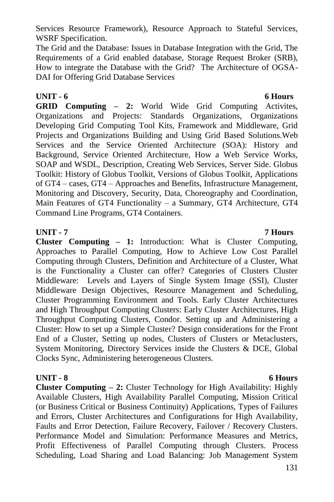Services Resource Framework), Resource Approach to Stateful Services, WSRF Specification.

The Grid and the Database: Issues in Database Integration with the Grid, The Requirements of a Grid enabled database, Storage Request Broker (SRB), How to integrate the Database with the Grid? The Architecture of OGSA-DAI for Offering Grid Database Services

#### **UNIT - 6 6 Hours**

**GRID Computing – 2:** World Wide Grid Computing Activites, Organizations and Projects: Standards Organizations, Organizations Developing Grid Computing Tool Kits, Framework and Middleware, Grid Projects and Organizations Building and Using Grid Based Solutions.Web Services and the Service Oriented Architecture (SOA): History and Background, Service Oriented Architecture, How a Web Service Works, SOAP and WSDL, Description, Creating Web Services, Server Side. Globus Toolkit: History of Globus Toolkit, Versions of Globus Toolkit, Applications of GT4 – cases, GT4 – Approaches and Benefits, Infrastructure Management, Monitoring and Discovery, Security, Data, Choreography and Coordination, Main Features of GT4 Functionality – a Summary, GT4 Architecture, GT4 Command Line Programs, GT4 Containers.

#### **UNIT - 7 7 Hours**

**Cluster Computing – 1:** Introduction: What is Cluster Computing, Approaches to Parallel Computing, How to Achieve Low Cost Parallel Computing through Clusters, Definition and Architecture of a Cluster, What is the Functionality a Cluster can offer? Categories of Clusters Cluster Middleware: Levels and Layers of Single System Image (SSI), Cluster Middleware Design Objectives, Resource Management and Scheduling, Cluster Programming Environment and Tools. Early Cluster Architectures and High Throughput Computing Clusters: Early Cluster Architectures, High Throughput Computing Clusters, Condor. Setting up and Administering a Cluster: How to set up a Simple Cluster? Design considerations for the Front End of a Cluster, Setting up nodes, Clusters of Clusters or Metaclusters, System Monitoring, Directory Services inside the Clusters & DCE, Global Clocks Sync, Administering heterogeneous Clusters.

### **UNIT - 8 6 Hours**

**Cluster Computing – 2:** Cluster Technology for High Availability: Highly Available Clusters, High Availability Parallel Computing, Mission Critical (or Business Critical or Business Continuity) Applications, Types of Failures and Errors, Cluster Architectures and Configurations for High Availability, Faults and Error Detection, Failure Recovery, Failover / Recovery Clusters. Performance Model and Simulation: Performance Measures and Metrics, Profit Effectiveness of Parallel Computing through Clusters. Process Scheduling, Load Sharing and Load Balancing: Job Management System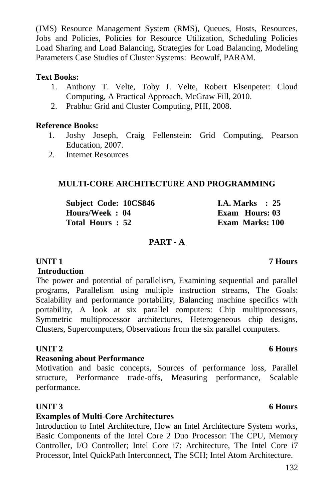(JMS) Resource Management System (RMS), Queues, Hosts, Resources, Jobs and Policies, Policies for Resource Utilization, Scheduling Policies Load Sharing and Load Balancing, Strategies for Load Balancing, Modeling Parameters Case Studies of Cluster Systems: Beowulf, PARAM.

#### **Text Books:**

- 1. Anthony T. Velte, Toby J. Velte, Robert Elsenpeter: Cloud Computing, A Practical Approach, McGraw Fill, 2010.
- 2. Prabhu: Grid and Cluster Computing, PHI, 2008.

#### **Reference Books:**

- 1. Joshy Joseph, Craig Fellenstein: Grid Computing, Pearson Education, 2007.
- 2. Internet Resources

#### **MULTI-CORE ARCHITECTURE AND PROGRAMMING**

| Subject Code: 10CS846 | <b>I.A.</b> Marks $\therefore$ 25 |
|-----------------------|-----------------------------------|
| Hours/Week: 04        | Exam Hours: 03                    |
| Total Hours: 52       | Exam Marks: 100                   |

#### **PART - A**

### **UNIT 1 7 Hours**

#### **Introduction**

The power and potential of parallelism, Examining sequential and parallel programs, Parallelism using multiple instruction streams, The Goals: Scalability and performance portability, Balancing machine specifics with portability, A look at six parallel computers: Chip multiprocessors, Symmetric multiprocessor architectures, Heterogeneous chip designs, Clusters, Supercomputers, Observations from the six parallel computers.

### **UNIT 2** 6 Hours

#### **Reasoning about Performance**

Motivation and basic concepts, Sources of performance loss, Parallel structure, Performance trade-offs, Measuring performance, Scalable performance.

### **UNIT 3** 6 Hours

#### **Examples of Multi-Core Architectures**

Introduction to Intel Architecture, How an Intel Architecture System works, Basic Components of the Intel Core 2 Duo Processor: The CPU, Memory Controller, I/O Controller; Intel Core i7: Architecture, The Intel Core i7 Processor, Intel QuickPath Interconnect, The SCH; Intel Atom Architecture.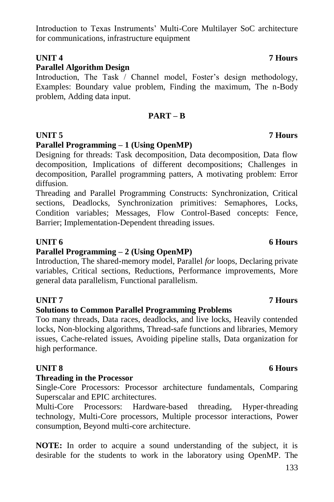### Introduction to Texas Instruments" Multi-Core Multilayer SoC architecture for communications, infrastructure equipment

### **UNIT 4 7 Hours**

### **Parallel Algorithm Design**

Introduction, The Task / Channel model, Foster's design methodology, Examples: Boundary value problem, Finding the maximum, The n-Body problem, Adding data input.

### **PART – B**

### **UNIT 5 7 Hours**

### **Parallel Programming – 1 (Using OpenMP)**

Designing for threads: Task decomposition, Data decomposition, Data flow decomposition, Implications of different decompositions; Challenges in decomposition, Parallel programming patters, A motivating problem: Error diffusion.

Threading and Parallel Programming Constructs: Synchronization, Critical sections, Deadlocks, Synchronization primitives: Semaphores, Locks, Condition variables; Messages, Flow Control-Based concepts: Fence, Barrier; Implementation-Dependent threading issues.

### **Parallel Programming – 2 (Using OpenMP)**

Introduction, The shared-memory model, Parallel *for* loops, Declaring private variables, Critical sections, Reductions, Performance improvements, More general data parallelism, Functional parallelism.

### **UNIT 7 7 Hours**

### **Solutions to Common Parallel Programming Problems**

Too many threads, Data races, deadlocks, and live locks, Heavily contended locks, Non-blocking algorithms, Thread-safe functions and libraries, Memory issues, Cache-related issues, Avoiding pipeline stalls, Data organization for high performance.

### **Threading in the Processor**

Single-Core Processors: Processor architecture fundamentals, Comparing Superscalar and EPIC architectures.

Multi-Core Processors: Hardware-based threading, Hyper-threading technology, Multi-Core processors, Multiple processor interactions, Power consumption, Beyond multi-core architecture.

**NOTE:** In order to acquire a sound understanding of the subject, it is desirable for the students to work in the laboratory using OpenMP. The

### **UNIT 6** 6 Hours

### **UNIT 8** 6 Hours